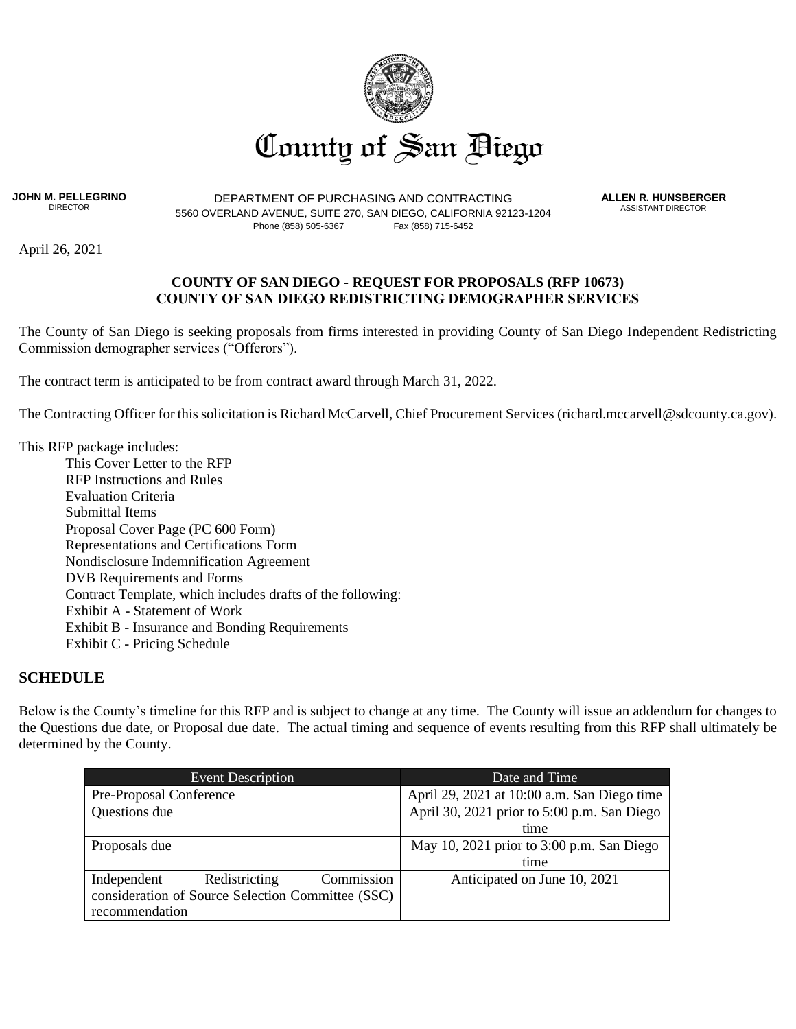

**JOHN M. PELLEGRINO** DIRECTOR

DEPARTMENT OF PURCHASING AND CONTRACTING 5560 OVERLAND AVENUE, SUITE 270, SAN DIEGO, CALIFORNIA 92123-1204 Phone (858) 505-6367 Fax (858) 715-6452

**ALLEN R. HUNSBERGER** ASSISTANT DIRECTOR

April 26, 2021

#### **COUNTY OF SAN DIEGO - REQUEST FOR PROPOSALS (RFP 10673) COUNTY OF SAN DIEGO REDISTRICTING DEMOGRAPHER SERVICES**

The County of San Diego is seeking proposals from firms interested in providing County of San Diego Independent Redistricting Commission demographer services ("Offerors").

The contract term is anticipated to be from contract award through March 31, 2022.

The Contracting Officer for this solicitation is Richard McCarvell, Chief Procurement Services (richard.mccarvell@sdcounty.ca.gov).

This RFP package includes:

This Cover Letter to the RFP RFP Instructions and Rules Evaluation Criteria Submittal Items Proposal Cover Page (PC 600 Form) Representations and Certifications Form Nondisclosure Indemnification Agreement DVB Requirements and Forms Contract Template, which includes drafts of the following: Exhibit A - Statement of Work Exhibit B - Insurance and Bonding Requirements Exhibit C - Pricing Schedule

#### **SCHEDULE**

Below is the County's timeline for this RFP and is subject to change at any time. The County will issue an addendum for changes to the Questions due date, or Proposal due date. The actual timing and sequence of events resulting from this RFP shall ultimately be determined by the County.

| <b>Event Description</b>                          |               |                                             | Date and Time                               |  |
|---------------------------------------------------|---------------|---------------------------------------------|---------------------------------------------|--|
| Pre-Proposal Conference                           |               | April 29, 2021 at 10:00 a.m. San Diego time |                                             |  |
| Questions due                                     |               |                                             | April 30, 2021 prior to 5:00 p.m. San Diego |  |
|                                                   |               |                                             | time                                        |  |
| Proposals due                                     |               |                                             | May 10, 2021 prior to 3:00 p.m. San Diego   |  |
|                                                   |               |                                             | time                                        |  |
| Independent                                       | Redistricting | Commission                                  | Anticipated on June 10, 2021                |  |
| consideration of Source Selection Committee (SSC) |               |                                             |                                             |  |
| recommendation                                    |               |                                             |                                             |  |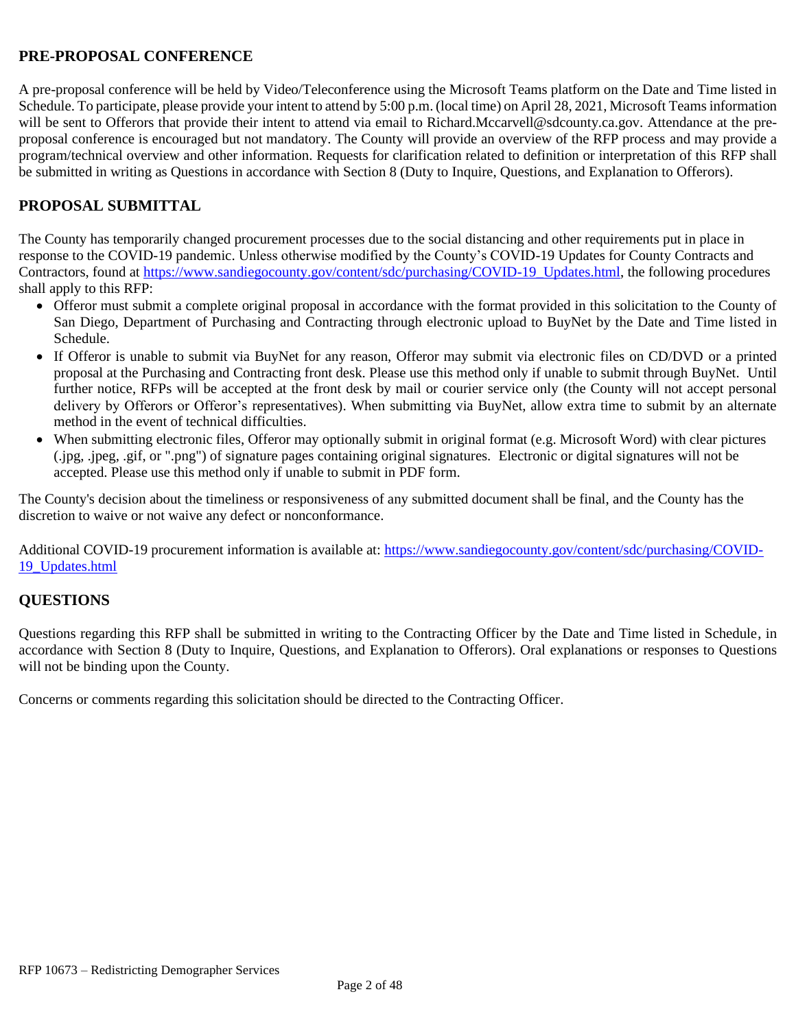# **PRE-PROPOSAL CONFERENCE**

A pre-proposal conference will be held by Video/Teleconference using the Microsoft Teams platform on the Date and Time listed in Schedule. To participate, please provide your intent to attend by 5:00 p.m. (local time) on April 28, 2021, Microsoft Teams information will be sent to Offerors that provide their intent to attend via email to Richard.Mccarvell@sdcounty.ca.gov. Attendance at the preproposal conference is encouraged but not mandatory. The County will provide an overview of the RFP process and may provide a program/technical overview and other information. Requests for clarification related to definition or interpretation of this RFP shall be submitted in writing as Questions in accordance with Section 8 (Duty to Inquire, Questions, and Explanation to Offerors).

# **PROPOSAL SUBMITTAL**

The County has temporarily changed procurement processes due to the social distancing and other requirements put in place in response to the COVID-19 pandemic. Unless otherwise modified by the County's COVID-19 Updates for County Contracts and Contractors, found at [https://www.sandiegocounty.gov/content/sdc/purchasing/COVID-19\\_Updates.html,](https://www.sandiegocounty.gov/content/sdc/purchasing/COVID-19_Updates.html) the following procedures shall apply to this RFP:

- Offeror must submit a complete original proposal in accordance with the format provided in this solicitation to the County of San Diego, Department of Purchasing and Contracting through electronic upload to BuyNet by the Date and Time listed in Schedule.
- If Offeror is unable to submit via BuyNet for any reason, Offeror may submit via electronic files on CD/DVD or a printed proposal at the Purchasing and Contracting front desk. Please use this method only if unable to submit through BuyNet. Until further notice, RFPs will be accepted at the front desk by mail or courier service only (the County will not accept personal delivery by Offerors or Offeror's representatives). When submitting via BuyNet, allow extra time to submit by an alternate method in the event of technical difficulties.
- When submitting electronic files, Offeror may optionally submit in original format (e.g. Microsoft Word) with clear pictures (.jpg, .jpeg, .gif, or ".png") of signature pages containing original signatures. Electronic or digital signatures will not be accepted. Please use this method only if unable to submit in PDF form.

The County's decision about the timeliness or responsiveness of any submitted document shall be final, and the County has the discretion to waive or not waive any defect or nonconformance.

Additional COVID-19 procurement information is available at[: https://www.sandiegocounty.gov/content/sdc/purchasing/COVID-](https://www.sandiegocounty.gov/content/sdc/purchasing/COVID-19_Updates.html)[19\\_Updates.html](https://www.sandiegocounty.gov/content/sdc/purchasing/COVID-19_Updates.html) 

## **QUESTIONS**

Questions regarding this RFP shall be submitted in writing to the Contracting Officer by the Date and Time listed in Schedule, in accordance with Section 8 (Duty to Inquire, Questions, and Explanation to Offerors). Oral explanations or responses to Questions will not be binding upon the County.

Concerns or comments regarding this solicitation should be directed to the Contracting Officer.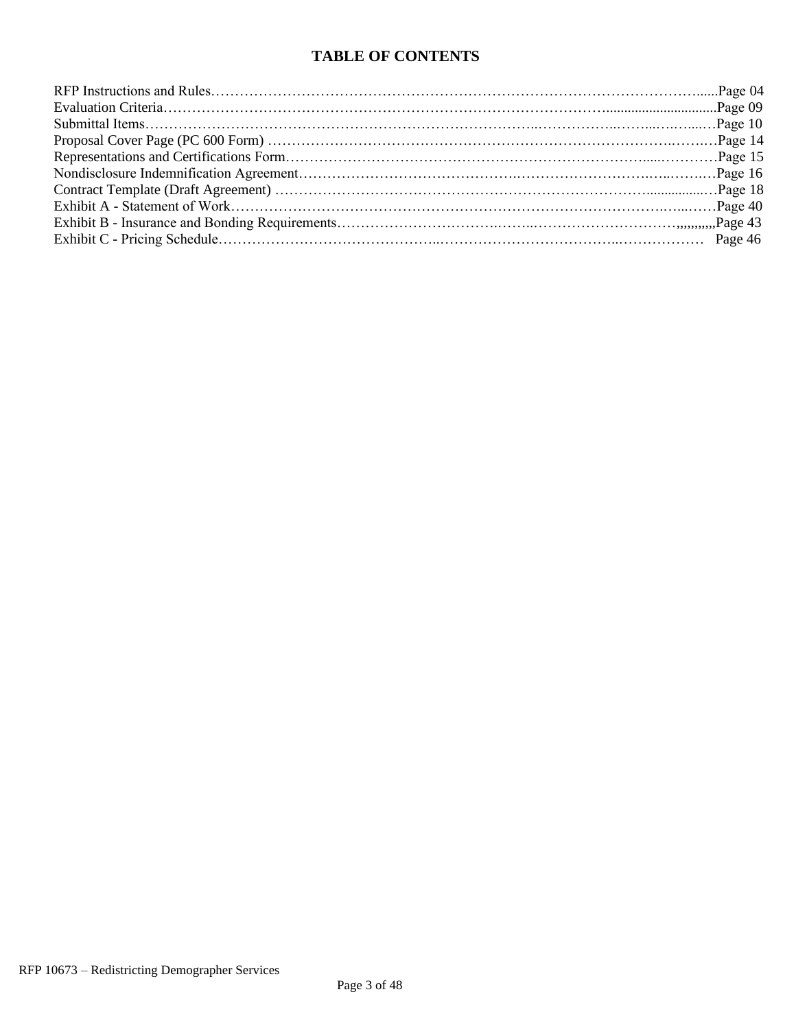# **TABLE OF CONTENTS**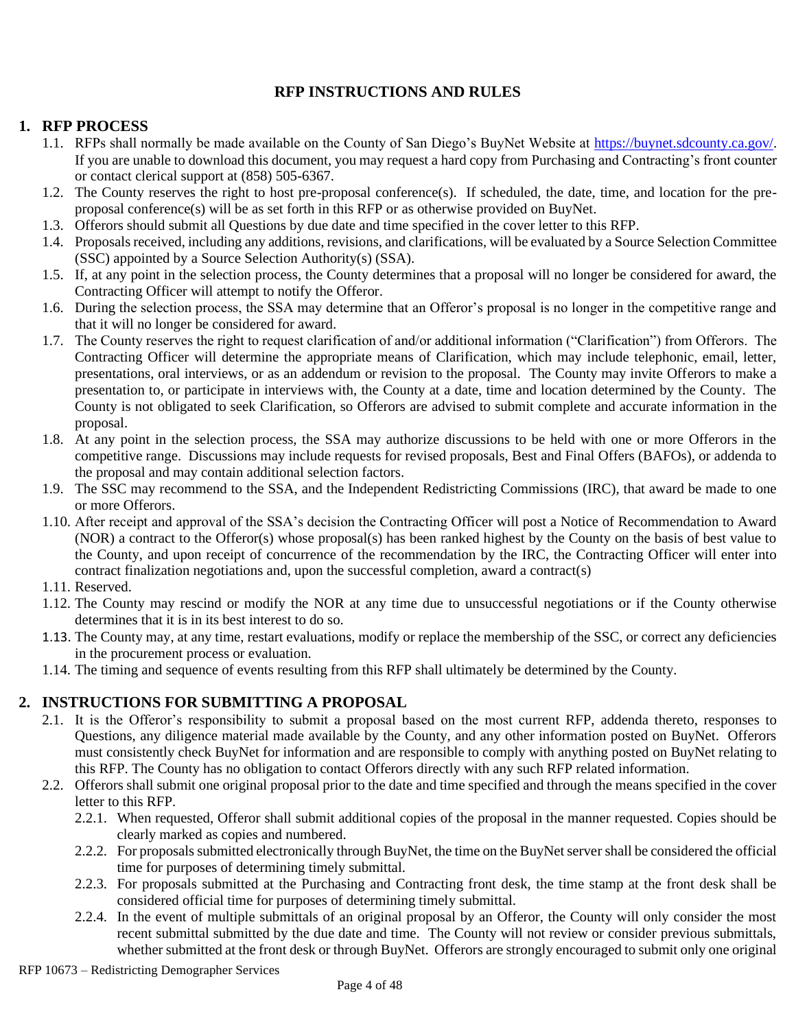# **RFP INSTRUCTIONS AND RULES**

#### **1. RFP PROCESS**

- 1.1. RFPs shall normally be made available on the County of San Diego's BuyNet Website at [https://buynet.sdcounty.ca.gov/.](https://buynet.sdcounty.ca.gov/) If you are unable to download this document, you may request a hard copy from Purchasing and Contracting's front counter or contact clerical support at (858) 505-6367.
- 1.2. The County reserves the right to host pre-proposal conference(s). If scheduled, the date, time, and location for the preproposal conference(s) will be as set forth in this RFP or as otherwise provided on BuyNet.
- 1.3. Offerors should submit all Questions by due date and time specified in the cover letter to this RFP.
- 1.4. Proposals received, including any additions, revisions, and clarifications, will be evaluated by a Source Selection Committee (SSC) appointed by a Source Selection Authority(s) (SSA).
- 1.5. If, at any point in the selection process, the County determines that a proposal will no longer be considered for award, the Contracting Officer will attempt to notify the Offeror.
- 1.6. During the selection process, the SSA may determine that an Offeror's proposal is no longer in the competitive range and that it will no longer be considered for award.
- 1.7. The County reserves the right to request clarification of and/or additional information ("Clarification") from Offerors. The Contracting Officer will determine the appropriate means of Clarification, which may include telephonic, email, letter, presentations, oral interviews, or as an addendum or revision to the proposal. The County may invite Offerors to make a presentation to, or participate in interviews with, the County at a date, time and location determined by the County. The County is not obligated to seek Clarification, so Offerors are advised to submit complete and accurate information in the proposal.
- 1.8. At any point in the selection process, the SSA may authorize discussions to be held with one or more Offerors in the competitive range. Discussions may include requests for revised proposals, Best and Final Offers (BAFOs), or addenda to the proposal and may contain additional selection factors.
- 1.9. The SSC may recommend to the SSA, and the Independent Redistricting Commissions (IRC), that award be made to one or more Offerors.
- 1.10. After receipt and approval of the SSA's decision the Contracting Officer will post a Notice of Recommendation to Award (NOR) a contract to the Offeror(s) whose proposal(s) has been ranked highest by the County on the basis of best value to the County, and upon receipt of concurrence of the recommendation by the IRC, the Contracting Officer will enter into contract finalization negotiations and, upon the successful completion, award a contract(s)
- 1.11. Reserved.
- 1.12. The County may rescind or modify the NOR at any time due to unsuccessful negotiations or if the County otherwise determines that it is in its best interest to do so.
- 1.13. The County may, at any time, restart evaluations, modify or replace the membership of the SSC, or correct any deficiencies in the procurement process or evaluation.
- 1.14. The timing and sequence of events resulting from this RFP shall ultimately be determined by the County.

## **2. INSTRUCTIONS FOR SUBMITTING A PROPOSAL**

- 2.1. It is the Offeror's responsibility to submit a proposal based on the most current RFP, addenda thereto, responses to Questions, any diligence material made available by the County, and any other information posted on BuyNet. Offerors must consistently check BuyNet for information and are responsible to comply with anything posted on BuyNet relating to this RFP. The County has no obligation to contact Offerors directly with any such RFP related information.
- 2.2. Offerors shall submit one original proposal prior to the date and time specified and through the means specified in the cover letter to this RFP.
	- 2.2.1. When requested, Offeror shall submit additional copies of the proposal in the manner requested. Copies should be clearly marked as copies and numbered.
	- 2.2.2. For proposals submitted electronically through BuyNet, the time on the BuyNet server shall be considered the official time for purposes of determining timely submittal.
	- 2.2.3. For proposals submitted at the Purchasing and Contracting front desk, the time stamp at the front desk shall be considered official time for purposes of determining timely submittal.
	- 2.2.4. In the event of multiple submittals of an original proposal by an Offeror, the County will only consider the most recent submittal submitted by the due date and time. The County will not review or consider previous submittals, whether submitted at the front desk or through BuyNet. Offerors are strongly encouraged to submit only one original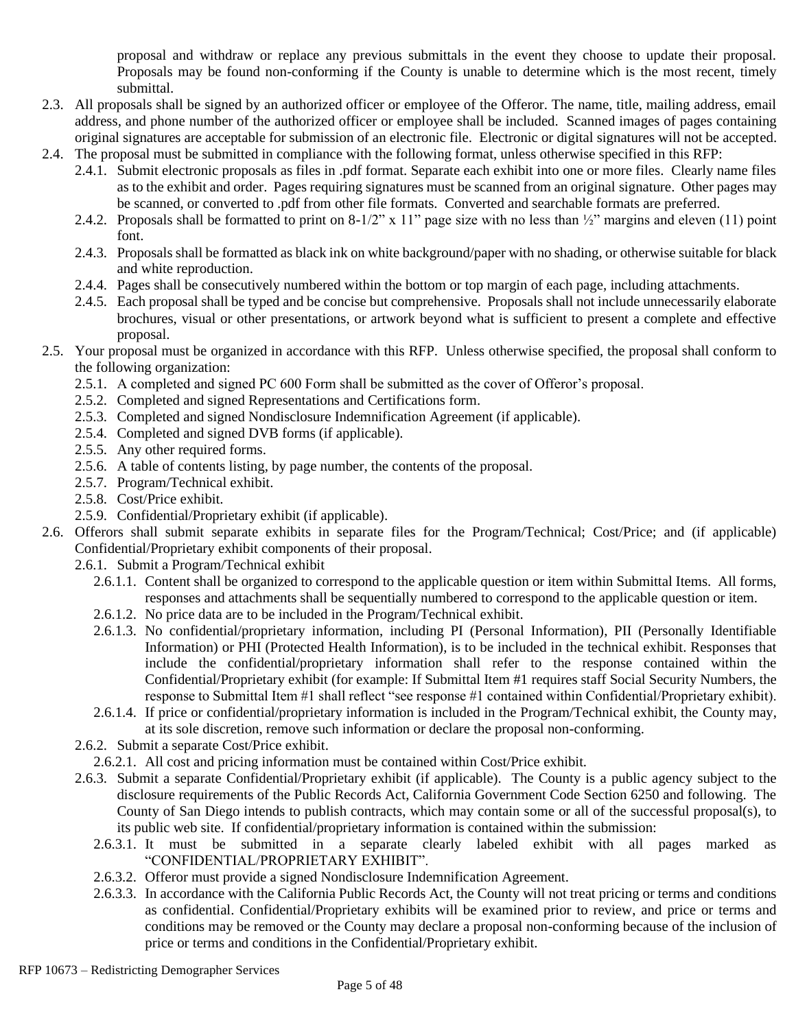proposal and withdraw or replace any previous submittals in the event they choose to update their proposal. Proposals may be found non-conforming if the County is unable to determine which is the most recent, timely submittal.

- 2.3. All proposals shall be signed by an authorized officer or employee of the Offeror. The name, title, mailing address, email address, and phone number of the authorized officer or employee shall be included. Scanned images of pages containing original signatures are acceptable for submission of an electronic file. Electronic or digital signatures will not be accepted.
- 2.4. The proposal must be submitted in compliance with the following format, unless otherwise specified in this RFP: 2.4.1. Submit electronic proposals as files in .pdf format. Separate each exhibit into one or more files. Clearly name files
	- as to the exhibit and order. Pages requiring signatures must be scanned from an original signature. Other pages may be scanned, or converted to .pdf from other file formats. Converted and searchable formats are preferred.
	- 2.4.2. Proposals shall be formatted to print on 8-1/2" x 11" page size with no less than ½" margins and eleven (11) point font.
	- 2.4.3. Proposals shall be formatted as black ink on white background/paper with no shading, or otherwise suitable for black and white reproduction.
	- 2.4.4. Pages shall be consecutively numbered within the bottom or top margin of each page, including attachments.
	- 2.4.5. Each proposal shall be typed and be concise but comprehensive. Proposals shall not include unnecessarily elaborate brochures, visual or other presentations, or artwork beyond what is sufficient to present a complete and effective proposal.
- 2.5. Your proposal must be organized in accordance with this RFP. Unless otherwise specified, the proposal shall conform to the following organization:
	- 2.5.1. A completed and signed PC 600 Form shall be submitted as the cover of Offeror's proposal.
	- 2.5.2. Completed and signed Representations and Certifications form.
	- 2.5.3. Completed and signed Nondisclosure Indemnification Agreement (if applicable).
	- 2.5.4. Completed and signed DVB forms (if applicable).
	- 2.5.5. Any other required forms.
	- 2.5.6. A table of contents listing, by page number, the contents of the proposal.
	- 2.5.7. Program/Technical exhibit.
	- 2.5.8. Cost/Price exhibit.
	- 2.5.9. Confidential/Proprietary exhibit (if applicable).
- 2.6. Offerors shall submit separate exhibits in separate files for the Program/Technical; Cost/Price; and (if applicable) Confidential/Proprietary exhibit components of their proposal.
	- 2.6.1. Submit a Program/Technical exhibit
		- 2.6.1.1. Content shall be organized to correspond to the applicable question or item within Submittal Items. All forms, responses and attachments shall be sequentially numbered to correspond to the applicable question or item.
		- 2.6.1.2. No price data are to be included in the Program/Technical exhibit.
		- 2.6.1.3. No confidential/proprietary information, including PI (Personal Information), PII (Personally Identifiable Information) or PHI (Protected Health Information), is to be included in the technical exhibit. Responses that include the confidential/proprietary information shall refer to the response contained within the Confidential/Proprietary exhibit (for example: If Submittal Item #1 requires staff Social Security Numbers, the response to Submittal Item #1 shall reflect "see response #1 contained within Confidential/Proprietary exhibit).
		- 2.6.1.4. If price or confidential/proprietary information is included in the Program/Technical exhibit, the County may, at its sole discretion, remove such information or declare the proposal non-conforming.
	- 2.6.2. Submit a separate Cost/Price exhibit.
		- 2.6.2.1. All cost and pricing information must be contained within Cost/Price exhibit.
	- 2.6.3. Submit a separate Confidential/Proprietary exhibit (if applicable). The County is a public agency subject to the disclosure requirements of the Public Records Act, California Government Code Section 6250 and following. The County of San Diego intends to publish contracts, which may contain some or all of the successful proposal(s), to its public web site. If confidential/proprietary information is contained within the submission:
		- 2.6.3.1. It must be submitted in a separate clearly labeled exhibit with all pages marked as "CONFIDENTIAL/PROPRIETARY EXHIBIT".
		- 2.6.3.2. Offeror must provide a signed Nondisclosure Indemnification Agreement.
		- 2.6.3.3. In accordance with the California Public Records Act, the County will not treat pricing or terms and conditions as confidential. Confidential/Proprietary exhibits will be examined prior to review, and price or terms and conditions may be removed or the County may declare a proposal non-conforming because of the inclusion of price or terms and conditions in the Confidential/Proprietary exhibit.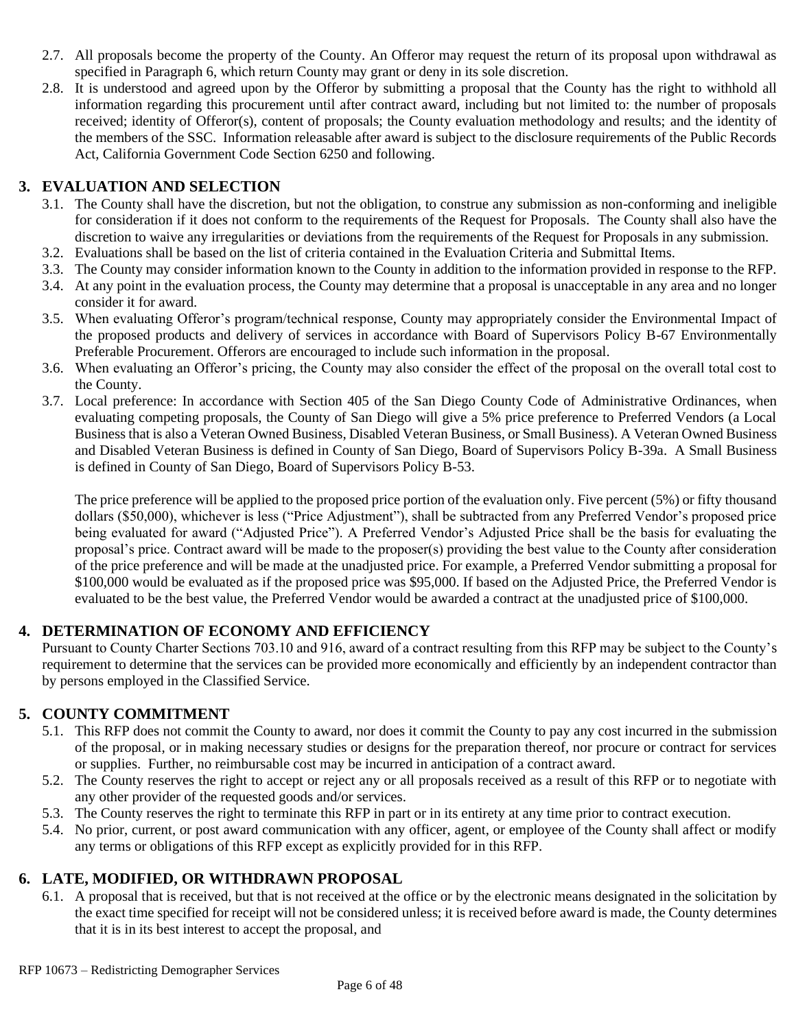- 2.7. All proposals become the property of the County. An Offeror may request the return of its proposal upon withdrawal as specified in Paragraph 6, which return County may grant or deny in its sole discretion.
- 2.8. It is understood and agreed upon by the Offeror by submitting a proposal that the County has the right to withhold all information regarding this procurement until after contract award, including but not limited to: the number of proposals received; identity of Offeror(s), content of proposals; the County evaluation methodology and results; and the identity of the members of the SSC. Information releasable after award is subject to the disclosure requirements of the Public Records Act, California Government Code Section 6250 and following.

# **3. EVALUATION AND SELECTION**

- 3.1. The County shall have the discretion, but not the obligation, to construe any submission as non-conforming and ineligible for consideration if it does not conform to the requirements of the Request for Proposals. The County shall also have the discretion to waive any irregularities or deviations from the requirements of the Request for Proposals in any submission.
- 3.2. Evaluations shall be based on the list of criteria contained in the Evaluation Criteria and Submittal Items.
- 3.3. The County may consider information known to the County in addition to the information provided in response to the RFP. 3.4. At any point in the evaluation process, the County may determine that a proposal is unacceptable in any area and no longer
- consider it for award.
- 3.5. When evaluating Offeror's program/technical response, County may appropriately consider the Environmental Impact of the proposed products and delivery of services in accordance with Board of Supervisors Policy B-67 Environmentally Preferable Procurement. Offerors are encouraged to include such information in the proposal.
- 3.6. When evaluating an Offeror's pricing, the County may also consider the effect of the proposal on the overall total cost to the County.
- 3.7. Local preference: In accordance with Section 405 of the San Diego County Code of Administrative Ordinances, when evaluating competing proposals, the County of San Diego will give a 5% price preference to Preferred Vendors (a Local Business that is also a Veteran Owned Business, Disabled Veteran Business, or Small Business). A Veteran Owned Business and Disabled Veteran Business is defined in County of San Diego, Board of Supervisors Policy B-39a. A Small Business is defined in County of San Diego, Board of Supervisors Policy B-53.

The price preference will be applied to the proposed price portion of the evaluation only. Five percent (5%) or fifty thousand dollars (\$50,000), whichever is less ("Price Adjustment"), shall be subtracted from any Preferred Vendor's proposed price being evaluated for award ("Adjusted Price"). A Preferred Vendor's Adjusted Price shall be the basis for evaluating the proposal's price. Contract award will be made to the proposer(s) providing the best value to the County after consideration of the price preference and will be made at the unadjusted price. For example, a Preferred Vendor submitting a proposal for \$100,000 would be evaluated as if the proposed price was \$95,000. If based on the Adjusted Price, the Preferred Vendor is evaluated to be the best value, the Preferred Vendor would be awarded a contract at the unadjusted price of \$100,000.

## **4. DETERMINATION OF ECONOMY AND EFFICIENCY**

Pursuant to County Charter Sections 703.10 and 916, award of a contract resulting from this RFP may be subject to the County's requirement to determine that the services can be provided more economically and efficiently by an independent contractor than by persons employed in the Classified Service.

#### **5. COUNTY COMMITMENT**

- 5.1. This RFP does not commit the County to award, nor does it commit the County to pay any cost incurred in the submission of the proposal, or in making necessary studies or designs for the preparation thereof, nor procure or contract for services or supplies. Further, no reimbursable cost may be incurred in anticipation of a contract award.
- 5.2. The County reserves the right to accept or reject any or all proposals received as a result of this RFP or to negotiate with any other provider of the requested goods and/or services.
- 5.3. The County reserves the right to terminate this RFP in part or in its entirety at any time prior to contract execution.
- 5.4. No prior, current, or post award communication with any officer, agent, or employee of the County shall affect or modify any terms or obligations of this RFP except as explicitly provided for in this RFP.

## **6. LATE, MODIFIED, OR WITHDRAWN PROPOSAL**

6.1. A proposal that is received, but that is not received at the office or by the electronic means designated in the solicitation by the exact time specified for receipt will not be considered unless; it is received before award is made, the County determines that it is in its best interest to accept the proposal, and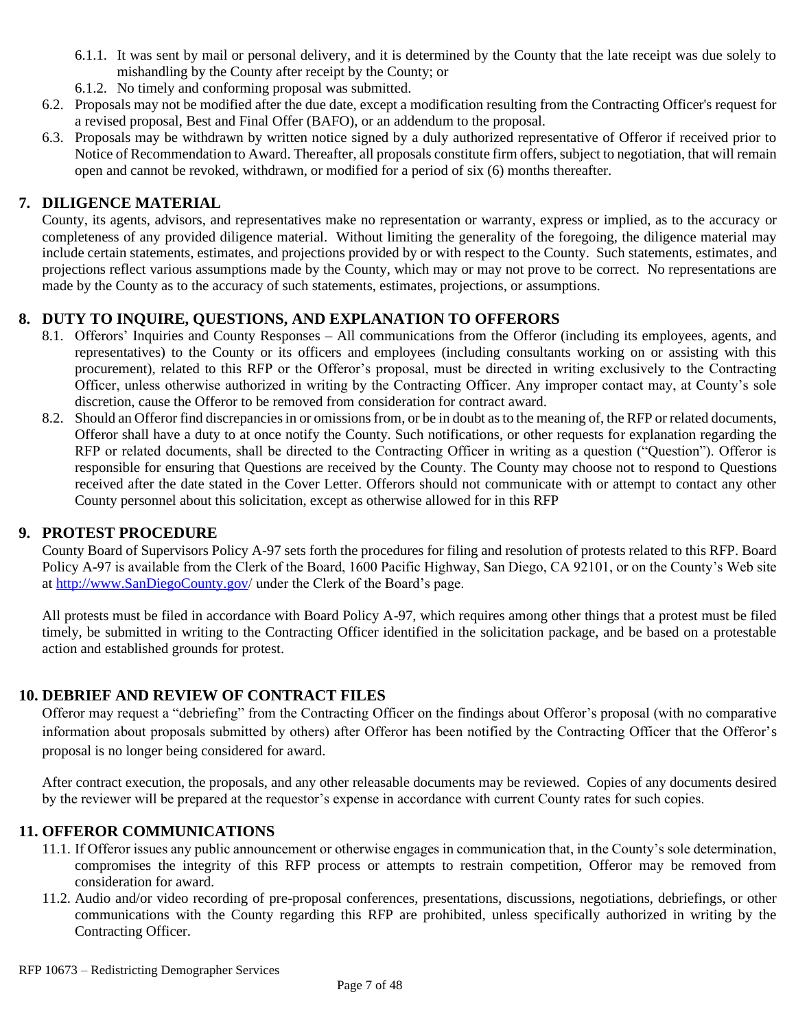- 6.1.1. It was sent by mail or personal delivery, and it is determined by the County that the late receipt was due solely to mishandling by the County after receipt by the County; or
- 6.1.2. No timely and conforming proposal was submitted.
- 6.2. Proposals may not be modified after the due date, except a modification resulting from the Contracting Officer's request for a revised proposal, Best and Final Offer (BAFO), or an addendum to the proposal.
- 6.3. Proposals may be withdrawn by written notice signed by a duly authorized representative of Offeror if received prior to Notice of Recommendation to Award. Thereafter, all proposals constitute firm offers, subject to negotiation, that will remain open and cannot be revoked, withdrawn, or modified for a period of six (6) months thereafter.

#### **7. DILIGENCE MATERIAL**

County, its agents, advisors, and representatives make no representation or warranty, express or implied, as to the accuracy or completeness of any provided diligence material. Without limiting the generality of the foregoing, the diligence material may include certain statements, estimates, and projections provided by or with respect to the County. Such statements, estimates, and projections reflect various assumptions made by the County, which may or may not prove to be correct. No representations are made by the County as to the accuracy of such statements, estimates, projections, or assumptions.

## **8. DUTY TO INQUIRE, QUESTIONS, AND EXPLANATION TO OFFERORS**

- 8.1. Offerors' Inquiries and County Responses All communications from the Offeror (including its employees, agents, and representatives) to the County or its officers and employees (including consultants working on or assisting with this procurement), related to this RFP or the Offeror's proposal, must be directed in writing exclusively to the Contracting Officer, unless otherwise authorized in writing by the Contracting Officer. Any improper contact may, at County's sole discretion, cause the Offeror to be removed from consideration for contract award.
- 8.2. Should an Offeror find discrepancies in or omissions from, or be in doubt as to the meaning of, the RFP or related documents, Offeror shall have a duty to at once notify the County. Such notifications, or other requests for explanation regarding the RFP or related documents, shall be directed to the Contracting Officer in writing as a question ("Question"). Offeror is responsible for ensuring that Questions are received by the County. The County may choose not to respond to Questions received after the date stated in the Cover Letter. Offerors should not communicate with or attempt to contact any other County personnel about this solicitation, except as otherwise allowed for in this RFP

#### **9. PROTEST PROCEDURE**

County Board of Supervisors Policy A-97 sets forth the procedures for filing and resolution of protests related to this RFP. Board Policy A-97 is available from the Clerk of the Board, 1600 Pacific Highway, San Diego, CA 92101, or on the County's Web site at [http://www.SanDiegoCounty.gov/](http://www.sandiegocounty.gov/) under the Clerk of the Board's page.

All protests must be filed in accordance with Board Policy A-97, which requires among other things that a protest must be filed timely, be submitted in writing to the Contracting Officer identified in the solicitation package, and be based on a protestable action and established grounds for protest.

#### **10. DEBRIEF AND REVIEW OF CONTRACT FILES**

Offeror may request a "debriefing" from the Contracting Officer on the findings about Offeror's proposal (with no comparative information about proposals submitted by others) after Offeror has been notified by the Contracting Officer that the Offeror's proposal is no longer being considered for award.

After contract execution, the proposals, and any other releasable documents may be reviewed. Copies of any documents desired by the reviewer will be prepared at the requestor's expense in accordance with current County rates for such copies.

#### **11. OFFEROR COMMUNICATIONS**

- 11.1. If Offeror issues any public announcement or otherwise engages in communication that, in the County's sole determination, compromises the integrity of this RFP process or attempts to restrain competition, Offeror may be removed from consideration for award.
- 11.2. Audio and/or video recording of pre-proposal conferences, presentations, discussions, negotiations, debriefings, or other communications with the County regarding this RFP are prohibited, unless specifically authorized in writing by the Contracting Officer.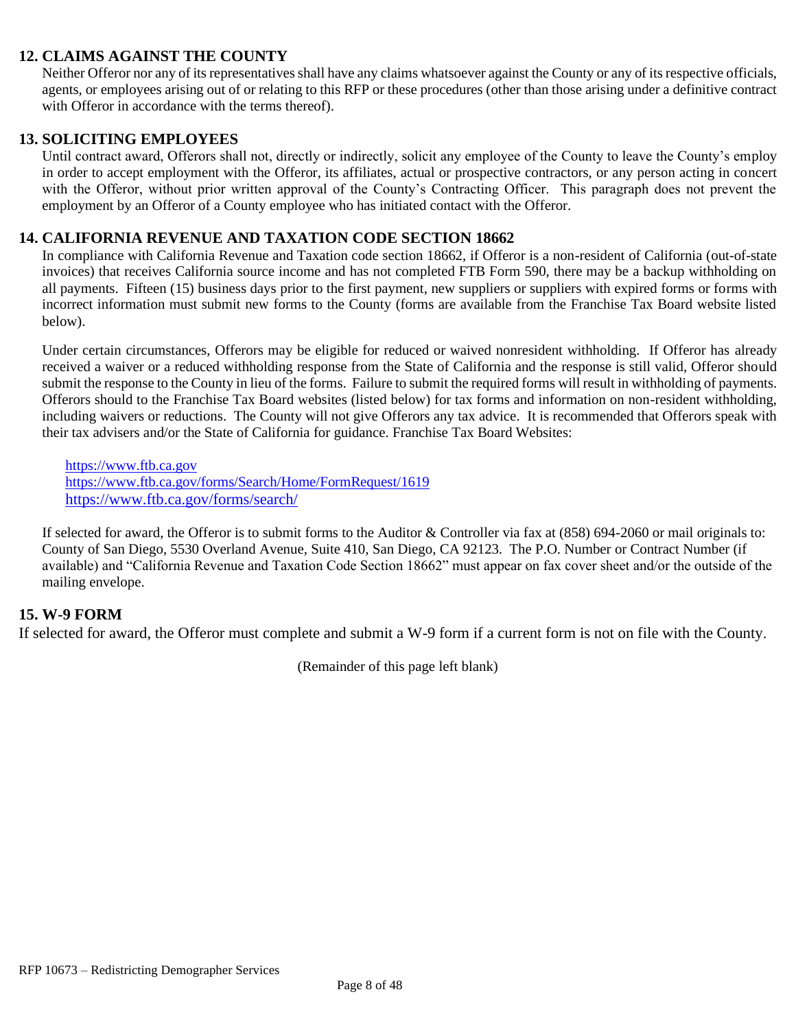#### **12. CLAIMS AGAINST THE COUNTY**

Neither Offeror nor any of its representatives shall have any claims whatsoever against the County or any of its respective officials, agents, or employees arising out of or relating to this RFP or these procedures (other than those arising under a definitive contract with Offeror in accordance with the terms thereof).

#### **13. SOLICITING EMPLOYEES**

Until contract award, Offerors shall not, directly or indirectly, solicit any employee of the County to leave the County's employ in order to accept employment with the Offeror, its affiliates, actual or prospective contractors, or any person acting in concert with the Offeror, without prior written approval of the County's Contracting Officer. This paragraph does not prevent the employment by an Offeror of a County employee who has initiated contact with the Offeror.

#### **14. CALIFORNIA REVENUE AND TAXATION CODE SECTION 18662**

In compliance with California Revenue and Taxation code section 18662, if Offeror is a non-resident of California (out-of-state invoices) that receives California source income and has not completed FTB Form 590, there may be a backup withholding on all payments. Fifteen (15) business days prior to the first payment, new suppliers or suppliers with expired forms or forms with incorrect information must submit new forms to the County (forms are available from the Franchise Tax Board website listed below).

Under certain circumstances, Offerors may be eligible for reduced or waived nonresident withholding. If Offeror has already received a waiver or a reduced withholding response from the State of California and the response is still valid, Offeror should submit the response to the County in lieu of the forms. Failure to submit the required forms will result in withholding of payments. Offerors should to the Franchise Tax Board websites (listed below) for tax forms and information on non-resident withholding, including waivers or reductions. The County will not give Offerors any tax advice. It is recommended that Offerors speak with their tax advisers and/or the State of California for guidance. Franchise Tax Board Websites:

[https://www.ftb.ca.gov](https://www.ftb.ca.gov/) <https://www.ftb.ca.gov/forms/Search/Home/FormRequest/1619> <https://www.ftb.ca.gov/forms/search/>

If selected for award, the Offeror is to submit forms to the Auditor & Controller via fax at (858) 694-2060 or mail originals to: County of San Diego, 5530 Overland Avenue, Suite 410, San Diego, CA 92123. The P.O. Number or Contract Number (if available) and "California Revenue and Taxation Code Section 18662" must appear on fax cover sheet and/or the outside of the mailing envelope.

#### **15. W-9 FORM**

If selected for award, the Offeror must complete and submit a W-9 form if a current form is not on file with the County.

(Remainder of this page left blank)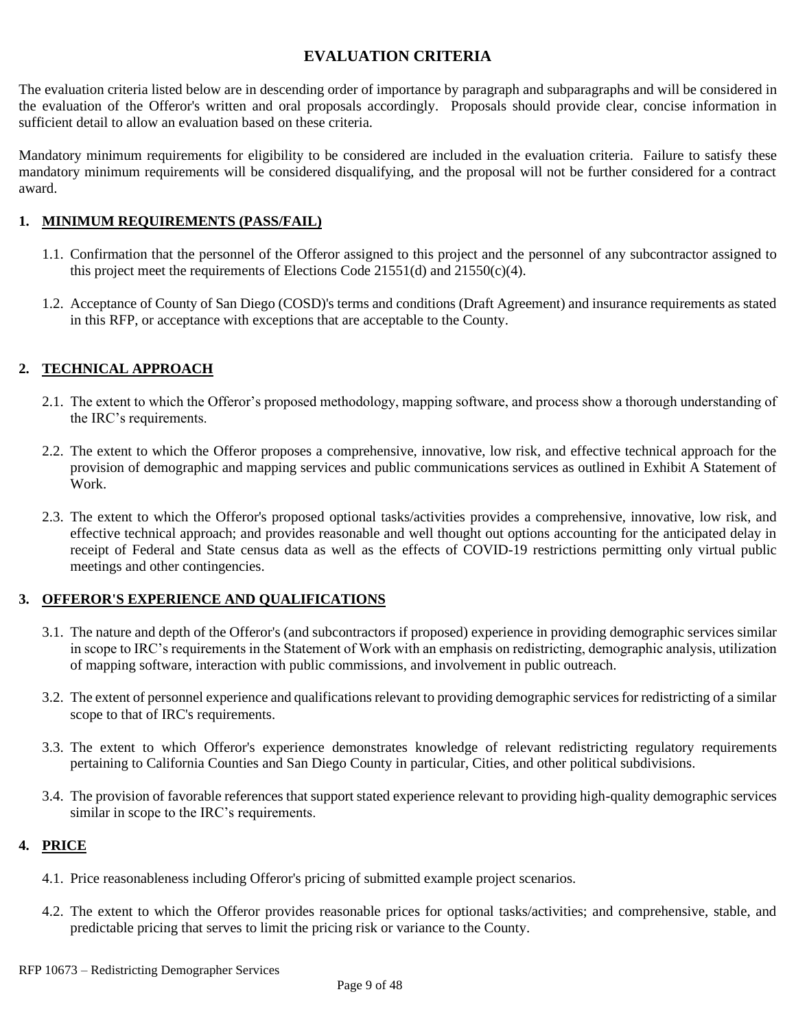### **EVALUATION CRITERIA**

The evaluation criteria listed below are in descending order of importance by paragraph and subparagraphs and will be considered in the evaluation of the Offeror's written and oral proposals accordingly. Proposals should provide clear, concise information in sufficient detail to allow an evaluation based on these criteria.

Mandatory minimum requirements for eligibility to be considered are included in the evaluation criteria. Failure to satisfy these mandatory minimum requirements will be considered disqualifying, and the proposal will not be further considered for a contract award.

#### **1. MINIMUM REQUIREMENTS (PASS/FAIL)**

- 1.1. Confirmation that the personnel of the Offeror assigned to this project and the personnel of any subcontractor assigned to this project meet the requirements of Elections Code 21551(d) and 21550(c)(4).
- 1.2. Acceptance of County of San Diego (COSD)'s terms and conditions (Draft Agreement) and insurance requirements as stated in this RFP, or acceptance with exceptions that are acceptable to the County.

#### **2. TECHNICAL APPROACH**

- 2.1. The extent to which the Offeror's proposed methodology, mapping software, and process show a thorough understanding of the IRC's requirements.
- 2.2. The extent to which the Offeror proposes a comprehensive, innovative, low risk, and effective technical approach for the provision of demographic and mapping services and public communications services as outlined in Exhibit A Statement of Work.
- 2.3. The extent to which the Offeror's proposed optional tasks/activities provides a comprehensive, innovative, low risk, and effective technical approach; and provides reasonable and well thought out options accounting for the anticipated delay in receipt of Federal and State census data as well as the effects of COVID-19 restrictions permitting only virtual public meetings and other contingencies.

#### **3. OFFEROR'S EXPERIENCE AND QUALIFICATIONS**

- 3.1. The nature and depth of the Offeror's (and subcontractors if proposed) experience in providing demographic services similar in scope to IRC's requirements in the Statement of Work with an emphasis on redistricting, demographic analysis, utilization of mapping software, interaction with public commissions, and involvement in public outreach.
- 3.2. The extent of personnel experience and qualifications relevant to providing demographic services for redistricting of a similar scope to that of IRC's requirements.
- 3.3. The extent to which Offeror's experience demonstrates knowledge of relevant redistricting regulatory requirements pertaining to California Counties and San Diego County in particular, Cities, and other political subdivisions.
- 3.4. The provision of favorable references that support stated experience relevant to providing high-quality demographic services similar in scope to the IRC's requirements.

#### **4. PRICE**

- 4.1. Price reasonableness including Offeror's pricing of submitted example project scenarios.
- 4.2. The extent to which the Offeror provides reasonable prices for optional tasks/activities; and comprehensive, stable, and predictable pricing that serves to limit the pricing risk or variance to the County.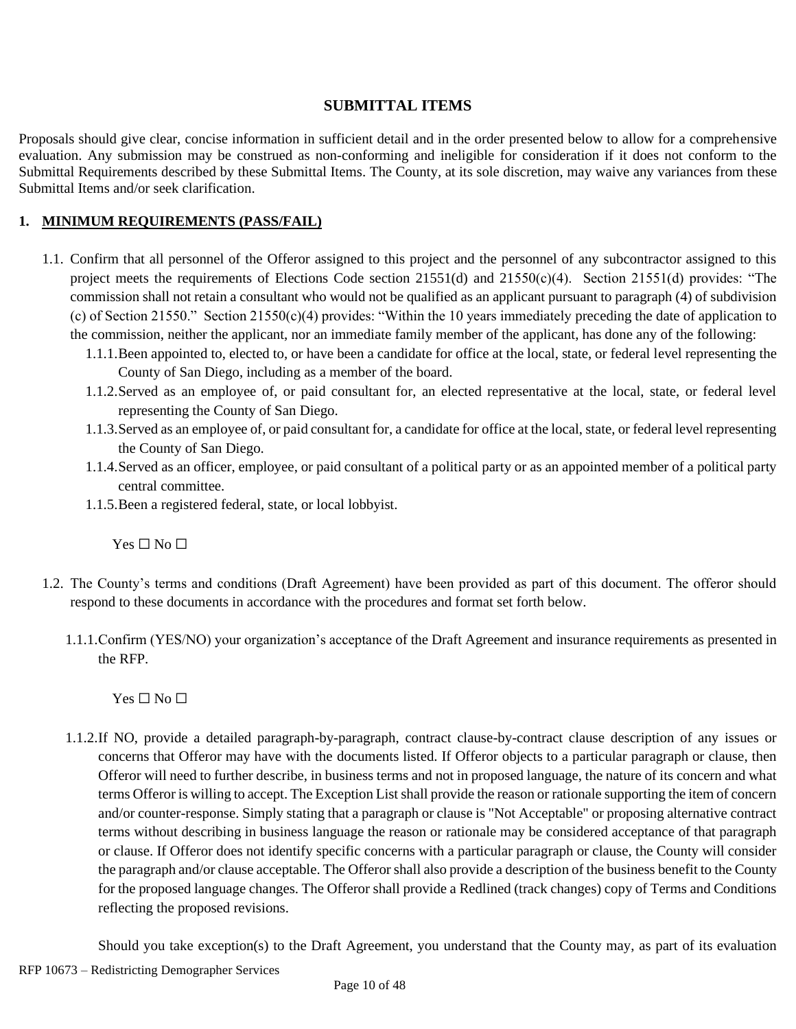#### **SUBMITTAL ITEMS**

Proposals should give clear, concise information in sufficient detail and in the order presented below to allow for a comprehensive evaluation. Any submission may be construed as non-conforming and ineligible for consideration if it does not conform to the Submittal Requirements described by these Submittal Items. The County, at its sole discretion, may waive any variances from these Submittal Items and/or seek clarification.

#### **1. MINIMUM REQUIREMENTS (PASS/FAIL)**

- 1.1. Confirm that all personnel of the Offeror assigned to this project and the personnel of any subcontractor assigned to this project meets the requirements of Elections Code section 21551(d) and 21550(c)(4). Section 21551(d) provides: "The commission shall not retain a consultant who would not be qualified as an applicant pursuant to paragraph (4) of subdivision (c) of Section 21550." Section 21550(c)(4) provides: "Within the 10 years immediately preceding the date of application to the commission, neither the applicant, nor an immediate family member of the applicant, has done any of the following:
	- 1.1.1.Been appointed to, elected to, or have been a candidate for office at the local, state, or federal level representing the County of San Diego, including as a member of the board.
	- 1.1.2.Served as an employee of, or paid consultant for, an elected representative at the local, state, or federal level representing the County of San Diego.
	- 1.1.3.Served as an employee of, or paid consultant for, a candidate for office at the local, state, or federal level representing the County of San Diego.
	- 1.1.4.Served as an officer, employee, or paid consultant of a political party or as an appointed member of a political party central committee.
	- 1.1.5.Been a registered federal, state, or local lobbyist.

 $Yes \Box No \Box$ 

- 1.2. The County's terms and conditions (Draft Agreement) have been provided as part of this document. The offeror should respond to these documents in accordance with the procedures and format set forth below.
	- 1.1.1.Confirm (YES/NO) your organization's acceptance of the Draft Agreement and insurance requirements as presented in the RFP.

 $Yes \Box No \Box$ 

1.1.2.If NO, provide a detailed paragraph-by-paragraph, contract clause-by-contract clause description of any issues or concerns that Offeror may have with the documents listed. If Offeror objects to a particular paragraph or clause, then Offeror will need to further describe, in business terms and not in proposed language, the nature of its concern and what terms Offeror is willing to accept. The Exception List shall provide the reason or rationale supporting the item of concern and/or counter-response. Simply stating that a paragraph or clause is "Not Acceptable" or proposing alternative contract terms without describing in business language the reason or rationale may be considered acceptance of that paragraph or clause. If Offeror does not identify specific concerns with a particular paragraph or clause, the County will consider the paragraph and/or clause acceptable. The Offeror shall also provide a description of the business benefit to the County for the proposed language changes. The Offeror shall provide a Redlined (track changes) copy of Terms and Conditions reflecting the proposed revisions.

Should you take exception(s) to the Draft Agreement, you understand that the County may, as part of its evaluation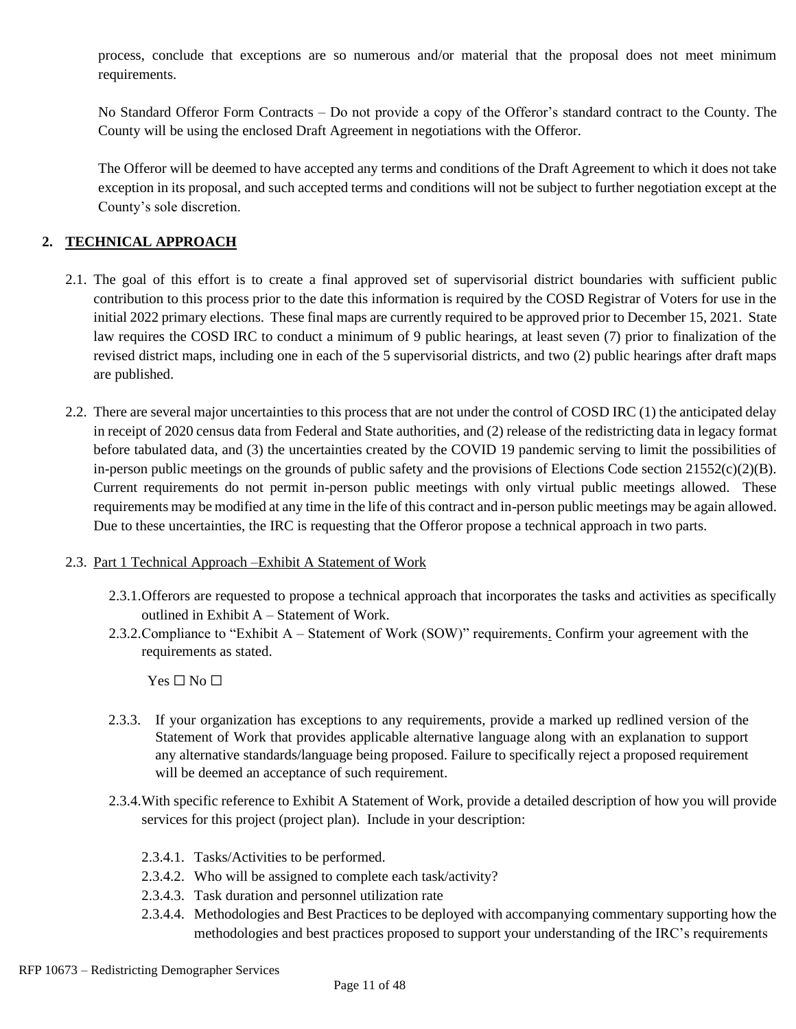process, conclude that exceptions are so numerous and/or material that the proposal does not meet minimum requirements.

No Standard Offeror Form Contracts – Do not provide a copy of the Offeror's standard contract to the County. The County will be using the enclosed Draft Agreement in negotiations with the Offeror.

The Offeror will be deemed to have accepted any terms and conditions of the Draft Agreement to which it does not take exception in its proposal, and such accepted terms and conditions will not be subject to further negotiation except at the County's sole discretion.

#### **2. TECHNICAL APPROACH**

- 2.1. The goal of this effort is to create a final approved set of supervisorial district boundaries with sufficient public contribution to this process prior to the date this information is required by the COSD Registrar of Voters for use in the initial 2022 primary elections. These final maps are currently required to be approved prior to December 15, 2021. State law requires the COSD IRC to conduct a minimum of 9 public hearings, at least seven (7) prior to finalization of the revised district maps, including one in each of the 5 supervisorial districts, and two (2) public hearings after draft maps are published.
- 2.2. There are several major uncertainties to this process that are not under the control of COSD IRC (1) the anticipated delay in receipt of 2020 census data from Federal and State authorities, and (2) release of the redistricting data in legacy format before tabulated data, and (3) the uncertainties created by the COVID 19 pandemic serving to limit the possibilities of in-person public meetings on the grounds of public safety and the provisions of Elections Code section  $21552(c)(2)(B)$ . Current requirements do not permit in-person public meetings with only virtual public meetings allowed. These requirements may be modified at any time in the life of this contract and in-person public meetings may be again allowed. Due to these uncertainties, the IRC is requesting that the Offeror propose a technical approach in two parts.

#### 2.3. Part 1 Technical Approach –Exhibit A Statement of Work

- 2.3.1.Offerors are requested to propose a technical approach that incorporates the tasks and activities as specifically outlined in Exhibit A – Statement of Work.
- 2.3.2.Compliance to "Exhibit A Statement of Work (SOW)" requirements. Confirm your agreement with the requirements as stated.

 $Yes \Box No \Box$ 

- 2.3.3. If your organization has exceptions to any requirements, provide a marked up redlined version of the Statement of Work that provides applicable alternative language along with an explanation to support any alternative standards/language being proposed. Failure to specifically reject a proposed requirement will be deemed an acceptance of such requirement.
- 2.3.4.With specific reference to Exhibit A Statement of Work, provide a detailed description of how you will provide services for this project (project plan). Include in your description:
	- 2.3.4.1. Tasks/Activities to be performed.
	- 2.3.4.2. Who will be assigned to complete each task/activity?
	- 2.3.4.3. Task duration and personnel utilization rate
	- 2.3.4.4. Methodologies and Best Practices to be deployed with accompanying commentary supporting how the methodologies and best practices proposed to support your understanding of the IRC's requirements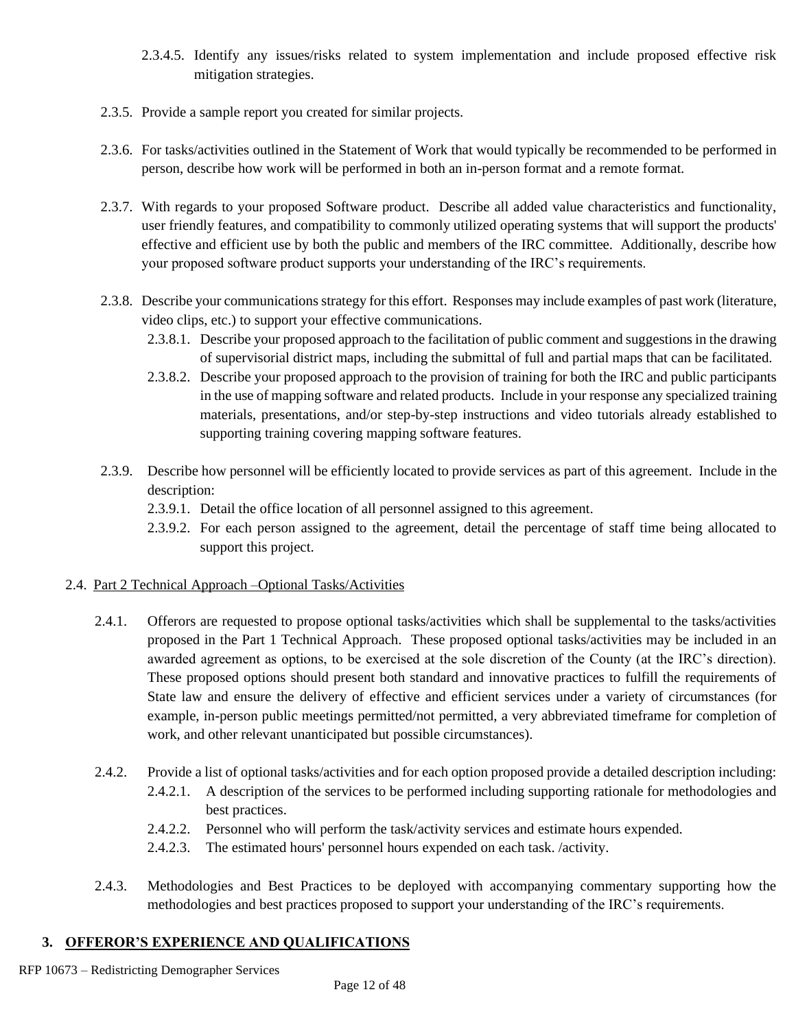- 2.3.4.5. Identify any issues/risks related to system implementation and include proposed effective risk mitigation strategies.
- 2.3.5. Provide a sample report you created for similar projects.
- 2.3.6. For tasks/activities outlined in the Statement of Work that would typically be recommended to be performed in person, describe how work will be performed in both an in-person format and a remote format.
- 2.3.7. With regards to your proposed Software product. Describe all added value characteristics and functionality, user friendly features, and compatibility to commonly utilized operating systems that will support the products' effective and efficient use by both the public and members of the IRC committee. Additionally, describe how your proposed software product supports your understanding of the IRC's requirements.
- 2.3.8. Describe your communications strategy for this effort. Responses may include examples of past work (literature, video clips, etc.) to support your effective communications.
	- 2.3.8.1. Describe your proposed approach to the facilitation of public comment and suggestions in the drawing of supervisorial district maps, including the submittal of full and partial maps that can be facilitated.
	- 2.3.8.2. Describe your proposed approach to the provision of training for both the IRC and public participants in the use of mapping software and related products. Include in your response any specialized training materials, presentations, and/or step-by-step instructions and video tutorials already established to supporting training covering mapping software features.
- 2.3.9. Describe how personnel will be efficiently located to provide services as part of this agreement. Include in the description:
	- 2.3.9.1. Detail the office location of all personnel assigned to this agreement.
	- 2.3.9.2. For each person assigned to the agreement, detail the percentage of staff time being allocated to support this project.

#### 2.4. Part 2 Technical Approach –Optional Tasks/Activities

- 2.4.1. Offerors are requested to propose optional tasks/activities which shall be supplemental to the tasks/activities proposed in the Part 1 Technical Approach. These proposed optional tasks/activities may be included in an awarded agreement as options, to be exercised at the sole discretion of the County (at the IRC's direction). These proposed options should present both standard and innovative practices to fulfill the requirements of State law and ensure the delivery of effective and efficient services under a variety of circumstances (for example, in-person public meetings permitted/not permitted, a very abbreviated timeframe for completion of work, and other relevant unanticipated but possible circumstances).
- 2.4.2. Provide a list of optional tasks/activities and for each option proposed provide a detailed description including: 2.4.2.1. A description of the services to be performed including supporting rationale for methodologies and best practices.
	- 2.4.2.2. Personnel who will perform the task/activity services and estimate hours expended.
	- 2.4.2.3. The estimated hours' personnel hours expended on each task. /activity.
- 2.4.3. Methodologies and Best Practices to be deployed with accompanying commentary supporting how the methodologies and best practices proposed to support your understanding of the IRC's requirements.

## **3. OFFEROR'S EXPERIENCE AND QUALIFICATIONS**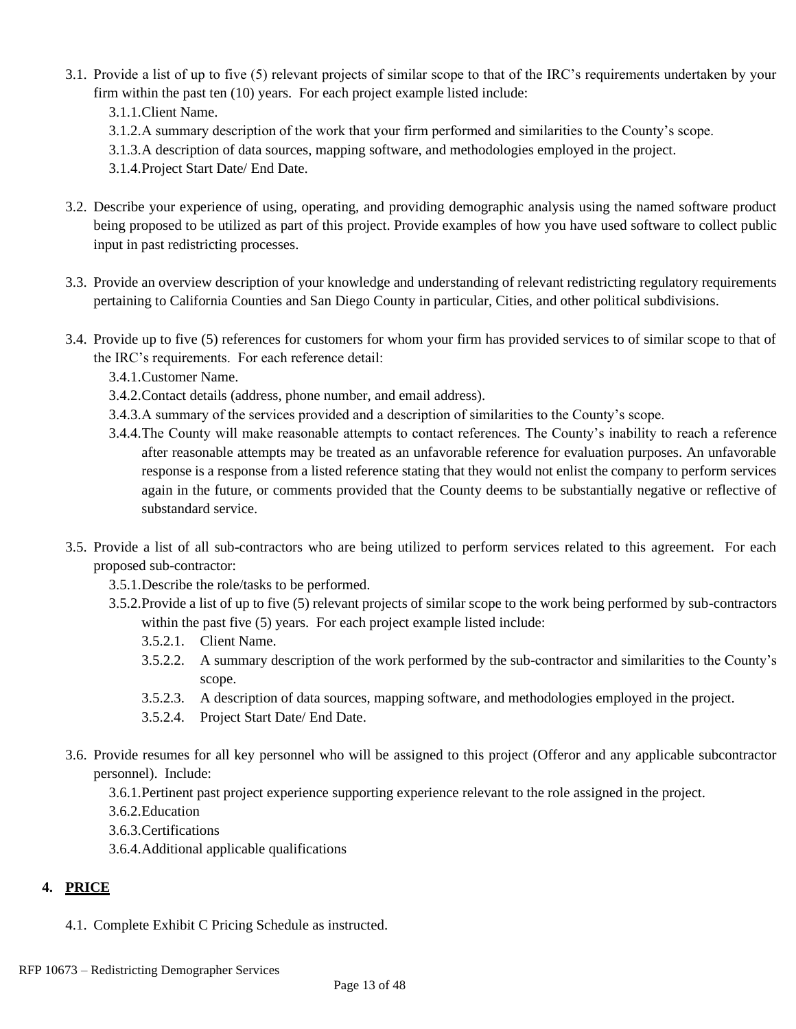- 3.1. Provide a list of up to five (5) relevant projects of similar scope to that of the IRC's requirements undertaken by your firm within the past ten (10) years. For each project example listed include:
	- 3.1.1.Client Name.
	- 3.1.2.A summary description of the work that your firm performed and similarities to the County's scope.
	- 3.1.3.A description of data sources, mapping software, and methodologies employed in the project.
	- 3.1.4.Project Start Date/ End Date.
- 3.2. Describe your experience of using, operating, and providing demographic analysis using the named software product being proposed to be utilized as part of this project. Provide examples of how you have used software to collect public input in past redistricting processes.
- 3.3. Provide an overview description of your knowledge and understanding of relevant redistricting regulatory requirements pertaining to California Counties and San Diego County in particular, Cities, and other political subdivisions.
- 3.4. Provide up to five (5) references for customers for whom your firm has provided services to of similar scope to that of the IRC's requirements. For each reference detail:
	- 3.4.1.Customer Name.
	- 3.4.2.Contact details (address, phone number, and email address).
	- 3.4.3.A summary of the services provided and a description of similarities to the County's scope.
	- 3.4.4.The County will make reasonable attempts to contact references. The County's inability to reach a reference after reasonable attempts may be treated as an unfavorable reference for evaluation purposes. An unfavorable response is a response from a listed reference stating that they would not enlist the company to perform services again in the future, or comments provided that the County deems to be substantially negative or reflective of substandard service.
- 3.5. Provide a list of all sub-contractors who are being utilized to perform services related to this agreement. For each proposed sub-contractor:
	- 3.5.1.Describe the role/tasks to be performed.
	- 3.5.2.Provide a list of up to five (5) relevant projects of similar scope to the work being performed by sub-contractors within the past five (5) years. For each project example listed include:
		- 3.5.2.1. Client Name.
		- 3.5.2.2. A summary description of the work performed by the sub-contractor and similarities to the County's scope.
		- 3.5.2.3. A description of data sources, mapping software, and methodologies employed in the project.
		- 3.5.2.4. Project Start Date/ End Date.
- 3.6. Provide resumes for all key personnel who will be assigned to this project (Offeror and any applicable subcontractor personnel). Include:
	- 3.6.1.Pertinent past project experience supporting experience relevant to the role assigned in the project.
	- 3.6.2.Education
	- 3.6.3.Certifications
	- 3.6.4.Additional applicable qualifications

# **4. PRICE**

4.1. Complete Exhibit C Pricing Schedule as instructed.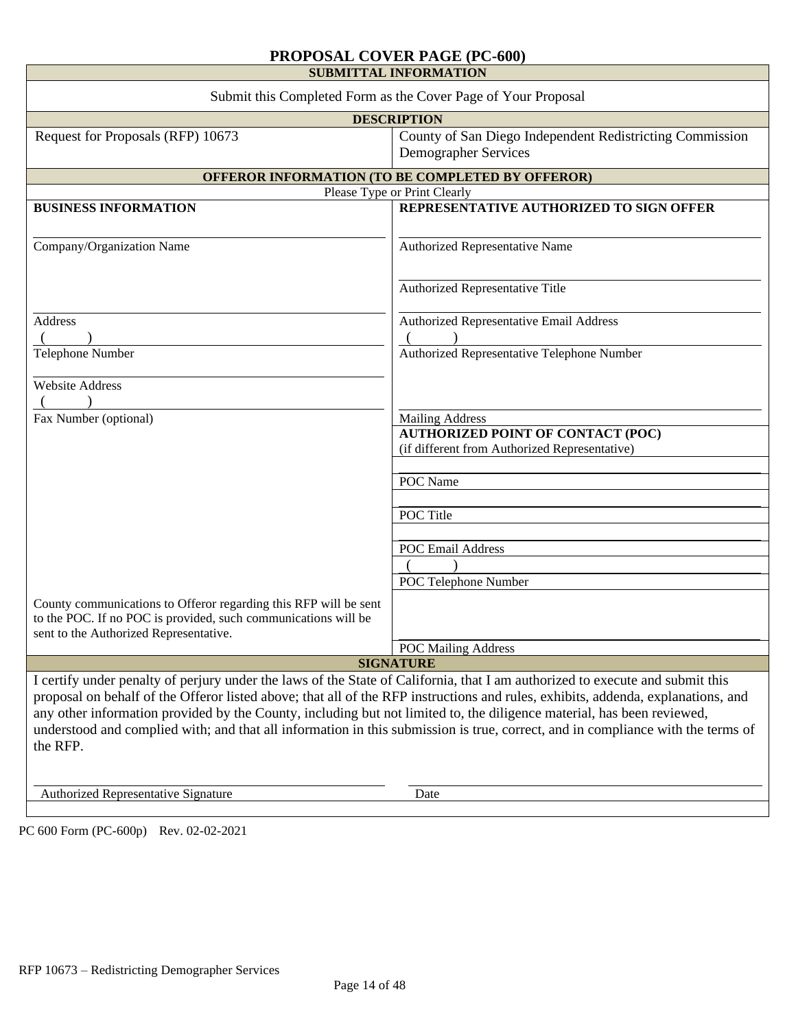#### **PROPOSAL COVER PAGE (PC-600)**

| <b>SUBMITTAL INFORMATION</b>                                                                                                                                                                                                                                                                                                                                                                                                                                                                                                               |                                                                                           |  |  |  |
|--------------------------------------------------------------------------------------------------------------------------------------------------------------------------------------------------------------------------------------------------------------------------------------------------------------------------------------------------------------------------------------------------------------------------------------------------------------------------------------------------------------------------------------------|-------------------------------------------------------------------------------------------|--|--|--|
| Submit this Completed Form as the Cover Page of Your Proposal                                                                                                                                                                                                                                                                                                                                                                                                                                                                              |                                                                                           |  |  |  |
| <b>DESCRIPTION</b>                                                                                                                                                                                                                                                                                                                                                                                                                                                                                                                         |                                                                                           |  |  |  |
| Request for Proposals (RFP) 10673                                                                                                                                                                                                                                                                                                                                                                                                                                                                                                          | County of San Diego Independent Redistricting Commission<br><b>Demographer Services</b>   |  |  |  |
|                                                                                                                                                                                                                                                                                                                                                                                                                                                                                                                                            | OFFEROR INFORMATION (TO BE COMPLETED BY OFFEROR)                                          |  |  |  |
| Please Type or Print Clearly                                                                                                                                                                                                                                                                                                                                                                                                                                                                                                               |                                                                                           |  |  |  |
| <b>BUSINESS INFORMATION</b>                                                                                                                                                                                                                                                                                                                                                                                                                                                                                                                | REPRESENTATIVE AUTHORIZED TO SIGN OFFER                                                   |  |  |  |
| Company/Organization Name                                                                                                                                                                                                                                                                                                                                                                                                                                                                                                                  | Authorized Representative Name                                                            |  |  |  |
|                                                                                                                                                                                                                                                                                                                                                                                                                                                                                                                                            | Authorized Representative Title                                                           |  |  |  |
| Address                                                                                                                                                                                                                                                                                                                                                                                                                                                                                                                                    | Authorized Representative Email Address                                                   |  |  |  |
| Telephone Number                                                                                                                                                                                                                                                                                                                                                                                                                                                                                                                           | Authorized Representative Telephone Number                                                |  |  |  |
| <b>Website Address</b>                                                                                                                                                                                                                                                                                                                                                                                                                                                                                                                     |                                                                                           |  |  |  |
| Fax Number (optional)                                                                                                                                                                                                                                                                                                                                                                                                                                                                                                                      | <b>Mailing Address</b>                                                                    |  |  |  |
|                                                                                                                                                                                                                                                                                                                                                                                                                                                                                                                                            | <b>AUTHORIZED POINT OF CONTACT (POC)</b><br>(if different from Authorized Representative) |  |  |  |
|                                                                                                                                                                                                                                                                                                                                                                                                                                                                                                                                            |                                                                                           |  |  |  |
|                                                                                                                                                                                                                                                                                                                                                                                                                                                                                                                                            | POC Name                                                                                  |  |  |  |
|                                                                                                                                                                                                                                                                                                                                                                                                                                                                                                                                            |                                                                                           |  |  |  |
|                                                                                                                                                                                                                                                                                                                                                                                                                                                                                                                                            | POC Title                                                                                 |  |  |  |
|                                                                                                                                                                                                                                                                                                                                                                                                                                                                                                                                            |                                                                                           |  |  |  |
|                                                                                                                                                                                                                                                                                                                                                                                                                                                                                                                                            | <b>POC Email Address</b>                                                                  |  |  |  |
|                                                                                                                                                                                                                                                                                                                                                                                                                                                                                                                                            |                                                                                           |  |  |  |
|                                                                                                                                                                                                                                                                                                                                                                                                                                                                                                                                            | POC Telephone Number                                                                      |  |  |  |
| County communications to Offeror regarding this RFP will be sent<br>to the POC. If no POC is provided, such communications will be<br>sent to the Authorized Representative.                                                                                                                                                                                                                                                                                                                                                               |                                                                                           |  |  |  |
|                                                                                                                                                                                                                                                                                                                                                                                                                                                                                                                                            | <b>POC Mailing Address</b>                                                                |  |  |  |
| <b>SIGNATURE</b>                                                                                                                                                                                                                                                                                                                                                                                                                                                                                                                           |                                                                                           |  |  |  |
| I certify under penalty of perjury under the laws of the State of California, that I am authorized to execute and submit this<br>proposal on behalf of the Offeror listed above; that all of the RFP instructions and rules, exhibits, addenda, explanations, and<br>any other information provided by the County, including but not limited to, the diligence material, has been reviewed,<br>understood and complied with; and that all information in this submission is true, correct, and in compliance with the terms of<br>the RFP. |                                                                                           |  |  |  |
| <b>Authorized Representative Signature</b>                                                                                                                                                                                                                                                                                                                                                                                                                                                                                                 | Date                                                                                      |  |  |  |
|                                                                                                                                                                                                                                                                                                                                                                                                                                                                                                                                            |                                                                                           |  |  |  |

PC 600 Form (PC-600p) Rev. 02-02-2021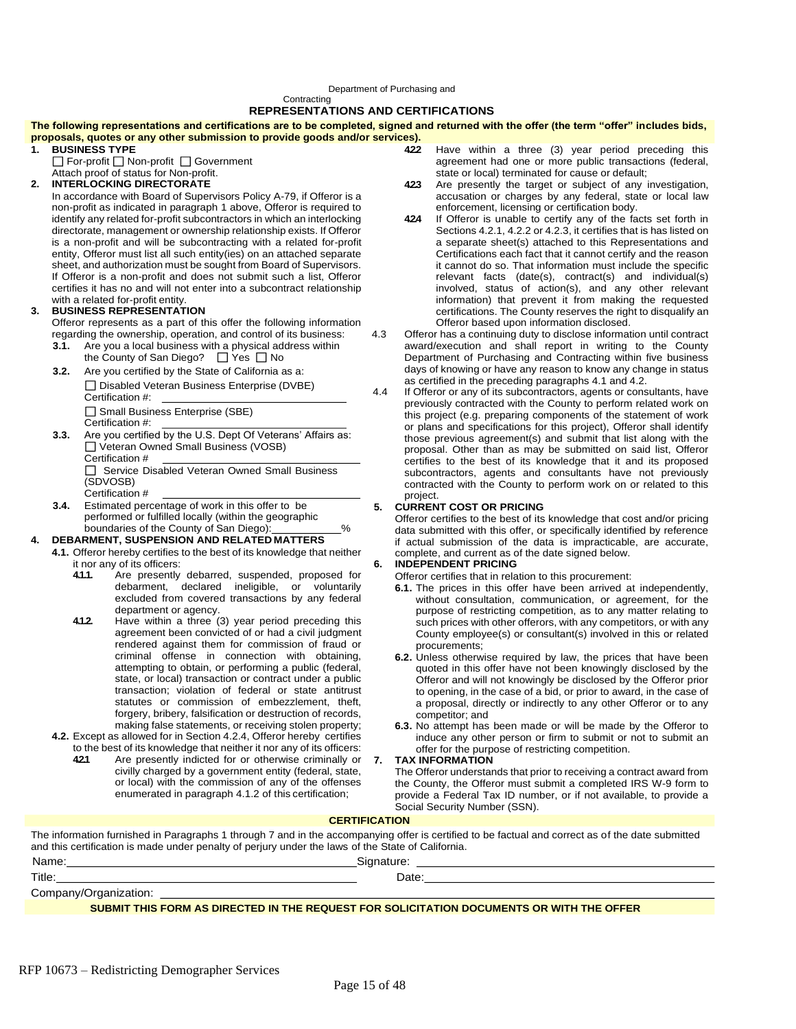#### Department of Purchasing and

**Contracting** 

#### **REPRESENTATIONS AND CERTIFICATIONS**

**The following representations and certifications are to be completed, signed and returned with the offer (the term "offer" includes bids, proposals, quotes or any other submission to provide goods and/or services).**

- **1. BUSINESS TYPE** □ For-profit □ Non-profit □ Government
- Attach proof of status for Non-profit.

#### **2. INTERLOCKING DIRECTORATE**

In accordance with Board of Supervisors Policy A-79, if Offeror is a non-profit as indicated in paragraph 1 above, Offeror is required to identify any related for-profit subcontractors in which an interlocking directorate, management or ownership relationship exists. If Offeror is a non-profit and will be subcontracting with a related for-profit entity, Offeror must list all such entity(ies) on an attached separate sheet, and authorization must be sought from Board of Supervisors. If Offeror is a non-profit and does not submit such a list, Offeror certifies it has no and will not enter into a subcontract relationship with a related for-profit entity.

#### **3. BUSINESS REPRESENTATION**

Offeror represents as a part of this offer the following information regarding the ownership, operation, and control of its business:

- **3.1.** Are you a local business with a physical address within the County of San Diego?  $\Box$  Yes  $\Box$  No
- **3.2.** Are you certified by the State of California as a: □ Disabled Veteran Business Enterprise (DVBE) Certification #: □ Small Business Enterprise (SBE) Certification #:
- **3.3.** Are you certified by the U.S. Dept Of Veterans' Affairs as: □ Veteran Owned Small Business (VOSB) Certification #

Service Disabled Veteran Owned Small Business (SDVOSB) Certification #

**3.4.** Estimated percentage of work in this offer to be performed or fulfilled locally (within the geographic

#### boundaries of the County of San Diego):  $\frac{1}{2}$  % **4. DEBARMENT, SUSPENSION AND RELATED MATTERS**

- **4.1.** Offeror hereby certifies to the best of its knowledge that neither it nor any of its officers:
	- **4.1.1.** Are presently debarred, suspended, proposed for debarment, declared ineligible, or voluntarily excluded from covered transactions by any federal department or agency.
	- **4.1.2.** Have within a three (3) year period preceding this agreement been convicted of or had a civil judgment rendered against them for commission of fraud or criminal offense in connection with obtaining, attempting to obtain, or performing a public (federal, state, or local) transaction or contract under a public transaction; violation of federal or state antitrust statutes or commission of embezzlement, theft, forgery, bribery, falsification or destruction of records, making false statements, or receiving stolen property;
- **4.2.** Except as allowed for in Section 4.2.4, Offeror hereby certifies to the best of its knowledge that neither it nor any of its officers:
	- **4.2.1** Are presently indicted for or otherwise criminally or civilly charged by a government entity (federal, state, or local) with the commission of any of the offenses enumerated in paragraph 4.1.2 of this certification;
- **4.2.2** Have within a three (3) year period preceding this agreement had one or more public transactions (federal, state or local) terminated for cause or default;
- **4.2.3** Are presently the target or subject of any investigation, accusation or charges by any federal, state or local law enforcement, licensing or certification body.
- **4.2.4** If Offeror is unable to certify any of the facts set forth in Sections 4.2.1, 4.2.2 or 4.2.3, it certifies that is has listed on a separate sheet(s) attached to this Representations and Certifications each fact that it cannot certify and the reason it cannot do so. That information must include the specific relevant facts (date(s), contract(s) and individual(s) involved, status of action(s), and any other relevant information) that prevent it from making the requested certifications. The County reserves the right to disqualify an Offeror based upon information disclosed.
- 4.3 Offeror has a continuing duty to disclose information until contract award/execution and shall report in writing to the County Department of Purchasing and Contracting within five business days of knowing or have any reason to know any change in status as certified in the preceding paragraphs 4.1 and 4.2.
- 4.4 If Offeror or any of its subcontractors, agents or consultants, have previously contracted with the County to perform related work on this project (e.g. preparing components of the statement of work or plans and specifications for this project), Offeror shall identify those previous agreement(s) and submit that list along with the proposal. Other than as may be submitted on said list, Offeror certifies to the best of its knowledge that it and its proposed subcontractors, agents and consultants have not previously contracted with the County to perform work on or related to this project.

#### **5. CURRENT COST OR PRICING**

Offeror certifies to the best of its knowledge that cost and/or pricing data submitted with this offer, or specifically identified by reference if actual submission of the data is impracticable, are accurate, complete, and current as of the date signed below.

#### **6. INDEPENDENT PRICING**

Offeror certifies that in relation to this procurement:

- **6.1.** The prices in this offer have been arrived at independently, without consultation, communication, or agreement, for the purpose of restricting competition, as to any matter relating to such prices with other offerors, with any competitors, or with any County employee(s) or consultant(s) involved in this or related procurements;
- **6.2.** Unless otherwise required by law, the prices that have been quoted in this offer have not been knowingly disclosed by the Offeror and will not knowingly be disclosed by the Offeror prior to opening, in the case of a bid, or prior to award, in the case of <sup>a</sup> proposal, directly or indirectly to any other Offeror or to any competitor; and
- **6.3.** No attempt has been made or will be made by the Offeror to induce any other person or firm to submit or not to submit an offer for the purpose of restricting competition.

**7. TAX INFORMATION**

The Offeror understands that prior to receiving a contract award from the County, the Offeror must submit a completed IRS W-9 form to provide a Federal Tax ID number, or if not available, to provide a Social Security Number (SSN).

#### **CERTIFICATION**

The information furnished in Paragraphs 1 through 7 and in the accompanying offer is certified to be factual and correct as of the date submitted and this certification is made under penalty of perjury under the laws of the State of California.

| Name:                 | Signature |  |
|-----------------------|-----------|--|
| Title:                | Date:     |  |
| Company/Organization: |           |  |

#### **SUBMIT THIS FORM AS DIRECTED IN THE REQUEST FOR SOLICITATION DOCUMENTS OR WITH THE OFFER**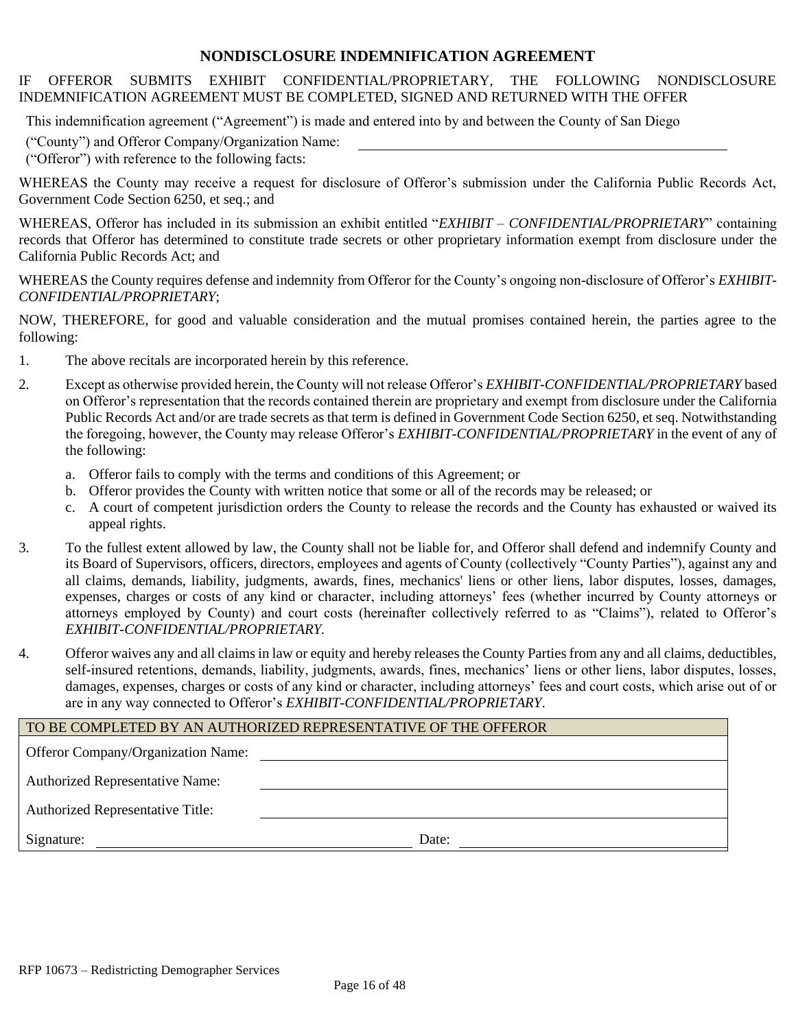#### **NONDISCLOSURE INDEMNIFICATION AGREEMENT**

#### IF OFFEROR SUBMITS EXHIBIT CONFIDENTIAL/PROPRIETARY, THE FOLLOWING NONDISCLOSURE INDEMNIFICATION AGREEMENT MUST BE COMPLETED, SIGNED AND RETURNED WITH THE OFFER

This indemnification agreement ("Agreement") is made and entered into by and between the County of San Diego

("County") and Offeror Company/Organization Name:

("Offeror") with reference to the following facts:

WHEREAS the County may receive a request for disclosure of Offeror's submission under the California Public Records Act, Government Code Section 6250, et seq.; and

WHEREAS, Offeror has included in its submission an exhibit entitled "*EXHIBIT – CONFIDENTIAL/PROPRIETARY*" containing records that Offeror has determined to constitute trade secrets or other proprietary information exempt from disclosure under the California Public Records Act; and

WHEREAS the County requires defense and indemnity from Offeror for the County's ongoing non-disclosure of Offeror's *EXHIBIT-CONFIDENTIAL/PROPRIETARY*;

NOW, THEREFORE, for good and valuable consideration and the mutual promises contained herein, the parties agree to the following:

- 1. The above recitals are incorporated herein by this reference.
- 2. Except as otherwise provided herein, the County will not release Offeror's *EXHIBIT-CONFIDENTIAL/PROPRIETARY* based on Offeror's representation that the records contained therein are proprietary and exempt from disclosure under the California Public Records Act and/or are trade secrets as that term is defined in Government Code Section 6250, et seq. Notwithstanding the foregoing, however, the County may release Offeror's *EXHIBIT-CONFIDENTIAL/PROPRIETARY* in the event of any of the following:
	- a. Offeror fails to comply with the terms and conditions of this Agreement; or
	- b. Offeror provides the County with written notice that some or all of the records may be released; or
	- c. A court of competent jurisdiction orders the County to release the records and the County has exhausted or waived its appeal rights.
- 3. To the fullest extent allowed by law, the County shall not be liable for, and Offeror shall defend and indemnify County and its Board of Supervisors, officers, directors, employees and agents of County (collectively "County Parties"), against any and all claims, demands, liability, judgments, awards, fines, mechanics' liens or other liens, labor disputes, losses, damages, expenses, charges or costs of any kind or character, including attorneys' fees (whether incurred by County attorneys or attorneys employed by County) and court costs (hereinafter collectively referred to as "Claims"), related to Offeror's *EXHIBIT-CONFIDENTIAL/PROPRIETARY.*
- 4. Offeror waives any and all claims in law or equity and hereby releases the County Parties from any and all claims, deductibles, self-insured retentions, demands, liability, judgments, awards, fines, mechanics' liens or other liens, labor disputes, losses, damages, expenses, charges or costs of any kind or character, including attorneys' fees and court costs, which arise out of or are in any way connected to Offeror's *EXHIBIT-CONFIDENTIAL/PROPRIETARY*.

| TO BE COMPLETED BY AN AUTHORIZED REPRESENTATIVE OF THE OFFEROR |       |  |
|----------------------------------------------------------------|-------|--|
| <b>Offeror Company/Organization Name:</b>                      |       |  |
| <b>Authorized Representative Name:</b>                         |       |  |
| <b>Authorized Representative Title:</b>                        |       |  |
| Signature:                                                     | Date: |  |
|                                                                |       |  |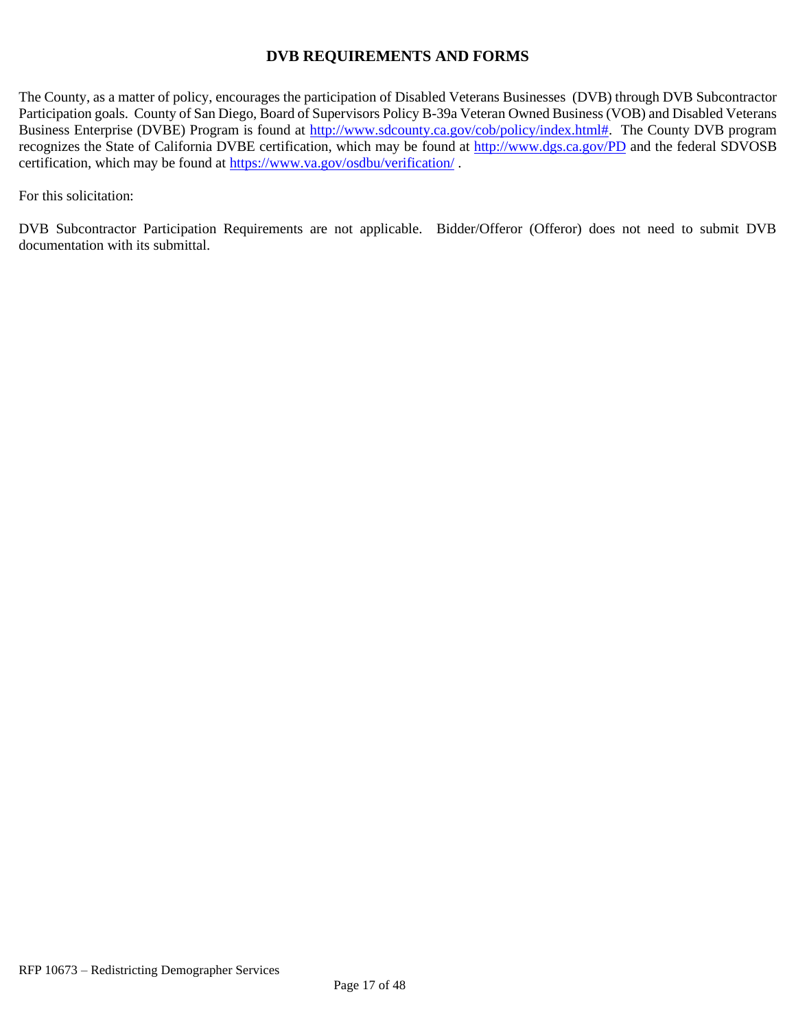#### **DVB REQUIREMENTS AND FORMS**

The County, as a matter of policy, encourages the participation of Disabled Veterans Businesses (DVB) through DVB Subcontractor Participation goals. County of San Diego, Board of Supervisors Policy B-39a Veteran Owned Business (VOB) and Disabled Veterans Business Enterprise (DVBE) Program is found at [http://www.sdcounty.ca.gov/cob/policy/index.html#.](http://www.sdcounty.ca.gov/cob/policy/index.html) The County DVB program recognizes the State of California DVBE certification, which may be found at<http://www.dgs.ca.gov/PD> and the federal SDVOSB certification, which may be found at<https://www.va.gov/osdbu/verification/> .

For this solicitation:

DVB Subcontractor Participation Requirements are not applicable. Bidder/Offeror (Offeror) does not need to submit DVB documentation with its submittal.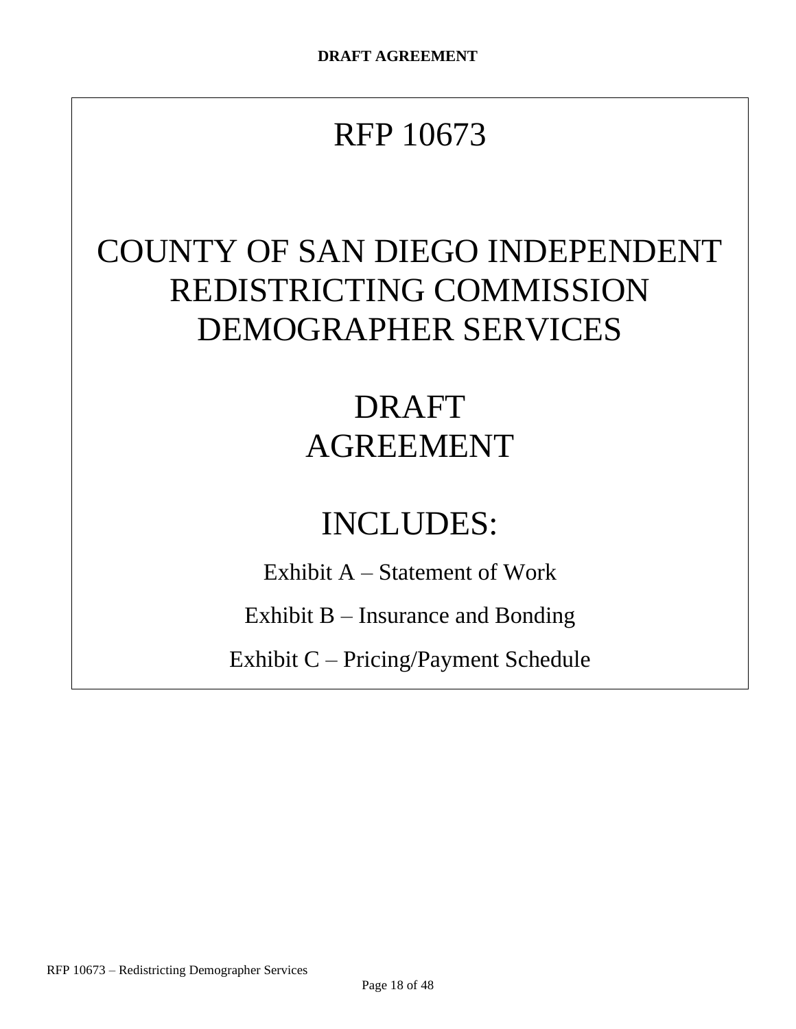# RFP 10673

# COUNTY OF SAN DIEGO INDEPENDENT REDISTRICTING COMMISSION DEMOGRAPHER SERVICES

# DRAFT AGREEMENT

# INCLUDES:

Exhibit A – Statement of Work

Exhibit B – Insurance and Bonding

Exhibit C – Pricing/Payment Schedule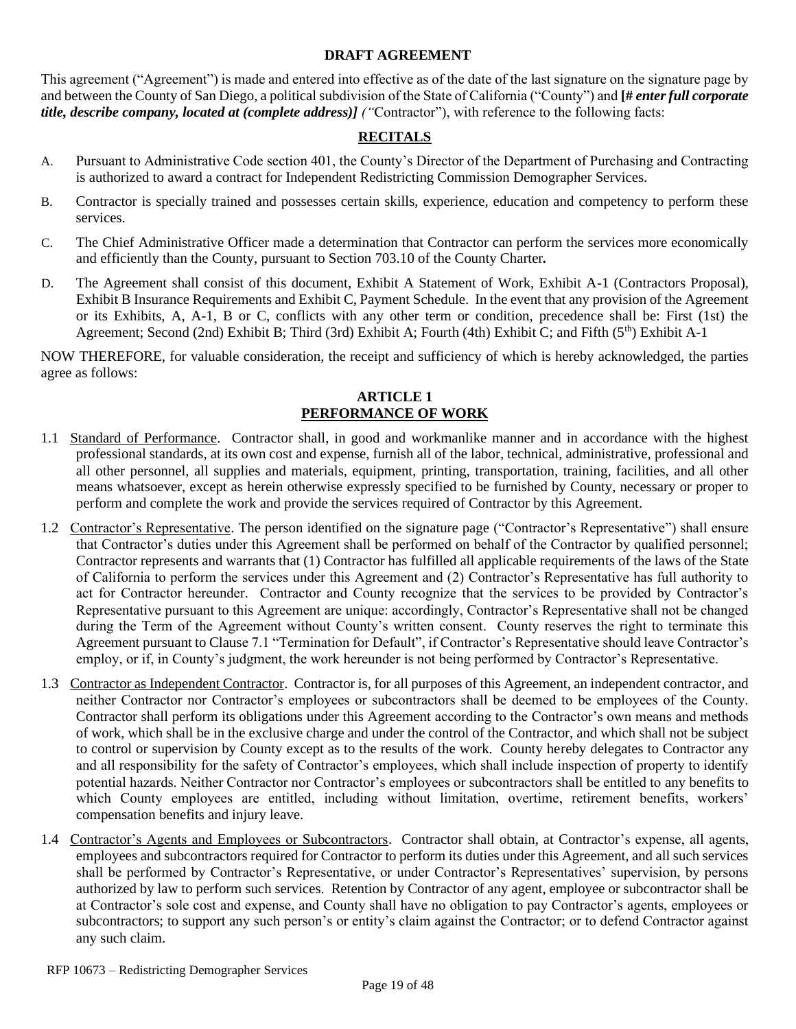#### **DRAFT AGREEMENT**

This agreement ("Agreement") is made and entered into effective as of the date of the last signature on the signature page by and between the County of San Diego, a political subdivision of the State of California ("County") and **[#** *enter full corporate title, describe company, located at (complete address)] ("*Contractor"), with reference to the following facts:

#### **RECITALS**

- A. Pursuant to Administrative Code section 401, the County's Director of the Department of Purchasing and Contracting is authorized to award a contract for Independent Redistricting Commission Demographer Services.
- B. Contractor is specially trained and possesses certain skills, experience, education and competency to perform these services.
- C. The Chief Administrative Officer made a determination that Contractor can perform the services more economically and efficiently than the County, pursuant to Section 703.10 of the County Charter*.*
- D. The Agreement shall consist of this document, Exhibit A Statement of Work, Exhibit A-1 (Contractors Proposal), Exhibit B Insurance Requirements and Exhibit C, Payment Schedule. In the event that any provision of the Agreement or its Exhibits, A, A-1, B or C, conflicts with any other term or condition, precedence shall be: First (1st) the Agreement; Second (2nd) Exhibit B; Third (3rd) Exhibit A; Fourth (4th) Exhibit C; and Fifth (5th) Exhibit A-1

NOW THEREFORE, for valuable consideration, the receipt and sufficiency of which is hereby acknowledged, the parties agree as follows:

#### **ARTICLE 1 PERFORMANCE OF WORK**

- 1.1 Standard of Performance. Contractor shall, in good and workmanlike manner and in accordance with the highest professional standards, at its own cost and expense, furnish all of the labor, technical, administrative, professional and all other personnel, all supplies and materials, equipment, printing, transportation, training, facilities, and all other means whatsoever, except as herein otherwise expressly specified to be furnished by County, necessary or proper to perform and complete the work and provide the services required of Contractor by this Agreement.
- 1.2 Contractor's Representative. The person identified on the signature page ("Contractor's Representative") shall ensure that Contractor's duties under this Agreement shall be performed on behalf of the Contractor by qualified personnel; Contractor represents and warrants that (1) Contractor has fulfilled all applicable requirements of the laws of the State of California to perform the services under this Agreement and (2) Contractor's Representative has full authority to act for Contractor hereunder. Contractor and County recognize that the services to be provided by Contractor's Representative pursuant to this Agreement are unique: accordingly, Contractor's Representative shall not be changed during the Term of the Agreement without County's written consent. County reserves the right to terminate this Agreement pursuant to Clause 7.1 "Termination for Default", if Contractor's Representative should leave Contractor's employ, or if, in County's judgment, the work hereunder is not being performed by Contractor's Representative.
- 1.3 Contractor as Independent Contractor. Contractor is, for all purposes of this Agreement, an independent contractor, and neither Contractor nor Contractor's employees or subcontractors shall be deemed to be employees of the County. Contractor shall perform its obligations under this Agreement according to the Contractor's own means and methods of work, which shall be in the exclusive charge and under the control of the Contractor, and which shall not be subject to control or supervision by County except as to the results of the work. County hereby delegates to Contractor any and all responsibility for the safety of Contractor's employees, which shall include inspection of property to identify potential hazards. Neither Contractor nor Contractor's employees or subcontractors shall be entitled to any benefits to which County employees are entitled, including without limitation, overtime, retirement benefits, workers' compensation benefits and injury leave.
- 1.4 Contractor's Agents and Employees or Subcontractors. Contractor shall obtain, at Contractor's expense, all agents, employees and subcontractors required for Contractor to perform its duties under this Agreement, and all such services shall be performed by Contractor's Representative, or under Contractor's Representatives' supervision, by persons authorized by law to perform such services. Retention by Contractor of any agent, employee or subcontractor shall be at Contractor's sole cost and expense, and County shall have no obligation to pay Contractor's agents, employees or subcontractors; to support any such person's or entity's claim against the Contractor; or to defend Contractor against any such claim.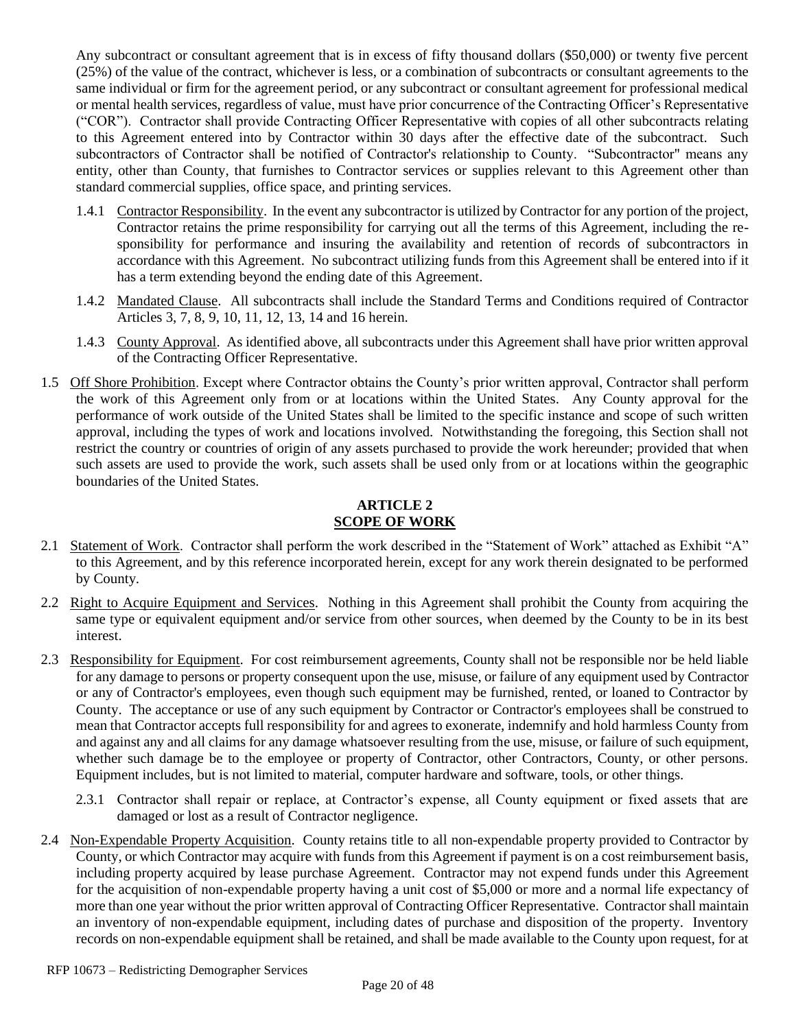Any subcontract or consultant agreement that is in excess of fifty thousand dollars (\$50,000) or twenty five percent (25%) of the value of the contract, whichever is less, or a combination of subcontracts or consultant agreements to the same individual or firm for the agreement period, or any subcontract or consultant agreement for professional medical or mental health services, regardless of value, must have prior concurrence of the Contracting Officer's Representative ("COR"). Contractor shall provide Contracting Officer Representative with copies of all other subcontracts relating to this Agreement entered into by Contractor within 30 days after the effective date of the subcontract. Such subcontractors of Contractor shall be notified of Contractor's relationship to County. "Subcontractor" means any entity, other than County, that furnishes to Contractor services or supplies relevant to this Agreement other than standard commercial supplies, office space, and printing services.

- 1.4.1 Contractor Responsibility. In the event any subcontractor is utilized by Contractor for any portion of the project, Contractor retains the prime responsibility for carrying out all the terms of this Agreement, including the responsibility for performance and insuring the availability and retention of records of subcontractors in accordance with this Agreement. No subcontract utilizing funds from this Agreement shall be entered into if it has a term extending beyond the ending date of this Agreement.
- 1.4.2 Mandated Clause. All subcontracts shall include the Standard Terms and Conditions required of Contractor Articles 3, 7, 8, 9, 10, 11, 12, 13, 14 and 16 herein.
- 1.4.3 County Approval. As identified above, all subcontracts under this Agreement shall have prior written approval of the Contracting Officer Representative.
- 1.5 Off Shore Prohibition. Except where Contractor obtains the County's prior written approval, Contractor shall perform the work of this Agreement only from or at locations within the United States. Any County approval for the performance of work outside of the United States shall be limited to the specific instance and scope of such written approval, including the types of work and locations involved. Notwithstanding the foregoing, this Section shall not restrict the country or countries of origin of any assets purchased to provide the work hereunder; provided that when such assets are used to provide the work, such assets shall be used only from or at locations within the geographic boundaries of the United States.

#### **ARTICLE 2 SCOPE OF WORK**

- 2.1 Statement of Work. Contractor shall perform the work described in the "Statement of Work" attached as Exhibit "A" to this Agreement, and by this reference incorporated herein, except for any work therein designated to be performed by County.
- 2.2 Right to Acquire Equipment and Services. Nothing in this Agreement shall prohibit the County from acquiring the same type or equivalent equipment and/or service from other sources, when deemed by the County to be in its best interest.
- 2.3 Responsibility for Equipment. For cost reimbursement agreements, County shall not be responsible nor be held liable for any damage to persons or property consequent upon the use, misuse, or failure of any equipment used by Contractor or any of Contractor's employees, even though such equipment may be furnished, rented, or loaned to Contractor by County. The acceptance or use of any such equipment by Contractor or Contractor's employees shall be construed to mean that Contractor accepts full responsibility for and agrees to exonerate, indemnify and hold harmless County from and against any and all claims for any damage whatsoever resulting from the use, misuse, or failure of such equipment, whether such damage be to the employee or property of Contractor, other Contractors, County, or other persons. Equipment includes, but is not limited to material, computer hardware and software, tools, or other things.
	- 2.3.1 Contractor shall repair or replace, at Contractor's expense, all County equipment or fixed assets that are damaged or lost as a result of Contractor negligence.
- <span id="page-19-0"></span>2.4 Non-Expendable Property Acquisition. County retains title to all non-expendable property provided to Contractor by County, or which Contractor may acquire with funds from this Agreement if payment is on a cost reimbursement basis, including property acquired by lease purchase Agreement. Contractor may not expend funds under this Agreement for the acquisition of non-expendable property having a unit cost of \$5,000 or more and a normal life expectancy of more than one year without the prior written approval of Contracting Officer Representative. Contractor shall maintain an inventory of non-expendable equipment, including dates of purchase and disposition of the property. Inventory records on non-expendable equipment shall be retained, and shall be made available to the County upon request, for at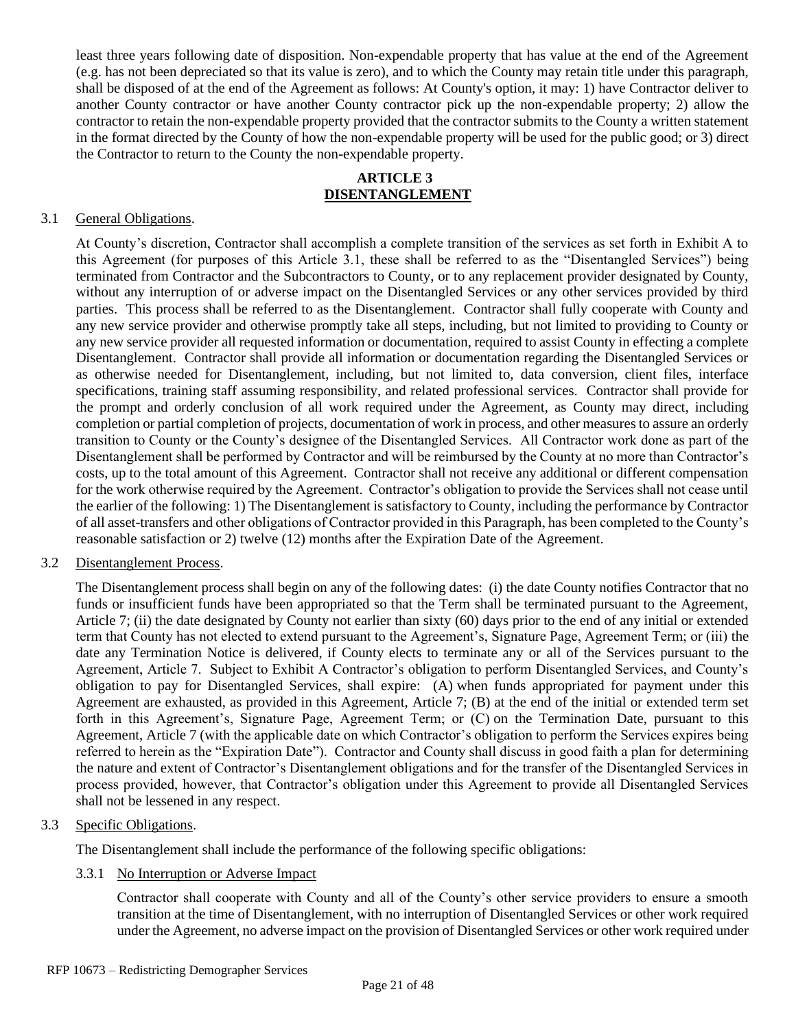least three years following date of disposition. Non-expendable property that has value at the end of the Agreement (e.g. has not been depreciated so that its value is zero), and to which the County may retain title under this paragraph, shall be disposed of at the end of the Agreement as follows: At County's option, it may: 1) have Contractor deliver to another County contractor or have another County contractor pick up the non-expendable property; 2) allow the contractor to retain the non-expendable property provided that the contractor submits to the County a written statement in the format directed by the County of how the non-expendable property will be used for the public good; or 3) direct the Contractor to return to the County the non-expendable property.

#### **ARTICLE 3 DISENTANGLEMENT**

#### 3.1 General Obligations.

At County's discretion, Contractor shall accomplish a complete transition of the services as set forth in Exhibit A to this Agreement (for purposes of this Article 3.1, these shall be referred to as the "Disentangled Services") being terminated from Contractor and the Subcontractors to County, or to any replacement provider designated by County, without any interruption of or adverse impact on the Disentangled Services or any other services provided by third parties. This process shall be referred to as the Disentanglement. Contractor shall fully cooperate with County and any new service provider and otherwise promptly take all steps, including, but not limited to providing to County or any new service provider all requested information or documentation, required to assist County in effecting a complete Disentanglement. Contractor shall provide all information or documentation regarding the Disentangled Services or as otherwise needed for Disentanglement, including, but not limited to, data conversion, client files, interface specifications, training staff assuming responsibility, and related professional services. Contractor shall provide for the prompt and orderly conclusion of all work required under the Agreement, as County may direct, including completion or partial completion of projects, documentation of work in process, and other measures to assure an orderly transition to County or the County's designee of the Disentangled Services. All Contractor work done as part of the Disentanglement shall be performed by Contractor and will be reimbursed by the County at no more than Contractor's costs, up to the total amount of this Agreement. Contractor shall not receive any additional or different compensation for the work otherwise required by the Agreement. Contractor's obligation to provide the Services shall not cease until the earlier of the following: 1) The Disentanglement is satisfactory to County, including the performance by Contractor of all asset-transfers and other obligations of Contractor provided in this Paragraph, has been completed to the County's reasonable satisfaction or 2) twelve (12) months after the Expiration Date of the Agreement.

#### 3.2 Disentanglement Process.

The Disentanglement process shall begin on any of the following dates: (i) the date County notifies Contractor that no funds or insufficient funds have been appropriated so that the Term shall be terminated pursuant to the Agreement, Article 7; (ii) the date designated by County not earlier than sixty (60) days prior to the end of any initial or extended term that County has not elected to extend pursuant to the Agreement's, Signature Page, Agreement Term; or (iii) the date any Termination Notice is delivered, if County elects to terminate any or all of the Services pursuant to the Agreement, Article 7. Subject to Exhibit A Contractor's obligation to perform Disentangled Services, and County's obligation to pay for Disentangled Services, shall expire: (A) when funds appropriated for payment under this Agreement are exhausted, as provided in this Agreement, Article 7; (B) at the end of the initial or extended term set forth in this Agreement's, Signature Page, Agreement Term; or (C) on the Termination Date, pursuant to this Agreement, Article 7 (with the applicable date on which Contractor's obligation to perform the Services expires being referred to herein as the "Expiration Date"). Contractor and County shall discuss in good faith a plan for determining the nature and extent of Contractor's Disentanglement obligations and for the transfer of the Disentangled Services in process provided, however, that Contractor's obligation under this Agreement to provide all Disentangled Services shall not be lessened in any respect.

#### 3.3 Specific Obligations.

The Disentanglement shall include the performance of the following specific obligations:

#### 3.3.1 No Interruption or Adverse Impact

Contractor shall cooperate with County and all of the County's other service providers to ensure a smooth transition at the time of Disentanglement, with no interruption of Disentangled Services or other work required under the Agreement, no adverse impact on the provision of Disentangled Services or other work required under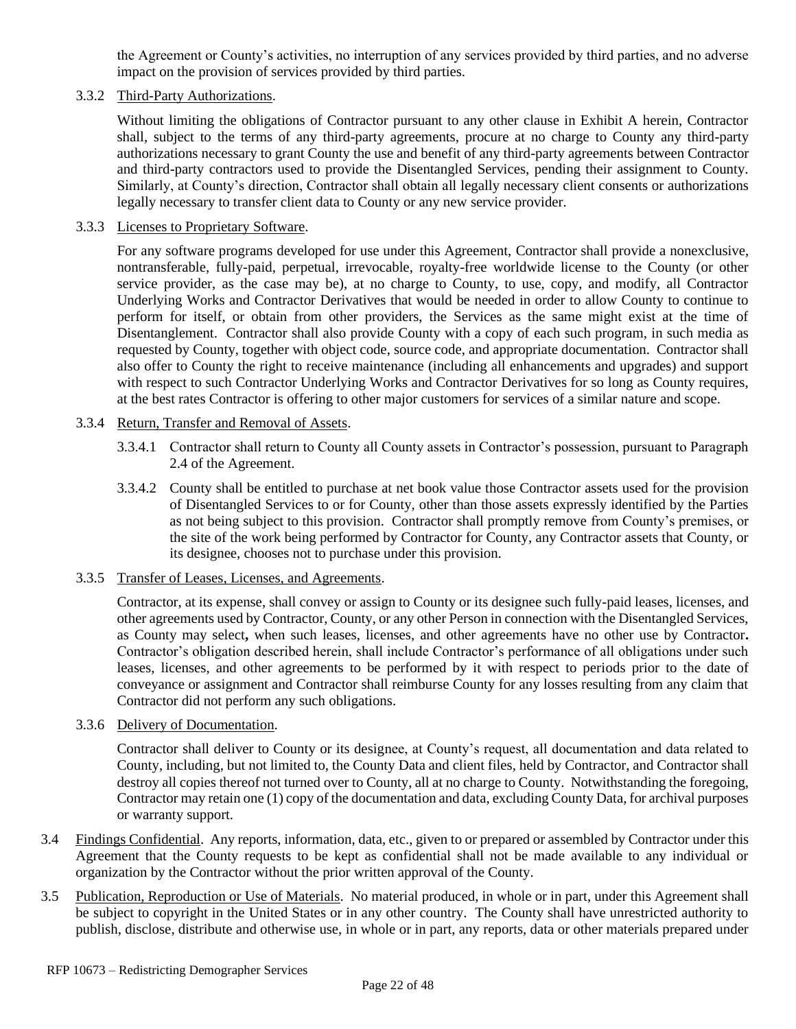the Agreement or County's activities, no interruption of any services provided by third parties, and no adverse impact on the provision of services provided by third parties.

#### 3.3.2 Third-Party Authorizations.

Without limiting the obligations of Contractor pursuant to any other clause in Exhibit A herein, Contractor shall, subject to the terms of any third-party agreements, procure at no charge to County any third-party authorizations necessary to grant County the use and benefit of any third-party agreements between Contractor and third-party contractors used to provide the Disentangled Services, pending their assignment to County. Similarly, at County's direction, Contractor shall obtain all legally necessary client consents or authorizations legally necessary to transfer client data to County or any new service provider.

#### 3.3.3 Licenses to Proprietary Software.

For any software programs developed for use under this Agreement, Contractor shall provide a nonexclusive, nontransferable, fully-paid, perpetual, irrevocable, royalty-free worldwide license to the County (or other service provider, as the case may be), at no charge to County, to use, copy, and modify, all Contractor Underlying Works and Contractor Derivatives that would be needed in order to allow County to continue to perform for itself, or obtain from other providers, the Services as the same might exist at the time of Disentanglement. Contractor shall also provide County with a copy of each such program, in such media as requested by County, together with object code, source code, and appropriate documentation. Contractor shall also offer to County the right to receive maintenance (including all enhancements and upgrades) and support with respect to such Contractor Underlying Works and Contractor Derivatives for so long as County requires, at the best rates Contractor is offering to other major customers for services of a similar nature and scope.

#### 3.3.4 Return, Transfer and Removal of Assets.

- 3.3.4.1 Contractor shall return to County all County assets in Contractor's possession, pursuant to Paragraph [2.4](#page-19-0) of the Agreement.
- 3.3.4.2 County shall be entitled to purchase at net book value those Contractor assets used for the provision of Disentangled Services to or for County, other than those assets expressly identified by the Parties as not being subject to this provision. Contractor shall promptly remove from County's premises, or the site of the work being performed by Contractor for County, any Contractor assets that County, or its designee, chooses not to purchase under this provision.

#### 3.3.5 Transfer of Leases, Licenses, and Agreements.

Contractor, at its expense, shall convey or assign to County or its designee such fully-paid leases, licenses, and other agreements used by Contractor, County, or any other Person in connection with the Disentangled Services, as County may select**,** when such leases, licenses, and other agreements have no other use by Contractor**.** Contractor's obligation described herein, shall include Contractor's performance of all obligations under such leases, licenses, and other agreements to be performed by it with respect to periods prior to the date of conveyance or assignment and Contractor shall reimburse County for any losses resulting from any claim that Contractor did not perform any such obligations.

#### 3.3.6 Delivery of Documentation.

Contractor shall deliver to County or its designee, at County's request, all documentation and data related to County, including, but not limited to, the County Data and client files, held by Contractor, and Contractor shall destroy all copies thereof not turned over to County, all at no charge to County. Notwithstanding the foregoing, Contractor may retain one (1) copy of the documentation and data, excluding County Data, for archival purposes or warranty support.

- 3.4 Findings Confidential. Any reports, information, data, etc., given to or prepared or assembled by Contractor under this Agreement that the County requests to be kept as confidential shall not be made available to any individual or organization by the Contractor without the prior written approval of the County.
- 3.5 Publication, Reproduction or Use of Materials. No material produced, in whole or in part, under this Agreement shall be subject to copyright in the United States or in any other country. The County shall have unrestricted authority to publish, disclose, distribute and otherwise use, in whole or in part, any reports, data or other materials prepared under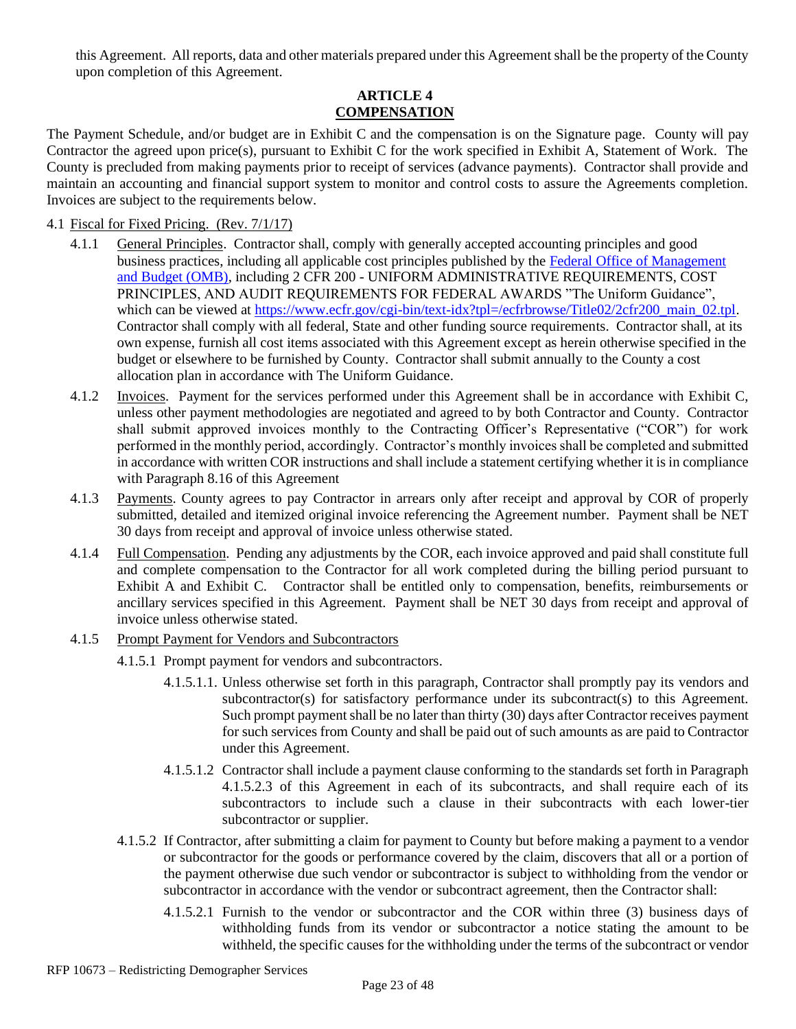this Agreement. All reports, data and other materials prepared under this Agreement shall be the property of the County upon completion of this Agreement.

#### **ARTICLE 4 COMPENSATION**

The Payment Schedule, and/or budget are in Exhibit C and the compensation is on the Signature page.County will pay Contractor the agreed upon price(s), pursuant to Exhibit C for the work specified in Exhibit A, Statement of Work. The County is precluded from making payments prior to receipt of services (advance payments). Contractor shall provide and maintain an accounting and financial support system to monitor and control costs to assure the Agreements completion. Invoices are subject to the requirements below.

#### 4.1 Fiscal for Fixed Pricing. (Rev. 7/1/17)

- 4.1.1 General Principles. Contractor shall, comply with generally accepted accounting principles and good business practices, including all applicable cost principles published by the [Federal Office of Management](http://www.whitehouse.gov/omb/)  [and Budget \(OMB\),](http://www.whitehouse.gov/omb/) including 2 CFR 200 - UNIFORM ADMINISTRATIVE REQUIREMENTS, COST PRINCIPLES, AND AUDIT REQUIREMENTS FOR FEDERAL AWARDS "The Uniform Guidance", which can be viewed at [https://www.ecfr.gov/cgi-bin/text-idx?tpl=/ecfrbrowse/Title02/2cfr200\\_main\\_02.tpl.](https://www.ecfr.gov/cgi-bin/text-idx?tpl=/ecfrbrowse/Title02/2cfr200_main_02.tpl) Contractor shall comply with all federal, State and other funding source requirements. Contractor shall, at its own expense, furnish all cost items associated with this Agreement except as herein otherwise specified in the budget or elsewhere to be furnished by County. Contractor shall submit annually to the County a cost allocation plan in accordance with The Uniform Guidance.
- 4.1.2 Invoices. Payment for the services performed under this Agreement shall be in accordance with Exhibit C, unless other payment methodologies are negotiated and agreed to by both Contractor and County. Contractor shall submit approved invoices monthly to the Contracting Officer's Representative ("COR") for work performed in the monthly period, accordingly. Contractor's monthly invoices shall be completed and submitted in accordance with written COR instructions and shall include a statement certifying whether it is in compliance with Paragraph 8.16 of this Agreement
- 4.1.3 Payments. County agrees to pay Contractor in arrears only after receipt and approval by COR of properly submitted, detailed and itemized original invoice referencing the Agreement number. Payment shall be NET 30 days from receipt and approval of invoice unless otherwise stated.
- 4.1.4 Full Compensation. Pending any adjustments by the COR, each invoice approved and paid shall constitute full and complete compensation to the Contractor for all work completed during the billing period pursuant to Exhibit A and Exhibit C. Contractor shall be entitled only to compensation, benefits, reimbursements or ancillary services specified in this Agreement. Payment shall be NET 30 days from receipt and approval of invoice unless otherwise stated.
- <span id="page-22-0"></span>4.1.5 Prompt Payment for Vendors and Subcontractors
	- 4.1.5.1 Prompt payment for vendors and subcontractors.
		- 4.1.5.1.1. Unless otherwise set forth in this paragraph, Contractor shall promptly pay its vendors and subcontractor(s) for satisfactory performance under its subcontract(s) to this Agreement. Such prompt payment shall be no later than thirty (30) days after Contractor receives payment for such services from County and shall be paid out of such amounts as are paid to Contractor under this Agreement.
		- 4.1.5.1.2 Contractor shall include a payment clause conforming to the standards set forth in Paragraph [4.1.5.2.3](#page-23-0) of this Agreement in each of its subcontracts, and shall require each of its subcontractors to include such a clause in their subcontracts with each lower-tier subcontractor or supplier.
	- 4.1.5.2 If Contractor, after submitting a claim for payment to County but before making a payment to a vendor or subcontractor for the goods or performance covered by the claim, discovers that all or a portion of the payment otherwise due such vendor or subcontractor is subject to withholding from the vendor or subcontractor in accordance with the vendor or subcontract agreement, then the Contractor shall:
		- 4.1.5.2.1 Furnish to the vendor or subcontractor and the COR within three (3) business days of withholding funds from its vendor or subcontractor a notice stating the amount to be withheld, the specific causes for the withholding under the terms of the subcontract or vendor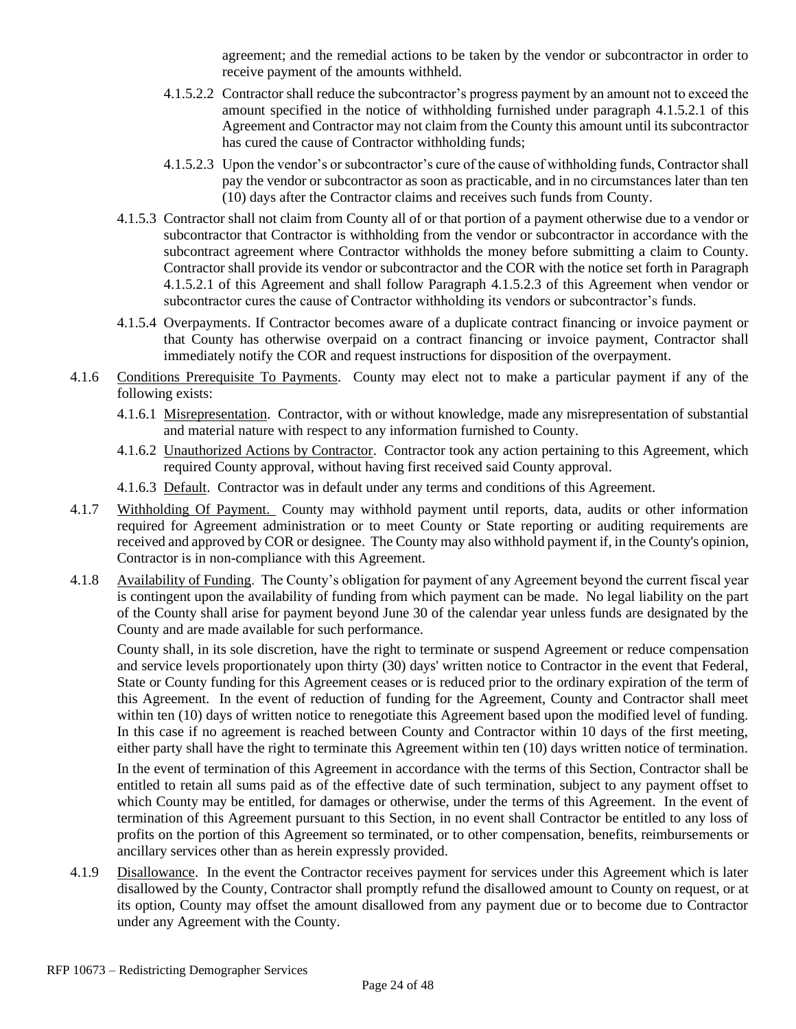agreement; and the remedial actions to be taken by the vendor or subcontractor in order to receive payment of the amounts withheld.

- 4.1.5.2.2 Contractor shall reduce the subcontractor's progress payment by an amount not to exceed the amount specified in the notice of withholding furnished under paragraph [4.1.5.2.1](#page-22-0) of this Agreement and Contractor may not claim from the County this amount until its subcontractor has cured the cause of Contractor withholding funds;
- 4.1.5.2.3 Upon the vendor's or subcontractor's cure of the cause of withholding funds, Contractor shall pay the vendor or subcontractor as soon as practicable, and in no circumstances later than ten (10) days after the Contractor claims and receives such funds from County.
- <span id="page-23-0"></span>4.1.5.3 Contractor shall not claim from County all of or that portion of a payment otherwise due to a vendor or subcontractor that Contractor is withholding from the vendor or subcontractor in accordance with the subcontract agreement where Contractor withholds the money before submitting a claim to County. Contractor shall provide its vendor or subcontractor and the COR with the notice set forth in Paragraph [4.1.5.2.1](#page-22-0) of this Agreement and shall follow Paragraph [4.1.5.2.3](#page-23-0) of this Agreement when vendor or subcontractor cures the cause of Contractor withholding its vendors or subcontractor's funds.
- 4.1.5.4 Overpayments. If Contractor becomes aware of a duplicate contract financing or invoice payment or that County has otherwise overpaid on a contract financing or invoice payment, Contractor shall immediately notify the COR and request instructions for disposition of the overpayment.
- 4.1.6 Conditions Prerequisite To Payments. County may elect not to make a particular payment if any of the following exists:
	- 4.1.6.1 Misrepresentation. Contractor, with or without knowledge, made any misrepresentation of substantial and material nature with respect to any information furnished to County.
	- 4.1.6.2 Unauthorized Actions by Contractor. Contractor took any action pertaining to this Agreement, which required County approval, without having first received said County approval.
	- 4.1.6.3 Default. Contractor was in default under any terms and conditions of this Agreement.
- 4.1.7 Withholding Of Payment. County may withhold payment until reports, data, audits or other information required for Agreement administration or to meet County or State reporting or auditing requirements are received and approved by COR or designee. The County may also withhold payment if, in the County's opinion, Contractor is in non-compliance with this Agreement.
- 4.1.8 Availability of Funding. The County's obligation for payment of any Agreement beyond the current fiscal year is contingent upon the availability of funding from which payment can be made. No legal liability on the part of the County shall arise for payment beyond June 30 of the calendar year unless funds are designated by the County and are made available for such performance.

County shall, in its sole discretion, have the right to terminate or suspend Agreement or reduce compensation and service levels proportionately upon thirty (30) days' written notice to Contractor in the event that Federal, State or County funding for this Agreement ceases or is reduced prior to the ordinary expiration of the term of this Agreement. In the event of reduction of funding for the Agreement, County and Contractor shall meet within ten (10) days of written notice to renegotiate this Agreement based upon the modified level of funding. In this case if no agreement is reached between County and Contractor within 10 days of the first meeting, either party shall have the right to terminate this Agreement within ten (10) days written notice of termination.

In the event of termination of this Agreement in accordance with the terms of this Section, Contractor shall be entitled to retain all sums paid as of the effective date of such termination, subject to any payment offset to which County may be entitled, for damages or otherwise, under the terms of this Agreement. In the event of termination of this Agreement pursuant to this Section, in no event shall Contractor be entitled to any loss of profits on the portion of this Agreement so terminated, or to other compensation, benefits, reimbursements or ancillary services other than as herein expressly provided.

4.1.9 Disallowance. In the event the Contractor receives payment for services under this Agreement which is later disallowed by the County, Contractor shall promptly refund the disallowed amount to County on request, or at its option, County may offset the amount disallowed from any payment due or to become due to Contractor under any Agreement with the County.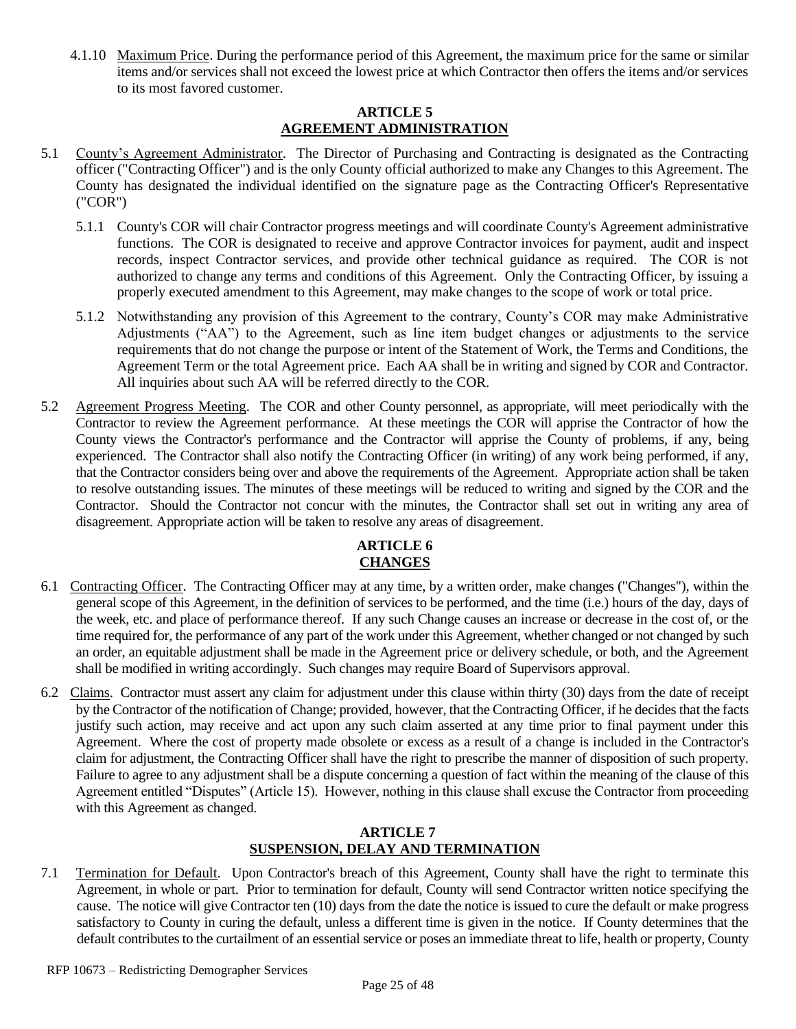4.1.10 Maximum Price. During the performance period of this Agreement, the maximum price for the same or similar items and/or services shall not exceed the lowest price at which Contractor then offers the items and/or services to its most favored customer.

#### **ARTICLE 5 AGREEMENT ADMINISTRATION**

- 5.1 County's Agreement Administrator. The Director of Purchasing and Contracting is designated as the Contracting officer ("Contracting Officer") and is the only County official authorized to make any Changes to this Agreement. The County has designated the individual identified on the signature page as the Contracting Officer's Representative ("COR")
	- 5.1.1 County's COR will chair Contractor progress meetings and will coordinate County's Agreement administrative functions. The COR is designated to receive and approve Contractor invoices for payment, audit and inspect records, inspect Contractor services, and provide other technical guidance as required. The COR is not authorized to change any terms and conditions of this Agreement. Only the Contracting Officer, by issuing a properly executed amendment to this Agreement, may make changes to the scope of work or total price.
	- 5.1.2 Notwithstanding any provision of this Agreement to the contrary, County's COR may make Administrative Adjustments ("AA") to the Agreement, such as line item budget changes or adjustments to the service requirements that do not change the purpose or intent of the Statement of Work, the Terms and Conditions, the Agreement Term or the total Agreement price. Each AA shall be in writing and signed by COR and Contractor. All inquiries about such AA will be referred directly to the COR.
- 5.2 Agreement Progress Meeting. The COR and other County personnel, as appropriate, will meet periodically with the Contractor to review the Agreement performance. At these meetings the COR will apprise the Contractor of how the County views the Contractor's performance and the Contractor will apprise the County of problems, if any, being experienced. The Contractor shall also notify the Contracting Officer (in writing) of any work being performed, if any, that the Contractor considers being over and above the requirements of the Agreement. Appropriate action shall be taken to resolve outstanding issues. The minutes of these meetings will be reduced to writing and signed by the COR and the Contractor. Should the Contractor not concur with the minutes, the Contractor shall set out in writing any area of disagreement. Appropriate action will be taken to resolve any areas of disagreement.

# **ARTICLE 6 CHANGES**

- 6.1 Contracting Officer. The Contracting Officer may at any time, by a written order, make changes ("Changes"), within the general scope of this Agreement, in the definition of services to be performed, and the time (i.e.) hours of the day, days of the week, etc. and place of performance thereof. If any such Change causes an increase or decrease in the cost of, or the time required for, the performance of any part of the work under this Agreement, whether changed or not changed by such an order, an equitable adjustment shall be made in the Agreement price or delivery schedule, or both, and the Agreement shall be modified in writing accordingly. Such changes may require Board of Supervisors approval.
- 6.2 Claims. Contractor must assert any claim for adjustment under this clause within thirty (30) days from the date of receipt by the Contractor of the notification of Change; provided, however, that the Contracting Officer, if he decides that the facts justify such action, may receive and act upon any such claim asserted at any time prior to final payment under this Agreement. Where the cost of property made obsolete or excess as a result of a change is included in the Contractor's claim for adjustment, the Contracting Officer shall have the right to prescribe the manner of disposition of such property. Failure to agree to any adjustment shall be a dispute concerning a question of fact within the meaning of the clause of this Agreement entitled "Disputes" (Article 15). However, nothing in this clause shall excuse the Contractor from proceeding with this Agreement as changed.

#### **ARTICLE 7 SUSPENSION, DELAY AND TERMINATION**

7.1 Termination for Default. Upon Contractor's breach of this Agreement, County shall have the right to terminate this Agreement, in whole or part. Prior to termination for default, County will send Contractor written notice specifying the cause. The notice will give Contractor ten (10) days from the date the notice is issued to cure the default or make progress satisfactory to County in curing the default, unless a different time is given in the notice. If County determines that the default contributes to the curtailment of an essential service or poses an immediate threat to life, health or property, County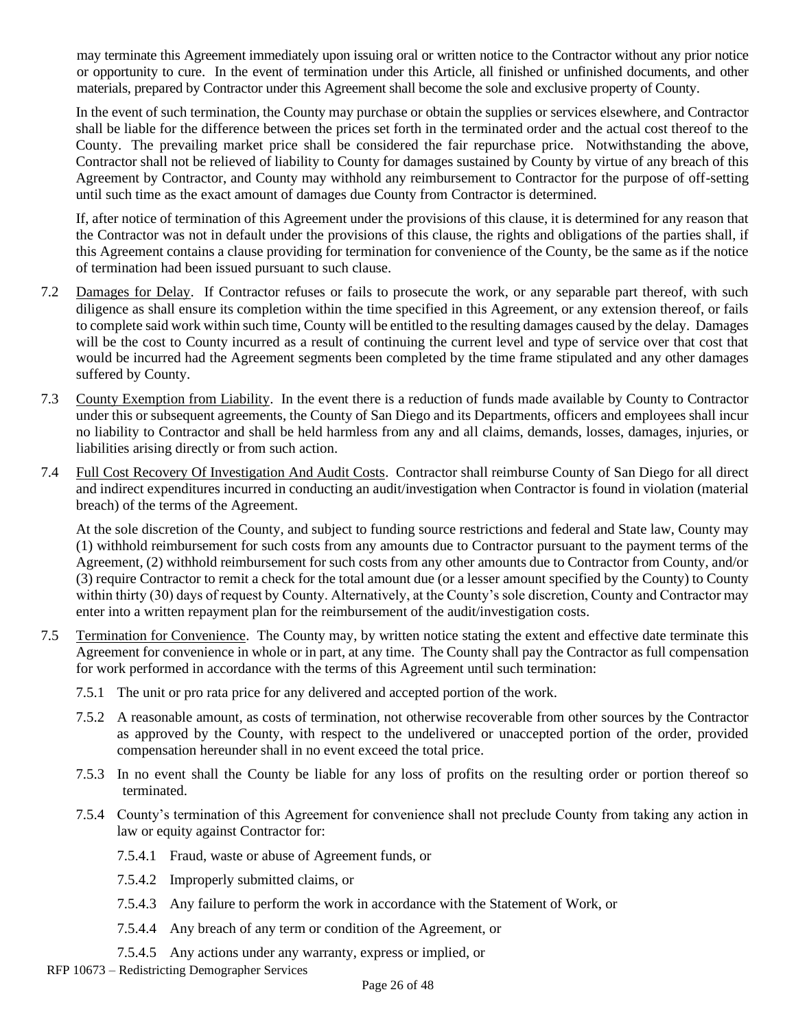may terminate this Agreement immediately upon issuing oral or written notice to the Contractor without any prior notice or opportunity to cure. In the event of termination under this Article, all finished or unfinished documents, and other materials, prepared by Contractor under this Agreement shall become the sole and exclusive property of County.

In the event of such termination, the County may purchase or obtain the supplies or services elsewhere, and Contractor shall be liable for the difference between the prices set forth in the terminated order and the actual cost thereof to the County. The prevailing market price shall be considered the fair repurchase price. Notwithstanding the above, Contractor shall not be relieved of liability to County for damages sustained by County by virtue of any breach of this Agreement by Contractor, and County may withhold any reimbursement to Contractor for the purpose of off-setting until such time as the exact amount of damages due County from Contractor is determined.

If, after notice of termination of this Agreement under the provisions of this clause, it is determined for any reason that the Contractor was not in default under the provisions of this clause, the rights and obligations of the parties shall, if this Agreement contains a clause providing for termination for convenience of the County, be the same as if the notice of termination had been issued pursuant to such clause.

- 7.2 Damages for Delay. If Contractor refuses or fails to prosecute the work, or any separable part thereof, with such diligence as shall ensure its completion within the time specified in this Agreement, or any extension thereof, or fails to complete said work within such time, County will be entitled to the resulting damages caused by the delay. Damages will be the cost to County incurred as a result of continuing the current level and type of service over that cost that would be incurred had the Agreement segments been completed by the time frame stipulated and any other damages suffered by County.
- 7.3 County Exemption from Liability. In the event there is a reduction of funds made available by County to Contractor under this or subsequent agreements, the County of San Diego and its Departments, officers and employees shall incur no liability to Contractor and shall be held harmless from any and all claims, demands, losses, damages, injuries, or liabilities arising directly or from such action.
- 7.4 Full Cost Recovery Of Investigation And Audit Costs. Contractor shall reimburse County of San Diego for all direct and indirect expenditures incurred in conducting an audit/investigation when Contractor is found in violation (material breach) of the terms of the Agreement.

At the sole discretion of the County, and subject to funding source restrictions and federal and State law, County may (1) withhold reimbursement for such costs from any amounts due to Contractor pursuant to the payment terms of the Agreement, (2) withhold reimbursement for such costs from any other amounts due to Contractor from County, and/or (3) require Contractor to remit a check for the total amount due (or a lesser amount specified by the County) to County within thirty (30) days of request by County. Alternatively, at the County's sole discretion, County and Contractor may enter into a written repayment plan for the reimbursement of the audit/investigation costs.

- 7.5 Termination for Convenience. The County may, by written notice stating the extent and effective date terminate this Agreement for convenience in whole or in part, at any time. The County shall pay the Contractor as full compensation for work performed in accordance with the terms of this Agreement until such termination:
	- 7.5.1 The unit or pro rata price for any delivered and accepted portion of the work.
	- 7.5.2 A reasonable amount, as costs of termination, not otherwise recoverable from other sources by the Contractor as approved by the County, with respect to the undelivered or unaccepted portion of the order, provided compensation hereunder shall in no event exceed the total price.
	- 7.5.3 In no event shall the County be liable for any loss of profits on the resulting order or portion thereof so terminated.
	- 7.5.4 County's termination of this Agreement for convenience shall not preclude County from taking any action in law or equity against Contractor for:
		- 7.5.4.1 Fraud, waste or abuse of Agreement funds, or
		- 7.5.4.2 Improperly submitted claims, or
		- 7.5.4.3 Any failure to perform the work in accordance with the Statement of Work, or
		- 7.5.4.4 Any breach of any term or condition of the Agreement, or
		- 7.5.4.5 Any actions under any warranty, express or implied, or
- RFP 10673 Redistricting Demographer Services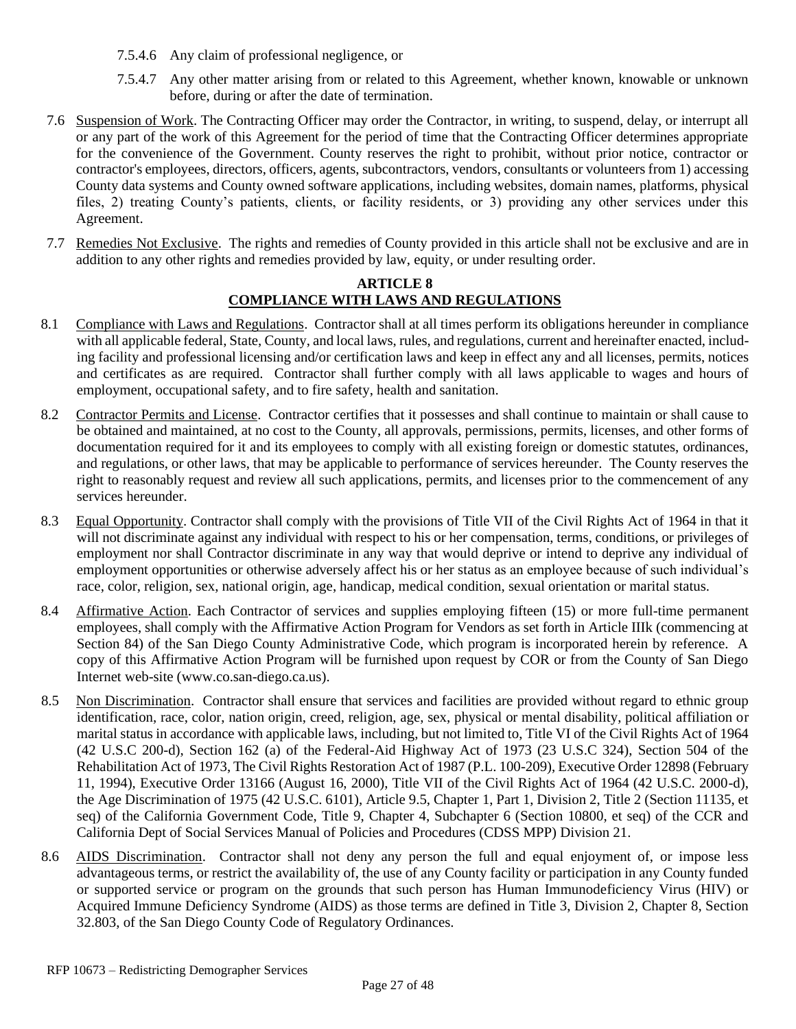- 7.5.4.6 Any claim of professional negligence, or
- 7.5.4.7 Any other matter arising from or related to this Agreement, whether known, knowable or unknown before, during or after the date of termination.
- 7.6 Suspension of Work. The Contracting Officer may order the Contractor, in writing, to suspend, delay, or interrupt all or any part of the work of this Agreement for the period of time that the Contracting Officer determines appropriate for the convenience of the Government. County reserves the right to prohibit, without prior notice, contractor or contractor's employees, directors, officers, agents, subcontractors, vendors, consultants or volunteers from 1) accessing County data systems and County owned software applications, including websites, domain names, platforms, physical files, 2) treating County's patients, clients, or facility residents, or 3) providing any other services under this Agreement.
- 7.7 Remedies Not Exclusive. The rights and remedies of County provided in this article shall not be exclusive and are in addition to any other rights and remedies provided by law, equity, or under resulting order.

#### **ARTICLE 8 COMPLIANCE WITH LAWS AND REGULATIONS**

- 8.1 Compliance with Laws and Regulations. Contractor shall at all times perform its obligations hereunder in compliance with all applicable federal, State, County, and local laws, rules, and regulations, current and hereinafter enacted, including facility and professional licensing and/or certification laws and keep in effect any and all licenses, permits, notices and certificates as are required. Contractor shall further comply with all laws applicable to wages and hours of employment, occupational safety, and to fire safety, health and sanitation.
- 8.2 Contractor Permits and License. Contractor certifies that it possesses and shall continue to maintain or shall cause to be obtained and maintained, at no cost to the County, all approvals, permissions, permits, licenses, and other forms of documentation required for it and its employees to comply with all existing foreign or domestic statutes, ordinances, and regulations, or other laws, that may be applicable to performance of services hereunder. The County reserves the right to reasonably request and review all such applications, permits, and licenses prior to the commencement of any services hereunder.
- 8.3 Equal Opportunity. Contractor shall comply with the provisions of Title VII of the Civil Rights Act of 1964 in that it will not discriminate against any individual with respect to his or her compensation, terms, conditions, or privileges of employment nor shall Contractor discriminate in any way that would deprive or intend to deprive any individual of employment opportunities or otherwise adversely affect his or her status as an employee because of such individual's race, color, religion, sex, national origin, age, handicap, medical condition, sexual orientation or marital status.
- 8.4 Affirmative Action. Each Contractor of services and supplies employing fifteen (15) or more full-time permanent employees, shall comply with the Affirmative Action Program for Vendors as set forth in Article IIIk (commencing at Section 84) of the San Diego County Administrative Code, which program is incorporated herein by reference. A copy of this Affirmative Action Program will be furnished upon request by COR or from the County of San Diego Internet web-site [\(www.co.san-diego.ca.us\)](http://www.co.san-diego.ca.us/).
- 8.5 Non Discrimination. Contractor shall ensure that services and facilities are provided without regard to ethnic group identification, race, color, nation origin, creed, religion, age, sex, physical or mental disability, political affiliation or marital status in accordance with applicable laws, including, but not limited to, Title VI of the Civil Rights Act of 1964 (42 U.S.C 200-d), Section 162 (a) of the Federal-Aid Highway Act of 1973 (23 U.S.C 324), Section 504 of the Rehabilitation Act of 1973, The Civil Rights Restoration Act of 1987 (P.L. 100-209), Executive Order 12898 (February 11, 1994), Executive Order 13166 (August 16, 2000), Title VII of the Civil Rights Act of 1964 (42 U.S.C. 2000-d), the Age Discrimination of 1975 (42 U.S.C. 6101), Article 9.5, Chapter 1, Part 1, Division 2, Title 2 (Section 11135, et seq) of the California Government Code, Title 9, Chapter 4, Subchapter 6 (Section 10800, et seq) of the CCR and California Dept of Social Services Manual of Policies and Procedures (CDSS MPP) Division 21.
- 8.6 AIDS Discrimination. Contractor shall not deny any person the full and equal enjoyment of, or impose less advantageous terms, or restrict the availability of, the use of any County facility or participation in any County funded or supported service or program on the grounds that such person has Human Immunodeficiency Virus (HIV) or Acquired Immune Deficiency Syndrome (AIDS) as those terms are defined in Title 3, Division 2, Chapter 8, Section 32.803, of the San Diego County Code of Regulatory Ordinances.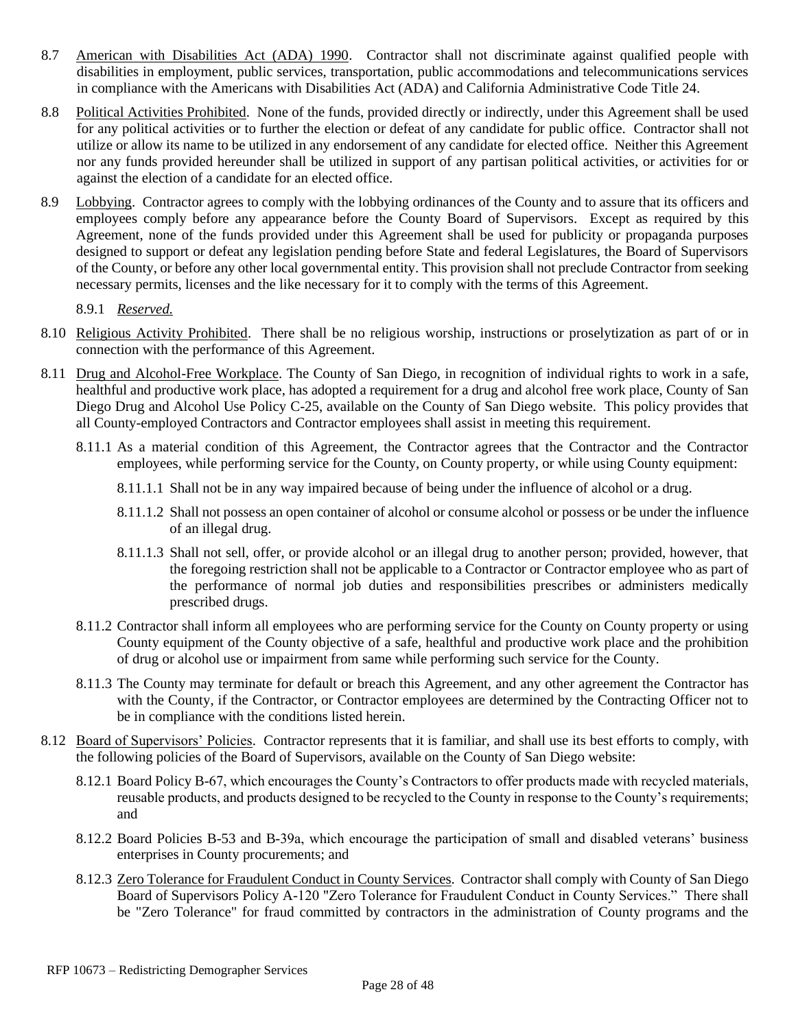- 8.7 American with Disabilities Act (ADA) 1990. Contractor shall not discriminate against qualified people with disabilities in employment, public services, transportation, public accommodations and telecommunications services in compliance with the Americans with Disabilities Act (ADA) and California Administrative Code Title 24.
- 8.8 Political Activities Prohibited. None of the funds, provided directly or indirectly, under this Agreement shall be used for any political activities or to further the election or defeat of any candidate for public office. Contractor shall not utilize or allow its name to be utilized in any endorsement of any candidate for elected office. Neither this Agreement nor any funds provided hereunder shall be utilized in support of any partisan political activities, or activities for or against the election of a candidate for an elected office.
- 8.9 Lobbying. Contractor agrees to comply with the lobbying ordinances of the County and to assure that its officers and employees comply before any appearance before the County Board of Supervisors. Except as required by this Agreement, none of the funds provided under this Agreement shall be used for publicity or propaganda purposes designed to support or defeat any legislation pending before State and federal Legislatures, the Board of Supervisors of the County, or before any other local governmental entity. This provision shall not preclude Contractor from seeking necessary permits, licenses and the like necessary for it to comply with the terms of this Agreement.
	- 8.9.1 *Reserved.*
- 8.10 Religious Activity Prohibited. There shall be no religious worship, instructions or proselytization as part of or in connection with the performance of this Agreement.
- 8.11 Drug and Alcohol-Free Workplace. The County of San Diego, in recognition of individual rights to work in a safe, healthful and productive work place, has adopted a requirement for a drug and alcohol free work place, County of San Diego Drug and Alcohol Use Policy C-25, available on the County of San Diego website. This policy provides that all County-employed Contractors and Contractor employees shall assist in meeting this requirement.
	- 8.11.1 As a material condition of this Agreement, the Contractor agrees that the Contractor and the Contractor employees, while performing service for the County, on County property, or while using County equipment:
		- 8.11.1.1 Shall not be in any way impaired because of being under the influence of alcohol or a drug.
		- 8.11.1.2 Shall not possess an open container of alcohol or consume alcohol or possess or be under the influence of an illegal drug.
		- 8.11.1.3 Shall not sell, offer, or provide alcohol or an illegal drug to another person; provided, however, that the foregoing restriction shall not be applicable to a Contractor or Contractor employee who as part of the performance of normal job duties and responsibilities prescribes or administers medically prescribed drugs.
	- 8.11.2 Contractor shall inform all employees who are performing service for the County on County property or using County equipment of the County objective of a safe, healthful and productive work place and the prohibition of drug or alcohol use or impairment from same while performing such service for the County.
	- 8.11.3 The County may terminate for default or breach this Agreement, and any other agreement the Contractor has with the County, if the Contractor, or Contractor employees are determined by the Contracting Officer not to be in compliance with the conditions listed herein.
- 8.12 Board of Supervisors' Policies.Contractor represents that it is familiar, and shall use its best efforts to comply, with the following policies of the Board of Supervisors, available on the County of San Diego website:
	- 8.12.1 Board Policy B-67, which encourages the County's Contractors to offer products made with recycled materials, reusable products, and products designed to be recycled to the County in response to the County's requirements; and
	- 8.12.2 Board Policies B-53 and B-39a, which encourage the participation of small and disabled veterans' business enterprises in County procurements; and
	- 8.12.3 Zero Tolerance for Fraudulent Conduct in County Services. Contractor shall comply with County of San Diego Board of Supervisors Policy A-120 "Zero Tolerance for Fraudulent Conduct in County Services." There shall be "Zero Tolerance" for fraud committed by contractors in the administration of County programs and the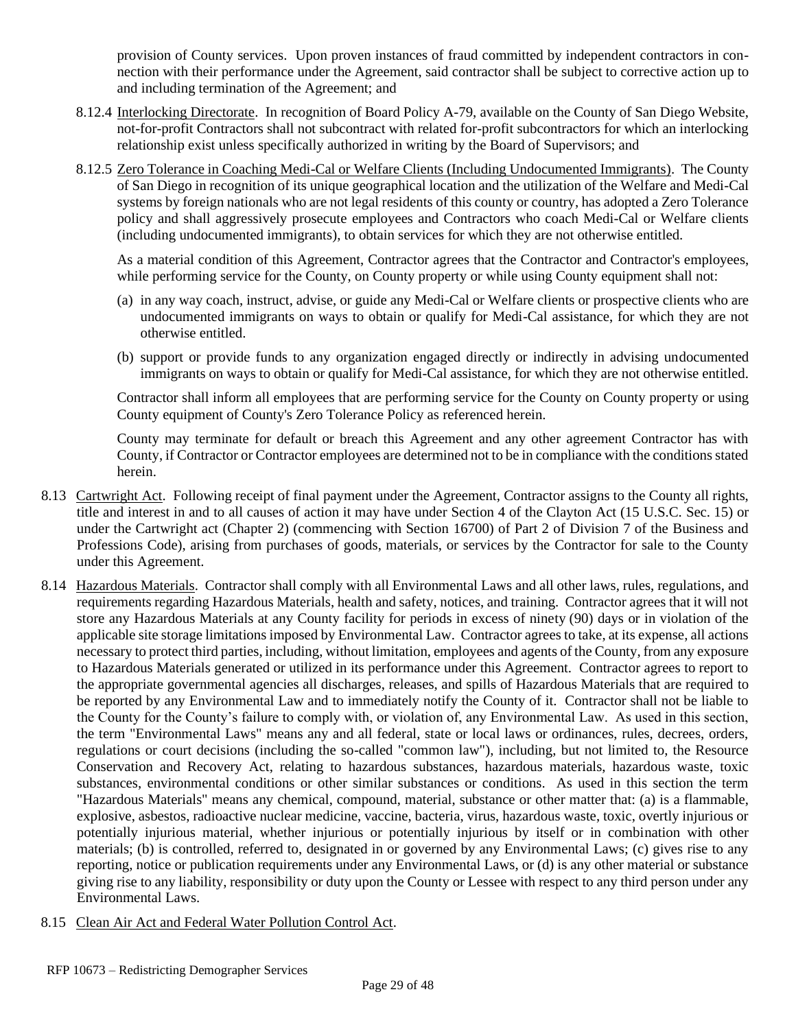provision of County services. Upon proven instances of fraud committed by independent contractors in connection with their performance under the Agreement, said contractor shall be subject to corrective action up to and including termination of the Agreement; and

- 8.12.4 Interlocking Directorate. In recognition of Board Policy A-79, available on the County of San Diego Website, not-for-profit Contractors shall not subcontract with related for-profit subcontractors for which an interlocking relationship exist unless specifically authorized in writing by the Board of Supervisors; and
- 8.12.5 Zero Tolerance in Coaching Medi-Cal or Welfare Clients (Including Undocumented Immigrants). The County of San Diego in recognition of its unique geographical location and the utilization of the Welfare and Medi-Cal systems by foreign nationals who are not legal residents of this county or country, has adopted a Zero Tolerance policy and shall aggressively prosecute employees and Contractors who coach Medi-Cal or Welfare clients (including undocumented immigrants), to obtain services for which they are not otherwise entitled.

As a material condition of this Agreement, Contractor agrees that the Contractor and Contractor's employees, while performing service for the County, on County property or while using County equipment shall not:

- (a) in any way coach, instruct, advise, or guide any Medi-Cal or Welfare clients or prospective clients who are undocumented immigrants on ways to obtain or qualify for Medi-Cal assistance, for which they are not otherwise entitled.
- (b) support or provide funds to any organization engaged directly or indirectly in advising undocumented immigrants on ways to obtain or qualify for Medi-Cal assistance, for which they are not otherwise entitled.

Contractor shall inform all employees that are performing service for the County on County property or using County equipment of County's Zero Tolerance Policy as referenced herein.

County may terminate for default or breach this Agreement and any other agreement Contractor has with County, if Contractor or Contractor employees are determined not to be in compliance with the conditions stated herein.

- 8.13 Cartwright Act. Following receipt of final payment under the Agreement, Contractor assigns to the County all rights, title and interest in and to all causes of action it may have under Section 4 of the Clayton Act (15 U.S.C. Sec. 15) or under the Cartwright act (Chapter 2) (commencing with Section 16700) of Part 2 of Division 7 of the Business and Professions Code), arising from purchases of goods, materials, or services by the Contractor for sale to the County under this Agreement.
- 8.14 Hazardous Materials. Contractor shall comply with all Environmental Laws and all other laws, rules, regulations, and requirements regarding Hazardous Materials, health and safety, notices, and training. Contractor agrees that it will not store any Hazardous Materials at any County facility for periods in excess of ninety (90) days or in violation of the applicable site storage limitations imposed by Environmental Law. Contractor agrees to take, at its expense, all actions necessary to protect third parties, including, without limitation, employees and agents of the County, from any exposure to Hazardous Materials generated or utilized in its performance under this Agreement. Contractor agrees to report to the appropriate governmental agencies all discharges, releases, and spills of Hazardous Materials that are required to be reported by any Environmental Law and to immediately notify the County of it. Contractor shall not be liable to the County for the County's failure to comply with, or violation of, any Environmental Law. As used in this section, the term "Environmental Laws" means any and all federal, state or local laws or ordinances, rules, decrees, orders, regulations or court decisions (including the so-called "common law"), including, but not limited to, the Resource Conservation and Recovery Act, relating to hazardous substances, hazardous materials, hazardous waste, toxic substances, environmental conditions or other similar substances or conditions. As used in this section the term "Hazardous Materials" means any chemical, compound, material, substance or other matter that: (a) is a flammable, explosive, asbestos, radioactive nuclear medicine, vaccine, bacteria, virus, hazardous waste, toxic, overtly injurious or potentially injurious material, whether injurious or potentially injurious by itself or in combination with other materials; (b) is controlled, referred to, designated in or governed by any Environmental Laws; (c) gives rise to any reporting, notice or publication requirements under any Environmental Laws, or (d) is any other material or substance giving rise to any liability, responsibility or duty upon the County or Lessee with respect to any third person under any Environmental Laws.
- 8.15 Clean Air Act and Federal Water Pollution Control Act.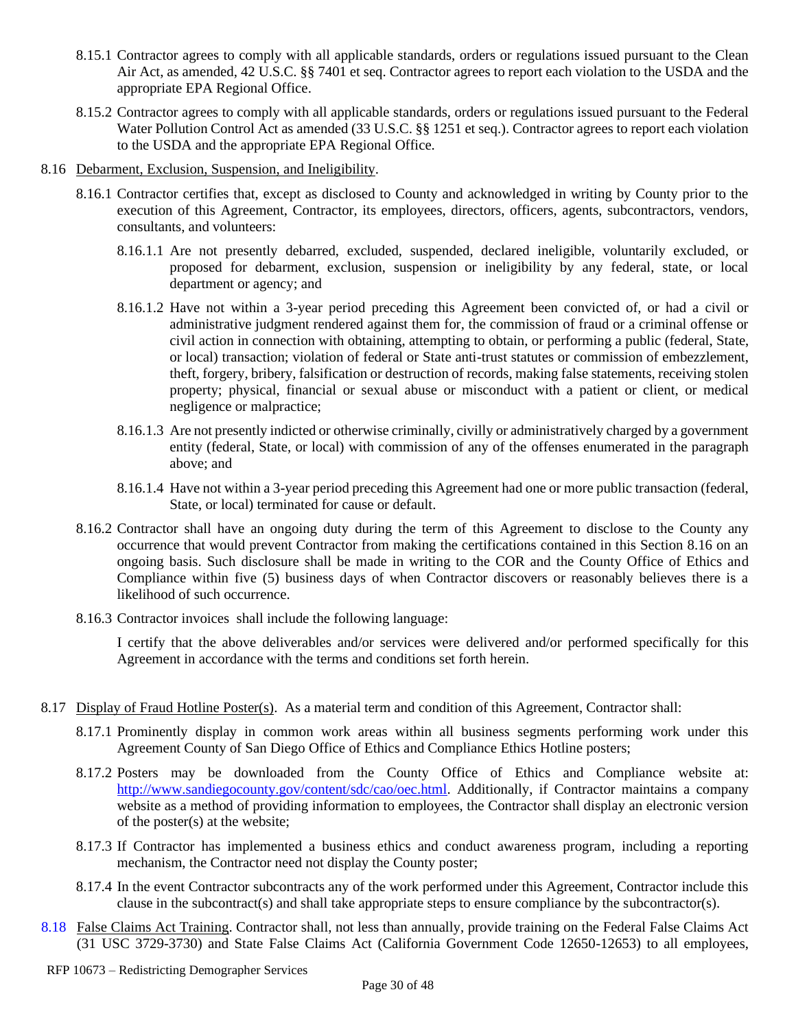- 8.15.1 Contractor agrees to comply with all applicable standards, orders or regulations issued pursuant to the Clean Air Act, as amended, 42 U.S.C. §§ 7401 et seq. Contractor agrees to report each violation to the USDA and the appropriate EPA Regional Office.
- 8.15.2 Contractor agrees to comply with all applicable standards, orders or regulations issued pursuant to the Federal Water Pollution Control Act as amended (33 U.S.C. §§ 1251 et seq.). Contractor agrees to report each violation to the USDA and the appropriate EPA Regional Office.
- 8.16 Debarment, Exclusion, Suspension, and Ineligibility.
	- 8.16.1 Contractor certifies that, except as disclosed to County and acknowledged in writing by County prior to the execution of this Agreement, Contractor, its employees, directors, officers, agents, subcontractors, vendors, consultants, and volunteers:
		- 8.16.1.1 Are not presently debarred, excluded, suspended, declared ineligible, voluntarily excluded, or proposed for debarment, exclusion, suspension or ineligibility by any federal, state, or local department or agency; and
		- 8.16.1.2 Have not within a 3-year period preceding this Agreement been convicted of, or had a civil or administrative judgment rendered against them for, the commission of fraud or a criminal offense or civil action in connection with obtaining, attempting to obtain, or performing a public (federal, State, or local) transaction; violation of federal or State anti-trust statutes or commission of embezzlement, theft, forgery, bribery, falsification or destruction of records, making false statements, receiving stolen property; physical, financial or sexual abuse or misconduct with a patient or client, or medical negligence or malpractice;
		- 8.16.1.3 Are not presently indicted or otherwise criminally, civilly or administratively charged by a government entity (federal, State, or local) with commission of any of the offenses enumerated in the paragraph above; and
		- 8.16.1.4 Have not within a 3-year period preceding this Agreement had one or more public transaction (federal, State, or local) terminated for cause or default.
	- 8.16.2 Contractor shall have an ongoing duty during the term of this Agreement to disclose to the County any occurrence that would prevent Contractor from making the certifications contained in this Section 8.16 on an ongoing basis. Such disclosure shall be made in writing to the COR and the County Office of Ethics and Compliance within five (5) business days of when Contractor discovers or reasonably believes there is a likelihood of such occurrence.
	- 8.16.3 Contractor invoices shall include the following language:

I certify that the above deliverables and/or services were delivered and/or performed specifically for this Agreement in accordance with the terms and conditions set forth herein.

- 8.17 Display of Fraud Hotline Poster(s). As a material term and condition of this Agreement, Contractor shall:
	- 8.17.1 Prominently display in common work areas within all business segments performing work under this Agreement County of San Diego Office of Ethics and Compliance Ethics Hotline posters;
	- 8.17.2 Posters may be downloaded from the County Office of Ethics and Compliance website at: [http://www.sandiegocounty.gov/content/sdc/cao/oec.html.](http://www.sandiegocounty.gov/content/sdc/cao/oec.html) Additionally, if Contractor maintains a company website as a method of providing information to employees, the Contractor shall display an electronic version of the poster(s) at the website;
	- 8.17.3 If Contractor has implemented a business ethics and conduct awareness program, including a reporting mechanism, the Contractor need not display the County poster;
	- 8.17.4 In the event Contractor subcontracts any of the work performed under this Agreement, Contractor include this clause in the subcontract(s) and shall take appropriate steps to ensure compliance by the subcontractor(s).
- 8.18 False Claims Act Training. Contractor shall, not less than annually, provide training on the Federal False Claims Act (31 USC 3729-3730) and State False Claims Act (California Government Code 12650-12653) to all employees,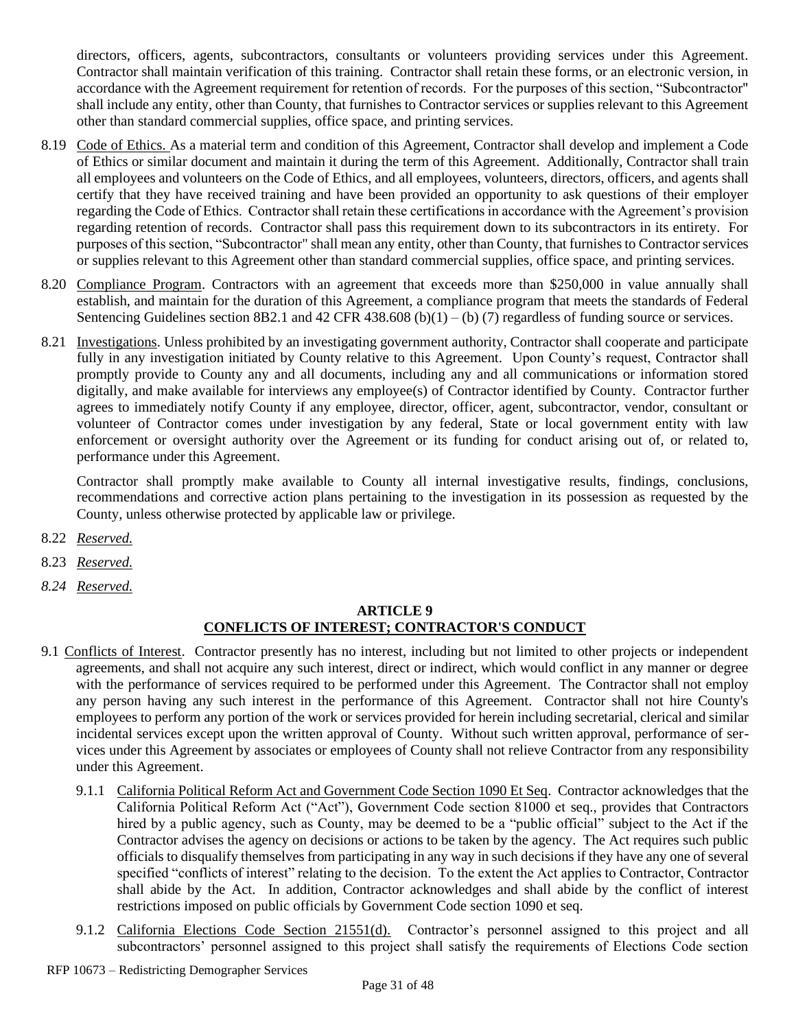directors, officers, agents, subcontractors, consultants or volunteers providing services under this Agreement. Contractor shall maintain verification of this training. Contractor shall retain these forms, or an electronic version, in accordance with the Agreement requirement for retention of records. For the purposes of this section, "Subcontractor" shall include any entity, other than County, that furnishes to Contractor services or supplies relevant to this Agreement other than standard commercial supplies, office space, and printing services.

- 8.19 Code of Ethics. As a material term and condition of this Agreement, Contractor shall develop and implement a Code of Ethics or similar document and maintain it during the term of this Agreement. Additionally, Contractor shall train all employees and volunteers on the Code of Ethics, and all employees, volunteers, directors, officers, and agents shall certify that they have received training and have been provided an opportunity to ask questions of their employer regarding the Code of Ethics. Contractor shall retain these certifications in accordance with the Agreement's provision regarding retention of records. Contractor shall pass this requirement down to its subcontractors in its entirety. For purposes of this section, "Subcontractor" shall mean any entity, other than County, that furnishes to Contractor services or supplies relevant to this Agreement other than standard commercial supplies, office space, and printing services.
- 8.20 Compliance Program. Contractors with an agreement that exceeds more than \$250,000 in value annually shall establish, and maintain for the duration of this Agreement, a compliance program that meets the standards of Federal Sentencing Guidelines section 8B2.1 and 42 CFR 438.608 (b)(1) – (b) (7) regardless of funding source or services.
- 8.21 Investigations. Unless prohibited by an investigating government authority, Contractor shall cooperate and participate fully in any investigation initiated by County relative to this Agreement. Upon County's request, Contractor shall promptly provide to County any and all documents, including any and all communications or information stored digitally, and make available for interviews any employee(s) of Contractor identified by County. Contractor further agrees to immediately notify County if any employee, director, officer, agent, subcontractor, vendor, consultant or volunteer of Contractor comes under investigation by any federal, State or local government entity with law enforcement or oversight authority over the Agreement or its funding for conduct arising out of, or related to, performance under this Agreement.

Contractor shall promptly make available to County all internal investigative results, findings, conclusions, recommendations and corrective action plans pertaining to the investigation in its possession as requested by the County, unless otherwise protected by applicable law or privilege.

- 8.22 *Reserved.*
- 8.23 *Reserved.*
- *8.24 Reserved.*

#### **ARTICLE 9 CONFLICTS OF INTEREST; CONTRACTOR'S CONDUCT**

- 9.1 Conflicts of Interest. Contractor presently has no interest, including but not limited to other projects or independent agreements, and shall not acquire any such interest, direct or indirect, which would conflict in any manner or degree with the performance of services required to be performed under this Agreement. The Contractor shall not employ any person having any such interest in the performance of this Agreement. Contractor shall not hire County's employees to perform any portion of the work or services provided for herein including secretarial, clerical and similar incidental services except upon the written approval of County. Without such written approval, performance of services under this Agreement by associates or employees of County shall not relieve Contractor from any responsibility under this Agreement.
	- 9.1.1 California Political Reform Act and Government Code Section 1090 Et Seq. Contractor acknowledges that the California Political Reform Act ("Act"), Government Code section 81000 et seq., provides that Contractors hired by a public agency, such as County, may be deemed to be a "public official" subject to the Act if the Contractor advises the agency on decisions or actions to be taken by the agency. The Act requires such public officials to disqualify themselves from participating in any way in such decisions if they have any one of several specified "conflicts of interest" relating to the decision. To the extent the Act applies to Contractor, Contractor shall abide by the Act. In addition, Contractor acknowledges and shall abide by the conflict of interest restrictions imposed on public officials by Government Code section 1090 et seq.
	- 9.1.2 California Elections Code Section 21551(d). Contractor's personnel assigned to this project and all subcontractors' personnel assigned to this project shall satisfy the requirements of Elections Code section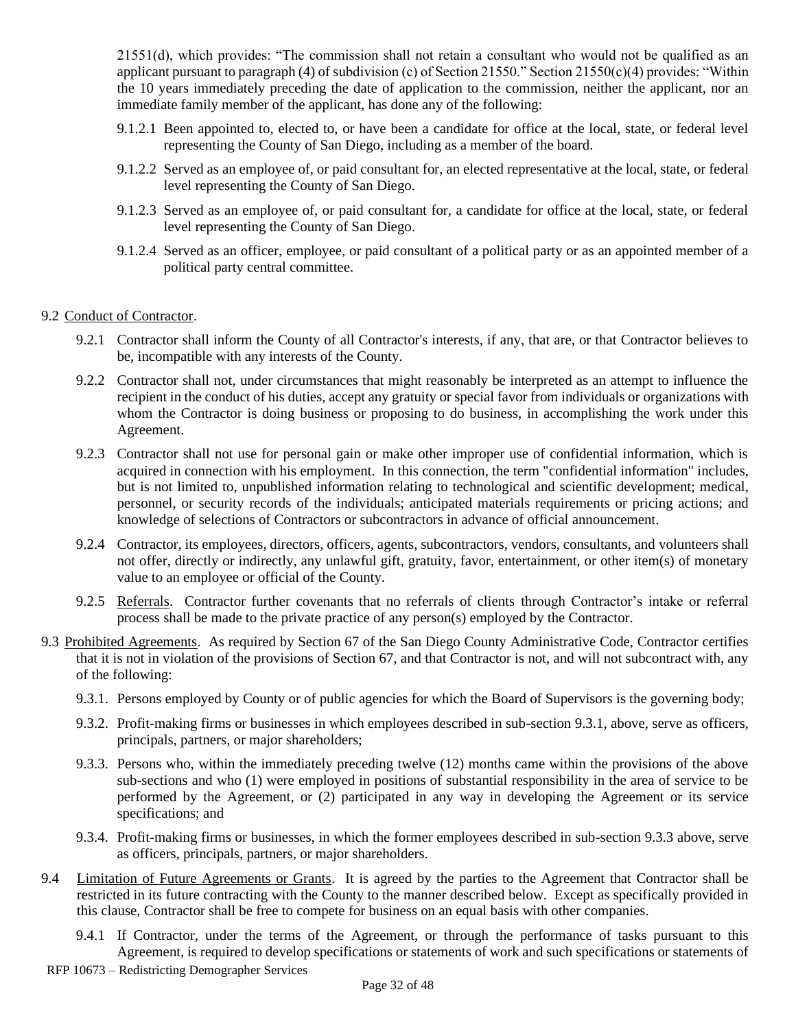21551(d), which provides: "The commission shall not retain a consultant who would not be qualified as an applicant pursuant to paragraph (4) of subdivision (c) of Section 21550." Section 21550(c)(4) provides: "Within the 10 years immediately preceding the date of application to the commission, neither the applicant, nor an immediate family member of the applicant, has done any of the following:

- 9.1.2.1 Been appointed to, elected to, or have been a candidate for office at the local, state, or federal level representing the County of San Diego, including as a member of the board.
- 9.1.2.2 Served as an employee of, or paid consultant for, an elected representative at the local, state, or federal level representing the County of San Diego.
- 9.1.2.3 Served as an employee of, or paid consultant for, a candidate for office at the local, state, or federal level representing the County of San Diego.
- 9.1.2.4 Served as an officer, employee, or paid consultant of a political party or as an appointed member of a political party central committee.

#### 9.2 Conduct of Contractor.

- 9.2.1 Contractor shall inform the County of all Contractor's interests, if any, that are, or that Contractor believes to be, incompatible with any interests of the County.
- 9.2.2 Contractor shall not, under circumstances that might reasonably be interpreted as an attempt to influence the recipient in the conduct of his duties, accept any gratuity or special favor from individuals or organizations with whom the Contractor is doing business or proposing to do business, in accomplishing the work under this Agreement.
- 9.2.3 Contractor shall not use for personal gain or make other improper use of confidential information, which is acquired in connection with his employment. In this connection, the term "confidential information" includes, but is not limited to, unpublished information relating to technological and scientific development; medical, personnel, or security records of the individuals; anticipated materials requirements or pricing actions; and knowledge of selections of Contractors or subcontractors in advance of official announcement.
- 9.2.4 Contractor, its employees, directors, officers, agents, subcontractors, vendors, consultants, and volunteers shall not offer, directly or indirectly, any unlawful gift, gratuity, favor, entertainment, or other item(s) of monetary value to an employee or official of the County.
- 9.2.5 Referrals. Contractor further covenants that no referrals of clients through Contractor's intake or referral process shall be made to the private practice of any person(s) employed by the Contractor.
- <span id="page-31-1"></span><span id="page-31-0"></span>9.3 Prohibited Agreements. As required by Section 67 of the San Diego County Administrative Code, Contractor certifies that it is not in violation of the provisions of Section 67, and that Contractor is not, and will not subcontract with, any of the following:
	- 9.3.1. Persons employed by County or of public agencies for which the Board of Supervisors is the governing body;
	- 9.3.2. Profit-making firms or businesses in which employees described in sub-section [9.3.1,](#page-31-0) above, serve as officers, principals, partners, or major shareholders;
	- 9.3.3. Persons who, within the immediately preceding twelve (12) months came within the provisions of the above sub-sections and who (1) were employed in positions of substantial responsibility in the area of service to be performed by the Agreement, or (2) participated in any way in developing the Agreement or its service specifications; and
	- 9.3.4. Profit-making firms or businesses, in which the former employees described in sub-section [9.3.3](#page-31-1) above, serve as officers, principals, partners, or major shareholders.
- 9.4 Limitation of Future Agreements or Grants. It is agreed by the parties to the Agreement that Contractor shall be restricted in its future contracting with the County to the manner described below. Except as specifically provided in this clause, Contractor shall be free to compete for business on an equal basis with other companies.
	- 9.4.1 If Contractor, under the terms of the Agreement, or through the performance of tasks pursuant to this Agreement, is required to develop specifications or statements of work and such specifications or statements of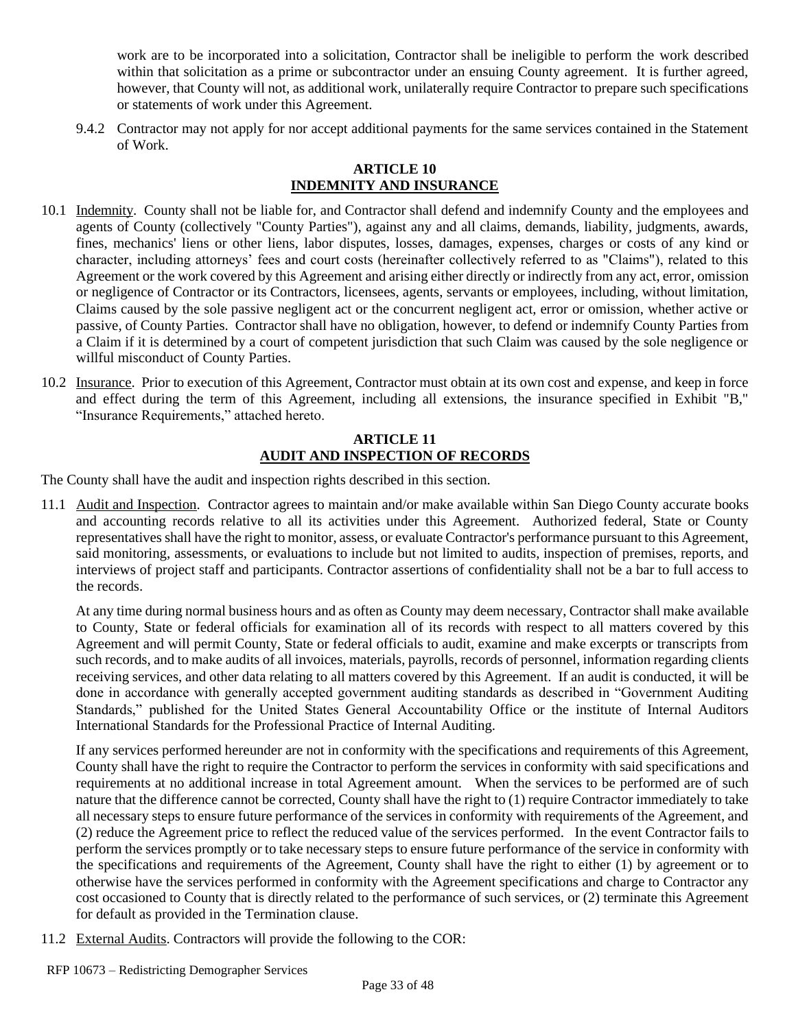work are to be incorporated into a solicitation, Contractor shall be ineligible to perform the work described within that solicitation as a prime or subcontractor under an ensuing County agreement. It is further agreed, however, that County will not, as additional work, unilaterally require Contractor to prepare such specifications or statements of work under this Agreement.

9.4.2 Contractor may not apply for nor accept additional payments for the same services contained in the Statement of Work.

#### **ARTICLE 10 INDEMNITY AND INSURANCE**

- 10.1 Indemnity. County shall not be liable for, and Contractor shall defend and indemnify County and the employees and agents of County (collectively "County Parties"), against any and all claims, demands, liability, judgments, awards, fines, mechanics' liens or other liens, labor disputes, losses, damages, expenses, charges or costs of any kind or character, including attorneys' fees and court costs (hereinafter collectively referred to as "Claims"), related to this Agreement or the work covered by this Agreement and arising either directly or indirectly from any act, error, omission or negligence of Contractor or its Contractors, licensees, agents, servants or employees, including, without limitation, Claims caused by the sole passive negligent act or the concurrent negligent act, error or omission, whether active or passive, of County Parties. Contractor shall have no obligation, however, to defend or indemnify County Parties from a Claim if it is determined by a court of competent jurisdiction that such Claim was caused by the sole negligence or willful misconduct of County Parties.
- 10.2 Insurance. Prior to execution of this Agreement, Contractor must obtain at its own cost and expense, and keep in force and effect during the term of this Agreement, including all extensions, the insurance specified in Exhibit "B," "Insurance Requirements," attached hereto.

#### **ARTICLE 11 AUDIT AND INSPECTION OF RECORDS**

The County shall have the audit and inspection rights described in this section.

11.1 Audit and Inspection. Contractor agrees to maintain and/or make available within San Diego County accurate books and accounting records relative to all its activities under this Agreement. Authorized federal, State or County representatives shall have the right to monitor, assess, or evaluate Contractor's performance pursuant to this Agreement, said monitoring, assessments, or evaluations to include but not limited to audits, inspection of premises, reports, and interviews of project staff and participants. Contractor assertions of confidentiality shall not be a bar to full access to the records.

At any time during normal business hours and as often as County may deem necessary, Contractor shall make available to County, State or federal officials for examination all of its records with respect to all matters covered by this Agreement and will permit County, State or federal officials to audit, examine and make excerpts or transcripts from such records, and to make audits of all invoices, materials, payrolls, records of personnel, information regarding clients receiving services, and other data relating to all matters covered by this Agreement. If an audit is conducted, it will be done in accordance with generally accepted government auditing standards as described in "Government Auditing Standards," published for the United States General Accountability Office or the institute of Internal Auditors International Standards for the Professional Practice of Internal Auditing.

If any services performed hereunder are not in conformity with the specifications and requirements of this Agreement, County shall have the right to require the Contractor to perform the services in conformity with said specifications and requirements at no additional increase in total Agreement amount. When the services to be performed are of such nature that the difference cannot be corrected, County shall have the right to (1) require Contractor immediately to take all necessary steps to ensure future performance of the services in conformity with requirements of the Agreement, and (2) reduce the Agreement price to reflect the reduced value of the services performed. In the event Contractor fails to perform the services promptly or to take necessary steps to ensure future performance of the service in conformity with the specifications and requirements of the Agreement, County shall have the right to either (1) by agreement or to otherwise have the services performed in conformity with the Agreement specifications and charge to Contractor any cost occasioned to County that is directly related to the performance of such services, or (2) terminate this Agreement for default as provided in the Termination clause.

11.2 External Audits. Contractors will provide the following to the COR: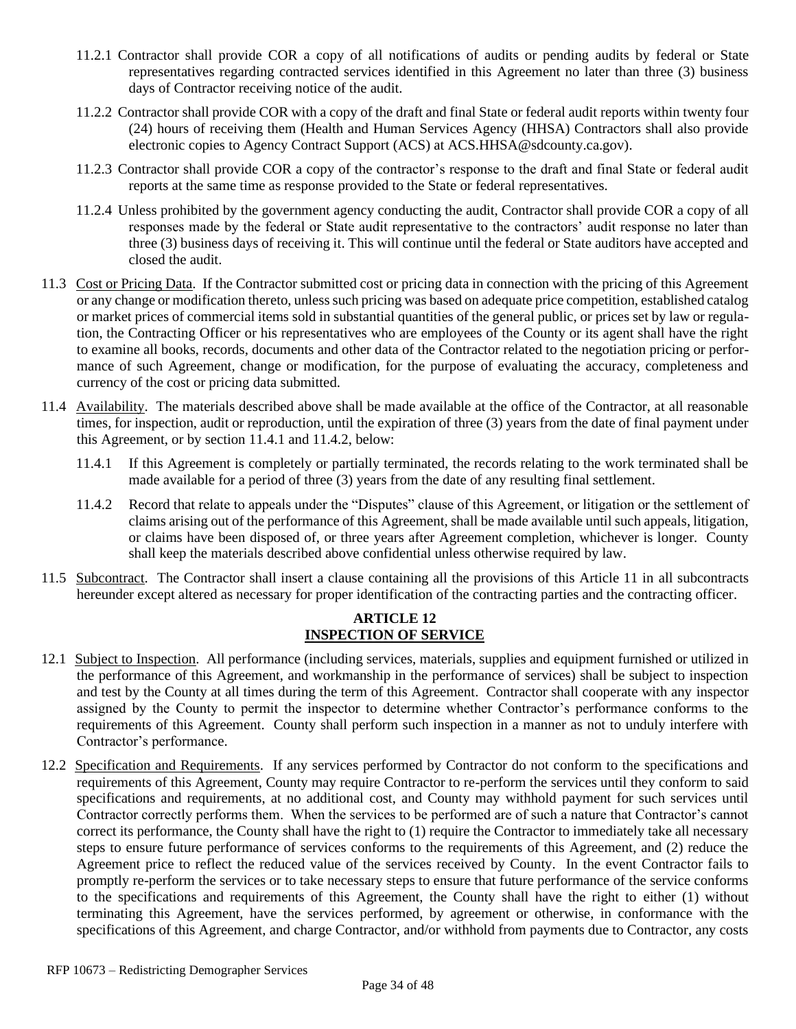- 11.2.1 Contractor shall provide COR a copy of all notifications of audits or pending audits by federal or State representatives regarding contracted services identified in this Agreement no later than three (3) business days of Contractor receiving notice of the audit.
- 11.2.2 Contractor shall provide COR with a copy of the draft and final State or federal audit reports within twenty four (24) hours of receiving them (Health and Human Services Agency (HHSA) Contractors shall also provide electronic copies to Agency Contract Support (ACS) at ACS.HHSA@sdcounty.ca.gov).
- 11.2.3 Contractor shall provide COR a copy of the contractor's response to the draft and final State or federal audit reports at the same time as response provided to the State or federal representatives.
- 11.2.4 Unless prohibited by the government agency conducting the audit, Contractor shall provide COR a copy of all responses made by the federal or State audit representative to the contractors' audit response no later than three (3) business days of receiving it. This will continue until the federal or State auditors have accepted and closed the audit.
- 11.3 Cost or Pricing Data. If the Contractor submitted cost or pricing data in connection with the pricing of this Agreement or any change or modification thereto, unless such pricing was based on adequate price competition, established catalog or market prices of commercial items sold in substantial quantities of the general public, or prices set by law or regulation, the Contracting Officer or his representatives who are employees of the County or its agent shall have the right to examine all books, records, documents and other data of the Contractor related to the negotiation pricing or performance of such Agreement, change or modification, for the purpose of evaluating the accuracy, completeness and currency of the cost or pricing data submitted.
- 11.4 Availability. The materials described above shall be made available at the office of the Contractor, at all reasonable times, for inspection, audit or reproduction, until the expiration of three (3) years from the date of final payment under this Agreement, or by section 11.4.1 and 11.4.2, below:
	- 11.4.1 If this Agreement is completely or partially terminated, the records relating to the work terminated shall be made available for a period of three (3) years from the date of any resulting final settlement.
	- 11.4.2 Record that relate to appeals under the "Disputes" clause of this Agreement, or litigation or the settlement of claims arising out of the performance of this Agreement, shall be made available until such appeals, litigation, or claims have been disposed of, or three years after Agreement completion, whichever is longer. County shall keep the materials described above confidential unless otherwise required by law.
- 11.5 Subcontract. The Contractor shall insert a clause containing all the provisions of this Article 11 in all subcontracts hereunder except altered as necessary for proper identification of the contracting parties and the contracting officer.

#### **ARTICLE 12 INSPECTION OF SERVICE**

- 12.1 Subject to Inspection. All performance (including services, materials, supplies and equipment furnished or utilized in the performance of this Agreement, and workmanship in the performance of services) shall be subject to inspection and test by the County at all times during the term of this Agreement. Contractor shall cooperate with any inspector assigned by the County to permit the inspector to determine whether Contractor's performance conforms to the requirements of this Agreement. County shall perform such inspection in a manner as not to unduly interfere with Contractor's performance.
- 12.2 Specification and Requirements. If any services performed by Contractor do not conform to the specifications and requirements of this Agreement, County may require Contractor to re-perform the services until they conform to said specifications and requirements, at no additional cost, and County may withhold payment for such services until Contractor correctly performs them. When the services to be performed are of such a nature that Contractor's cannot correct its performance, the County shall have the right to (1) require the Contractor to immediately take all necessary steps to ensure future performance of services conforms to the requirements of this Agreement, and (2) reduce the Agreement price to reflect the reduced value of the services received by County. In the event Contractor fails to promptly re-perform the services or to take necessary steps to ensure that future performance of the service conforms to the specifications and requirements of this Agreement, the County shall have the right to either (1) without terminating this Agreement, have the services performed, by agreement or otherwise, in conformance with the specifications of this Agreement, and charge Contractor, and/or withhold from payments due to Contractor, any costs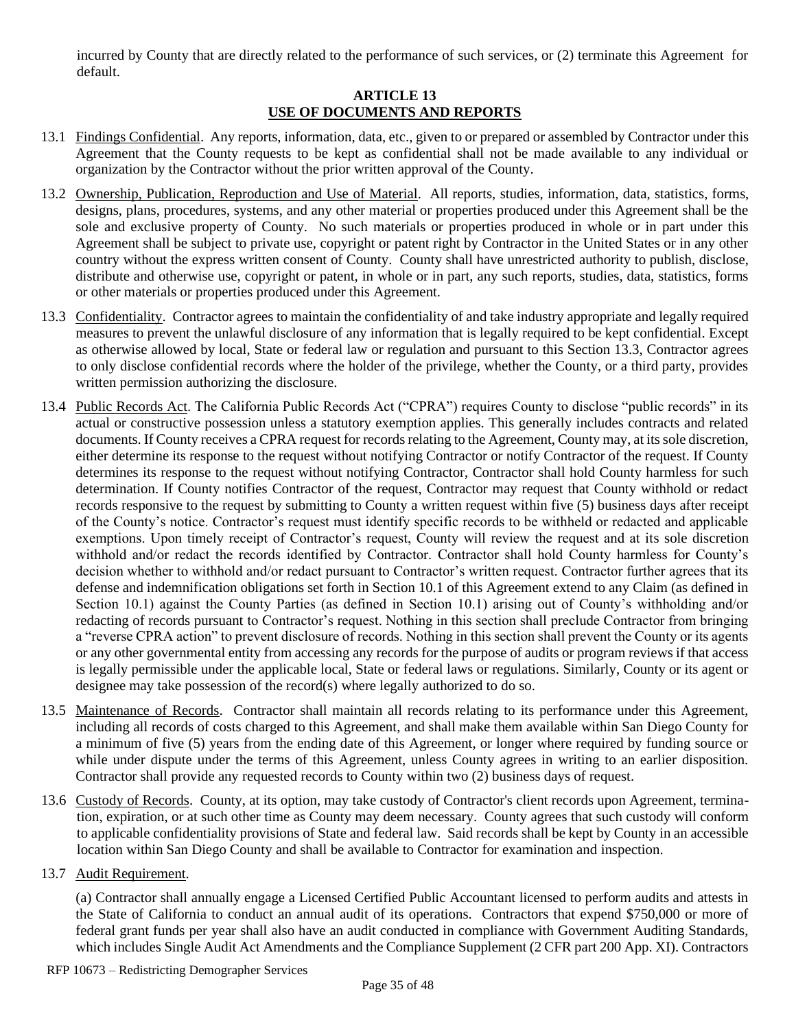incurred by County that are directly related to the performance of such services, or (2) terminate this Agreement for default.

#### **ARTICLE 13 USE OF DOCUMENTS AND REPORTS**

- 13.1 Findings Confidential. Any reports, information, data, etc., given to or prepared or assembled by Contractor under this Agreement that the County requests to be kept as confidential shall not be made available to any individual or organization by the Contractor without the prior written approval of the County.
- 13.2 Ownership, Publication, Reproduction and Use of Material. All reports, studies, information, data, statistics, forms, designs, plans, procedures, systems, and any other material or properties produced under this Agreement shall be the sole and exclusive property of County. No such materials or properties produced in whole or in part under this Agreement shall be subject to private use, copyright or patent right by Contractor in the United States or in any other country without the express written consent of County. County shall have unrestricted authority to publish, disclose, distribute and otherwise use, copyright or patent, in whole or in part, any such reports, studies, data, statistics, forms or other materials or properties produced under this Agreement.
- 13.3 Confidentiality. Contractor agrees to maintain the confidentiality of and take industry appropriate and legally required measures to prevent the unlawful disclosure of any information that is legally required to be kept confidential. Except as otherwise allowed by local, State or federal law or regulation and pursuant to this Section 13.3, Contractor agrees to only disclose confidential records where the holder of the privilege, whether the County, or a third party, provides written permission authorizing the disclosure.
- 13.4 Public Records Act. The California Public Records Act ("CPRA") requires County to disclose "public records" in its actual or constructive possession unless a statutory exemption applies. This generally includes contracts and related documents. If County receives a CPRA request for records relating to the Agreement, County may, at its sole discretion, either determine its response to the request without notifying Contractor or notify Contractor of the request. If County determines its response to the request without notifying Contractor, Contractor shall hold County harmless for such determination. If County notifies Contractor of the request, Contractor may request that County withhold or redact records responsive to the request by submitting to County a written request within five (5) business days after receipt of the County's notice. Contractor's request must identify specific records to be withheld or redacted and applicable exemptions. Upon timely receipt of Contractor's request, County will review the request and at its sole discretion withhold and/or redact the records identified by Contractor. Contractor shall hold County harmless for County's decision whether to withhold and/or redact pursuant to Contractor's written request. Contractor further agrees that its defense and indemnification obligations set forth in Section 10.1 of this Agreement extend to any Claim (as defined in Section 10.1) against the County Parties (as defined in Section 10.1) arising out of County's withholding and/or redacting of records pursuant to Contractor's request. Nothing in this section shall preclude Contractor from bringing a "reverse CPRA action" to prevent disclosure of records. Nothing in this section shall prevent the County or its agents or any other governmental entity from accessing any records for the purpose of audits or program reviews if that access is legally permissible under the applicable local, State or federal laws or regulations. Similarly, County or its agent or designee may take possession of the record(s) where legally authorized to do so.
- 13.5 Maintenance of Records. Contractor shall maintain all records relating to its performance under this Agreement, including all records of costs charged to this Agreement, and shall make them available within San Diego County for a minimum of five (5) years from the ending date of this Agreement, or longer where required by funding source or while under dispute under the terms of this Agreement, unless County agrees in writing to an earlier disposition. Contractor shall provide any requested records to County within two (2) business days of request.
- 13.6 Custody of Records. County, at its option, may take custody of Contractor's client records upon Agreement, termination, expiration, or at such other time as County may deem necessary. County agrees that such custody will conform to applicable confidentiality provisions of State and federal law. Said records shall be kept by County in an accessible location within San Diego County and shall be available to Contractor for examination and inspection.

#### 13.7 Audit Requirement.

(a) Contractor shall annually engage a Licensed Certified Public Accountant licensed to perform audits and attests in the State of California to conduct an annual audit of its operations. Contractors that expend \$750,000 or more of federal grant funds per year shall also have an audit conducted in compliance with Government Auditing Standards, which includes Single Audit Act Amendments and the Compliance Supplement (2 CFR part 200 App. XI). Contractors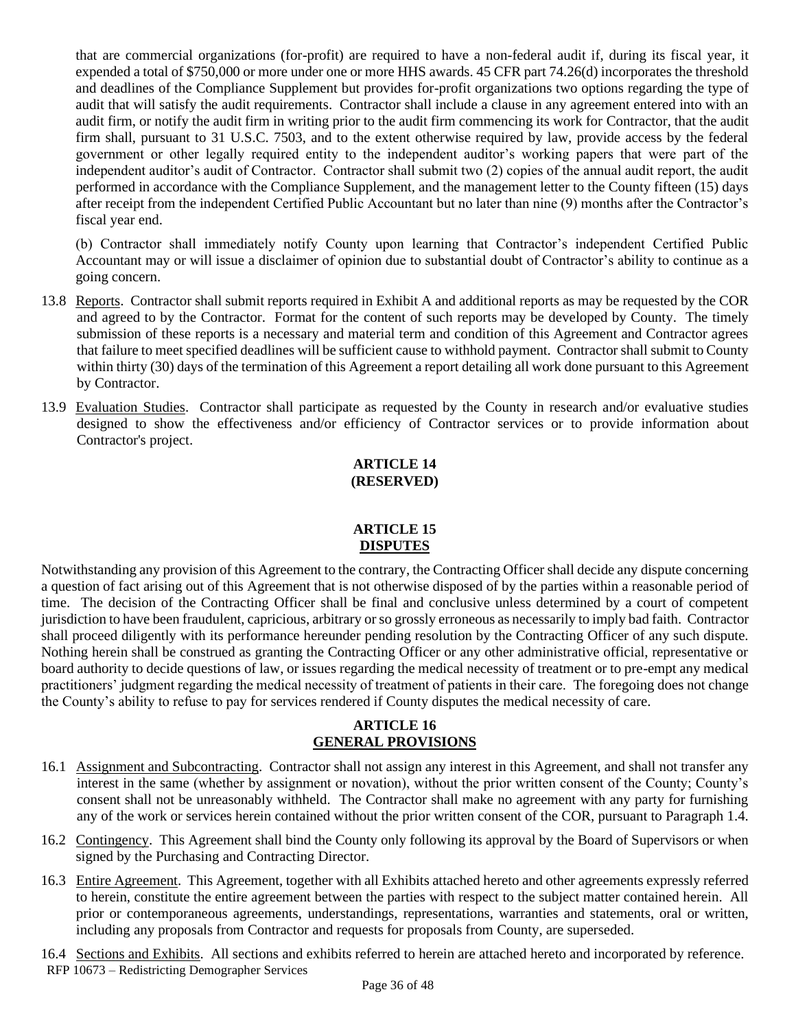that are commercial organizations (for-profit) are required to have a non-federal audit if, during its fiscal year, it expended a total of \$750,000 or more under one or more HHS awards. 45 CFR part 74.26(d) incorporates the threshold and deadlines of the Compliance Supplement but provides for-profit organizations two options regarding the type of audit that will satisfy the audit requirements. Contractor shall include a clause in any agreement entered into with an audit firm, or notify the audit firm in writing prior to the audit firm commencing its work for Contractor, that the audit firm shall, pursuant to 31 U.S.C. 7503, and to the extent otherwise required by law, provide access by the federal government or other legally required entity to the independent auditor's working papers that were part of the independent auditor's audit of Contractor. Contractor shall submit two (2) copies of the annual audit report, the audit performed in accordance with the Compliance Supplement, and the management letter to the County fifteen (15) days after receipt from the independent Certified Public Accountant but no later than nine (9) months after the Contractor's fiscal year end.

(b) Contractor shall immediately notify County upon learning that Contractor's independent Certified Public Accountant may or will issue a disclaimer of opinion due to substantial doubt of Contractor's ability to continue as a going concern.

- 13.8 Reports. Contractor shall submit reports required in Exhibit A and additional reports as may be requested by the COR and agreed to by the Contractor. Format for the content of such reports may be developed by County. The timely submission of these reports is a necessary and material term and condition of this Agreement and Contractor agrees that failure to meet specified deadlines will be sufficient cause to withhold payment. Contractor shall submit to County within thirty (30) days of the termination of this Agreement a report detailing all work done pursuant to this Agreement by Contractor.
- 13.9 Evaluation Studies. Contractor shall participate as requested by the County in research and/or evaluative studies designed to show the effectiveness and/or efficiency of Contractor services or to provide information about Contractor's project.

#### **ARTICLE 14 (RESERVED)**

#### **ARTICLE 15 DISPUTES**

Notwithstanding any provision of this Agreement to the contrary, the Contracting Officer shall decide any dispute concerning a question of fact arising out of this Agreement that is not otherwise disposed of by the parties within a reasonable period of time. The decision of the Contracting Officer shall be final and conclusive unless determined by a court of competent jurisdiction to have been fraudulent, capricious, arbitrary or so grossly erroneous as necessarily to imply bad faith. Contractor shall proceed diligently with its performance hereunder pending resolution by the Contracting Officer of any such dispute. Nothing herein shall be construed as granting the Contracting Officer or any other administrative official, representative or board authority to decide questions of law, or issues regarding the medical necessity of treatment or to pre-empt any medical practitioners' judgment regarding the medical necessity of treatment of patients in their care. The foregoing does not change the County's ability to refuse to pay for services rendered if County disputes the medical necessity of care.

#### **ARTICLE 16 GENERAL PROVISIONS**

- 16.1 Assignment and Subcontracting. Contractor shall not assign any interest in this Agreement, and shall not transfer any interest in the same (whether by assignment or novation), without the prior written consent of the County; County's consent shall not be unreasonably withheld. The Contractor shall make no agreement with any party for furnishing any of the work or services herein contained without the prior written consent of the COR, pursuant to Paragraph 1.4.
- 16.2 Contingency. This Agreement shall bind the County only following its approval by the Board of Supervisors or when signed by the Purchasing and Contracting Director.
- 16.3 Entire Agreement. This Agreement, together with all Exhibits attached hereto and other agreements expressly referred to herein, constitute the entire agreement between the parties with respect to the subject matter contained herein. All prior or contemporaneous agreements, understandings, representations, warranties and statements, oral or written, including any proposals from Contractor and requests for proposals from County, are superseded.
- RFP 10673 Redistricting Demographer Services 16.4 Sections and Exhibits. All sections and exhibits referred to herein are attached hereto and incorporated by reference.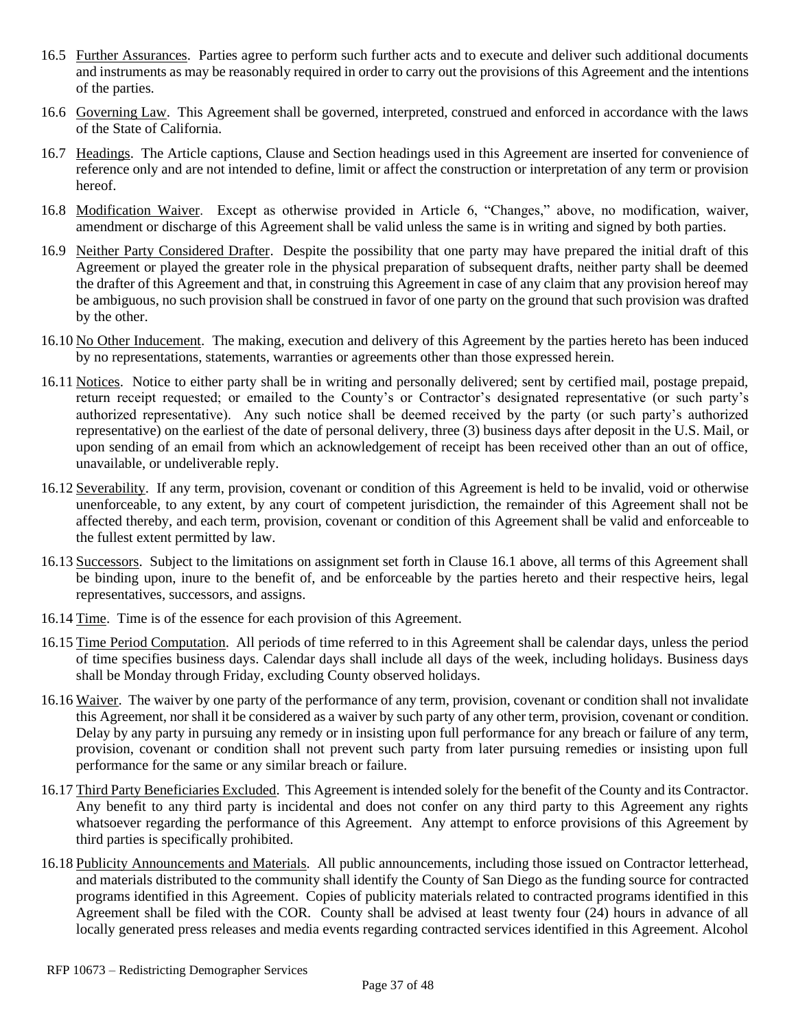- 16.5 Further Assurances. Parties agree to perform such further acts and to execute and deliver such additional documents and instruments as may be reasonably required in order to carry out the provisions of this Agreement and the intentions of the parties.
- 16.6 Governing Law. This Agreement shall be governed, interpreted, construed and enforced in accordance with the laws of the State of California.
- 16.7 Headings. The Article captions, Clause and Section headings used in this Agreement are inserted for convenience of reference only and are not intended to define, limit or affect the construction or interpretation of any term or provision hereof.
- 16.8 Modification Waiver. Except as otherwise provided in Article 6, "Changes," above, no modification, waiver, amendment or discharge of this Agreement shall be valid unless the same is in writing and signed by both parties.
- 16.9 Neither Party Considered Drafter. Despite the possibility that one party may have prepared the initial draft of this Agreement or played the greater role in the physical preparation of subsequent drafts, neither party shall be deemed the drafter of this Agreement and that, in construing this Agreement in case of any claim that any provision hereof may be ambiguous, no such provision shall be construed in favor of one party on the ground that such provision was drafted by the other.
- 16.10 No Other Inducement. The making, execution and delivery of this Agreement by the parties hereto has been induced by no representations, statements, warranties or agreements other than those expressed herein.
- 16.11 Notices. Notice to either party shall be in writing and personally delivered; sent by certified mail, postage prepaid, return receipt requested; or emailed to the County's or Contractor's designated representative (or such party's authorized representative). Any such notice shall be deemed received by the party (or such party's authorized representative) on the earliest of the date of personal delivery, three (3) business days after deposit in the U.S. Mail, or upon sending of an email from which an acknowledgement of receipt has been received other than an out of office, unavailable, or undeliverable reply.
- 16.12 Severability. If any term, provision, covenant or condition of this Agreement is held to be invalid, void or otherwise unenforceable, to any extent, by any court of competent jurisdiction, the remainder of this Agreement shall not be affected thereby, and each term, provision, covenant or condition of this Agreement shall be valid and enforceable to the fullest extent permitted by law.
- 16.13 Successors. Subject to the limitations on assignment set forth in Clause 16.1 above, all terms of this Agreement shall be binding upon, inure to the benefit of, and be enforceable by the parties hereto and their respective heirs, legal representatives, successors, and assigns.
- 16.14 Time. Time is of the essence for each provision of this Agreement.
- 16.15 Time Period Computation. All periods of time referred to in this Agreement shall be calendar days, unless the period of time specifies business days. Calendar days shall include all days of the week, including holidays. Business days shall be Monday through Friday, excluding County observed holidays.
- 16.16 Waiver. The waiver by one party of the performance of any term, provision, covenant or condition shall not invalidate this Agreement, nor shall it be considered as a waiver by such party of any other term, provision, covenant or condition. Delay by any party in pursuing any remedy or in insisting upon full performance for any breach or failure of any term, provision, covenant or condition shall not prevent such party from later pursuing remedies or insisting upon full performance for the same or any similar breach or failure.
- 16.17 Third Party Beneficiaries Excluded. This Agreement is intended solely for the benefit of the County and its Contractor. Any benefit to any third party is incidental and does not confer on any third party to this Agreement any rights whatsoever regarding the performance of this Agreement. Any attempt to enforce provisions of this Agreement by third parties is specifically prohibited.
- 16.18 Publicity Announcements and Materials. All public announcements, including those issued on Contractor letterhead, and materials distributed to the community shall identify the County of San Diego as the funding source for contracted programs identified in this Agreement. Copies of publicity materials related to contracted programs identified in this Agreement shall be filed with the COR. County shall be advised at least twenty four (24) hours in advance of all locally generated press releases and media events regarding contracted services identified in this Agreement. Alcohol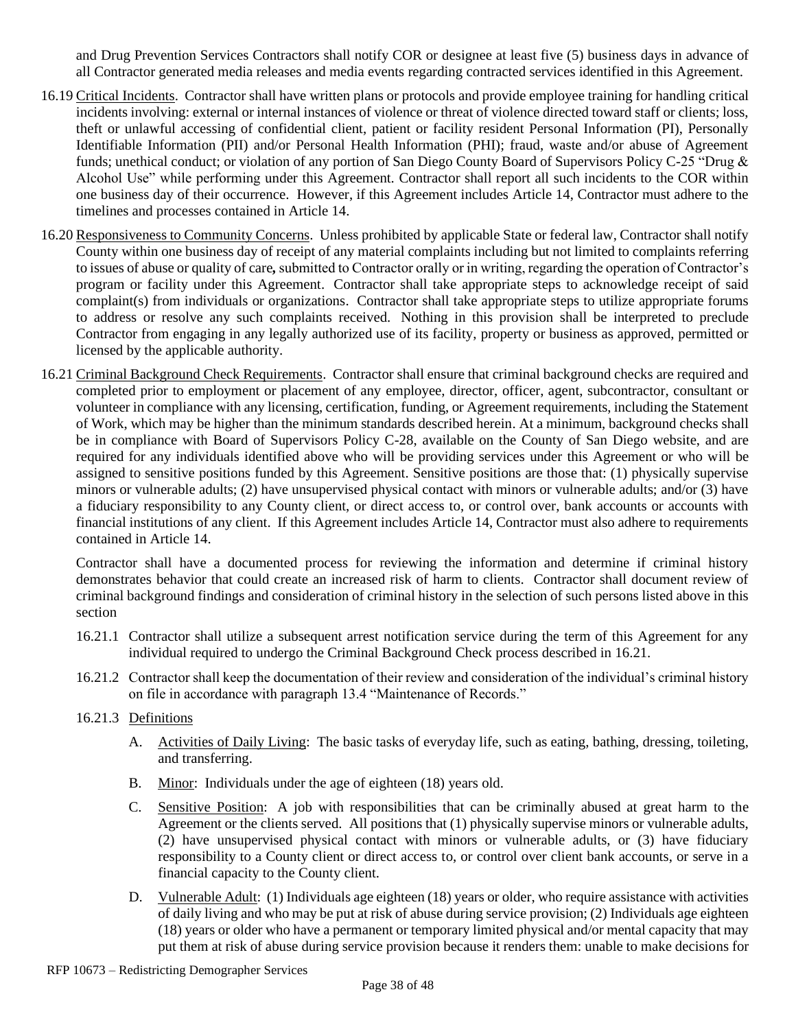and Drug Prevention Services Contractors shall notify COR or designee at least five (5) business days in advance of all Contractor generated media releases and media events regarding contracted services identified in this Agreement.

- 16.19 Critical Incidents. Contractor shall have written plans or protocols and provide employee training for handling critical incidents involving: external or internal instances of violence or threat of violence directed toward staff or clients; loss, theft or unlawful accessing of confidential client, patient or facility resident Personal Information (PI), Personally Identifiable Information (PII) and/or Personal Health Information (PHI); fraud, waste and/or abuse of Agreement funds; unethical conduct; or violation of any portion of San Diego County Board of Supervisors Policy C-25 "Drug & Alcohol Use" while performing under this Agreement. Contractor shall report all such incidents to the COR within one business day of their occurrence. However, if this Agreement includes Article 14, Contractor must adhere to the timelines and processes contained in Article 14.
- 16.20 Responsiveness to Community Concerns. Unless prohibited by applicable State or federal law, Contractor shall notify County within one business day of receipt of any material complaints including but not limited to complaints referring to issues of abuse or quality of care*,*submitted to Contractor orally or in writing, regarding the operation of Contractor's program or facility under this Agreement. Contractor shall take appropriate steps to acknowledge receipt of said complaint(s) from individuals or organizations. Contractor shall take appropriate steps to utilize appropriate forums to address or resolve any such complaints received. Nothing in this provision shall be interpreted to preclude Contractor from engaging in any legally authorized use of its facility, property or business as approved, permitted or licensed by the applicable authority.
- 16.21 Criminal Background Check Requirements. Contractor shall ensure that criminal background checks are required and completed prior to employment or placement of any employee, director, officer, agent, subcontractor, consultant or volunteer in compliance with any licensing, certification, funding, or Agreement requirements, including the Statement of Work, which may be higher than the minimum standards described herein. At a minimum, background checks shall be in compliance with Board of Supervisors Policy C-28, available on the County of San Diego website, and are required for any individuals identified above who will be providing services under this Agreement or who will be assigned to sensitive positions funded by this Agreement. Sensitive positions are those that: (1) physically supervise minors or vulnerable adults; (2) have unsupervised physical contact with minors or vulnerable adults; and/or (3) have a fiduciary responsibility to any County client, or direct access to, or control over, bank accounts or accounts with financial institutions of any client. If this Agreement includes Article 14, Contractor must also adhere to requirements contained in Article 14.

Contractor shall have a documented process for reviewing the information and determine if criminal history demonstrates behavior that could create an increased risk of harm to clients. Contractor shall document review of criminal background findings and consideration of criminal history in the selection of such persons listed above in this section

- 16.21.1 Contractor shall utilize a subsequent arrest notification service during the term of this Agreement for any individual required to undergo the Criminal Background Check process described in 16.21.
- 16.21.2 Contractor shall keep the documentation of their review and consideration of the individual's criminal history on file in accordance with paragraph 13.4 "Maintenance of Records."
- 16.21.3 Definitions
	- A. Activities of Daily Living: The basic tasks of everyday life, such as eating, bathing, dressing, toileting, and transferring.
	- B. Minor: Individuals under the age of eighteen (18) years old.
	- C. Sensitive Position: A job with responsibilities that can be criminally abused at great harm to the Agreement or the clients served. All positions that (1) physically supervise minors or vulnerable adults, (2) have unsupervised physical contact with minors or vulnerable adults, or (3) have fiduciary responsibility to a County client or direct access to, or control over client bank accounts, or serve in a financial capacity to the County client.
	- D. Vulnerable Adult: (1) Individuals age eighteen (18) years or older, who require assistance with activities of daily living and who may be put at risk of abuse during service provision; (2) Individuals age eighteen (18) years or older who have a permanent or temporary limited physical and/or mental capacity that may put them at risk of abuse during service provision because it renders them: unable to make decisions for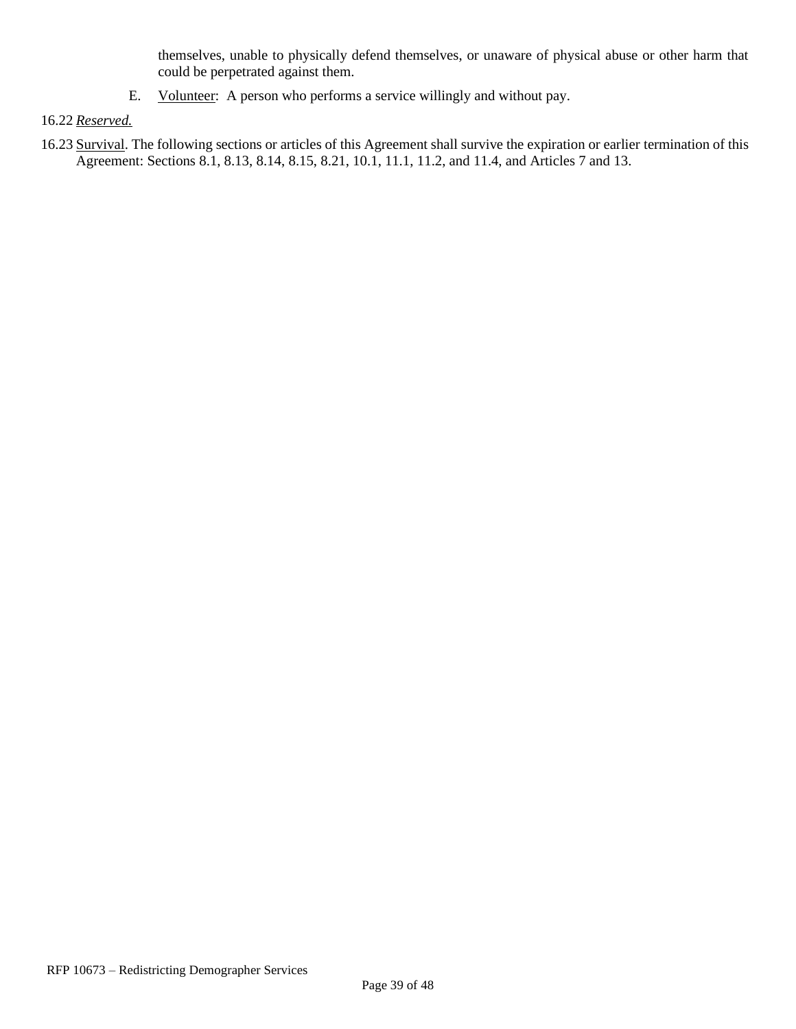themselves, unable to physically defend themselves, or unaware of physical abuse or other harm that could be perpetrated against them.

E. Volunteer: A person who performs a service willingly and without pay.

#### 16.22 *Reserved.*

16.23 Survival. The following sections or articles of this Agreement shall survive the expiration or earlier termination of this Agreement: Sections 8.1, 8.13, 8.14, 8.15, 8.21, 10.1, 11.1, 11.2, and 11.4, and Articles 7 and 13.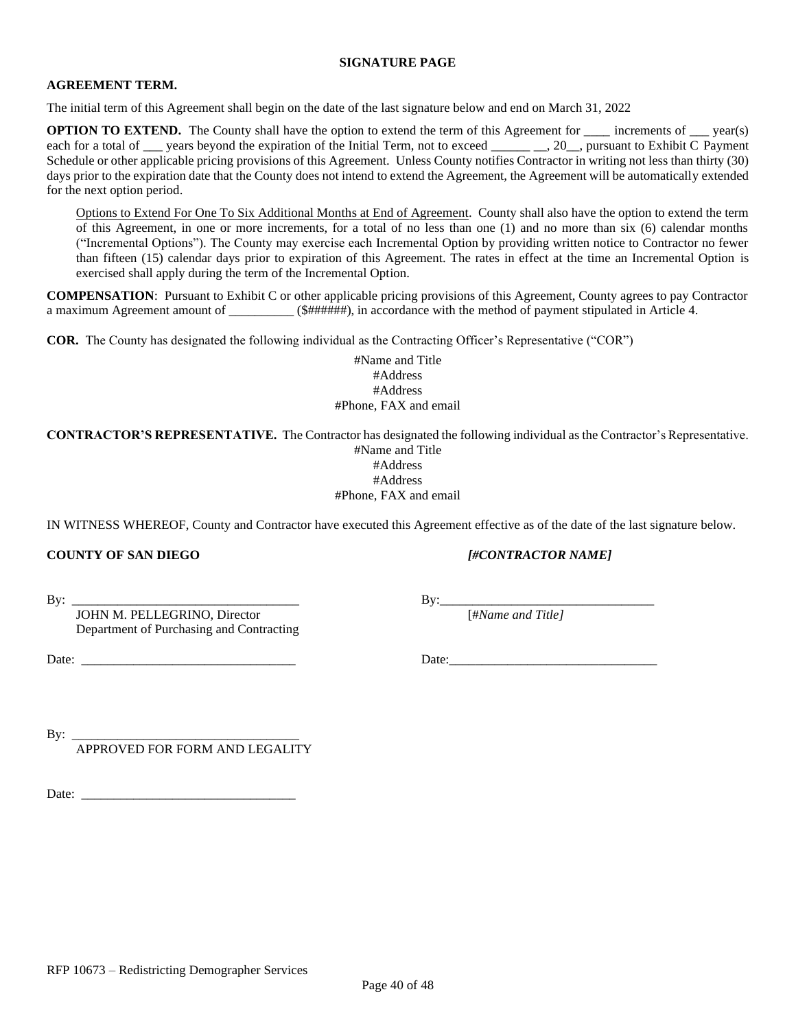#### **SIGNATURE PAGE**

#### **AGREEMENT TERM.**

The initial term of this Agreement shall begin on the date of the last signature below and end on March 31, 2022

**OPTION TO EXTEND.** The County shall have the option to extend the term of this Agreement for \_\_\_\_\_ increments of \_\_\_ year(s) each for a total of \_\_\_ years beyond the expiration of the Initial Term, not to exceed \_\_\_\_\_\_\_\_, 20\_\_, pursuant to Exhibit C Payment Schedule or other applicable pricing provisions of this Agreement.Unless County notifies Contractor in writing not less than thirty (30) days prior to the expiration date that the County does not intend to extend the Agreement, the Agreement will be automatically extended for the next option period.

Options to Extend For One To Six Additional Months at End of Agreement. County shall also have the option to extend the term of this Agreement, in one or more increments, for a total of no less than one (1) and no more than six (6) calendar months ("Incremental Options"). The County may exercise each Incremental Option by providing written notice to Contractor no fewer than fifteen (15) calendar days prior to expiration of this Agreement. The rates in effect at the time an Incremental Option is exercised shall apply during the term of the Incremental Option.

**COMPENSATION**: Pursuant to Exhibit C or other applicable pricing provisions of this Agreement, County agrees to pay Contractor a maximum Agreement amount of  $(\frac{\# \# \# \# \# \#}{\#})$ , in accordance with the method of payment stipulated in Article 4.

**COR.** The County has designated the following individual as the Contracting Officer's Representative ("COR")

#Name and Title #Address #Address #Phone, FAX and email

**CONTRACTOR'S REPRESENTATIVE.** The Contractor has designated the following individual as the Contractor's Representative. #Name and Title

#Address

#Address

#Phone, FAX and email

IN WITNESS WHEREOF, County and Contractor have executed this Agreement effective as of the date of the last signature below.

#### **COUNTY OF SAN DIEGO** *[#CONTRACTOR NAME]*

By: \_\_\_\_\_\_\_\_\_\_\_\_\_\_\_\_\_\_\_\_\_\_\_\_\_\_\_\_\_\_\_\_\_\_\_ By:\_\_\_\_\_\_\_\_\_\_\_\_\_\_\_\_\_\_\_\_\_\_\_\_\_\_\_\_\_\_\_\_\_

JOHN M. PELLEGRINO, Director [#*Name and Title]* Department of Purchasing and Contracting

Date: \_\_\_\_\_\_\_\_\_\_\_\_\_\_\_\_\_\_\_\_\_\_\_\_\_\_\_\_\_\_\_\_\_ Date:\_\_\_\_\_\_\_\_\_\_\_\_\_\_\_\_\_\_\_\_\_\_\_\_\_\_\_\_\_\_\_\_

By:  $\_\_$ 

APPROVED FOR FORM AND LEGALITY

Date: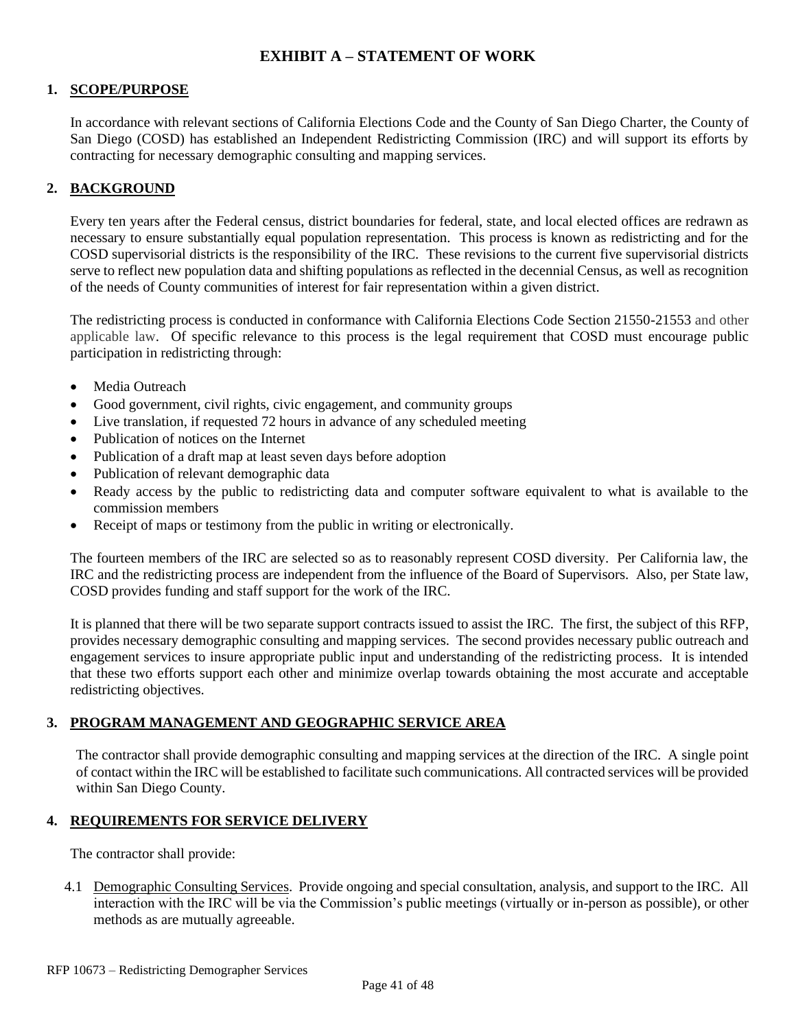#### **EXHIBIT A – STATEMENT OF WORK**

#### **1. SCOPE/PURPOSE**

In accordance with relevant sections of California Elections Code and the County of San Diego Charter, the County of San Diego (COSD) has established an Independent Redistricting Commission (IRC) and will support its efforts by contracting for necessary demographic consulting and mapping services.

#### **2. BACKGROUND**

Every ten years after the Federal census, district boundaries for federal, state, and local elected offices are redrawn as necessary to ensure substantially equal population representation. This process is known as redistricting and for the COSD supervisorial districts is the responsibility of the IRC. These revisions to the current five supervisorial districts serve to reflect new population data and shifting populations as reflected in the decennial Census, as well as recognition of the needs of County communities of interest for fair representation within a given district.

The redistricting process is conducted in conformance with California Elections Code Section 21550-21553 and other applicable law. Of specific relevance to this process is the legal requirement that COSD must encourage public participation in redistricting through:

- Media Outreach
- Good government, civil rights, civic engagement, and community groups
- Live translation, if requested 72 hours in advance of any scheduled meeting
- Publication of notices on the Internet
- Publication of a draft map at least seven days before adoption
- Publication of relevant demographic data
- Ready access by the public to redistricting data and computer software equivalent to what is available to the commission members
- Receipt of maps or testimony from the public in writing or electronically.

The fourteen members of the IRC are selected so as to reasonably represent COSD diversity. Per California law, the IRC and the redistricting process are independent from the influence of the Board of Supervisors. Also, per State law, COSD provides funding and staff support for the work of the IRC.

It is planned that there will be two separate support contracts issued to assist the IRC. The first, the subject of this RFP, provides necessary demographic consulting and mapping services. The second provides necessary public outreach and engagement services to insure appropriate public input and understanding of the redistricting process. It is intended that these two efforts support each other and minimize overlap towards obtaining the most accurate and acceptable redistricting objectives.

#### **3. PROGRAM MANAGEMENT AND GEOGRAPHIC SERVICE AREA**

The contractor shall provide demographic consulting and mapping services at the direction of the IRC. A single point of contact within the IRC will be established to facilitate such communications. All contracted services will be provided within San Diego County.

#### **4. REQUIREMENTS FOR SERVICE DELIVERY**

The contractor shall provide:

4.1 Demographic Consulting Services. Provide ongoing and special consultation, analysis, and support to the IRC. All interaction with the IRC will be via the Commission's public meetings (virtually or in-person as possible), or other methods as are mutually agreeable.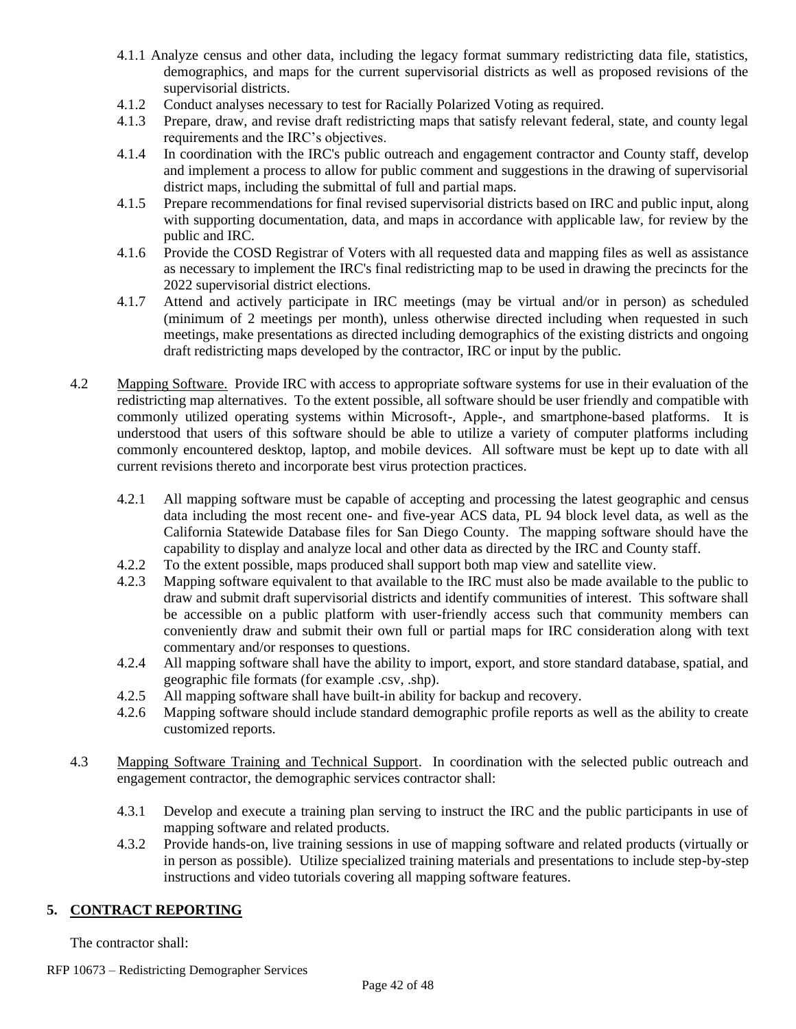- 4.1.1 Analyze census and other data, including the legacy format summary redistricting data file, statistics, demographics, and maps for the current supervisorial districts as well as proposed revisions of the supervisorial districts.
- 4.1.2 Conduct analyses necessary to test for Racially Polarized Voting as required.
- 4.1.3 Prepare, draw, and revise draft redistricting maps that satisfy relevant federal, state, and county legal requirements and the IRC's objectives.
- 4.1.4 In coordination with the IRC's public outreach and engagement contractor and County staff, develop and implement a process to allow for public comment and suggestions in the drawing of supervisorial district maps, including the submittal of full and partial maps.
- 4.1.5 Prepare recommendations for final revised supervisorial districts based on IRC and public input, along with supporting documentation, data, and maps in accordance with applicable law, for review by the public and IRC.
- 4.1.6 Provide the COSD Registrar of Voters with all requested data and mapping files as well as assistance as necessary to implement the IRC's final redistricting map to be used in drawing the precincts for the 2022 supervisorial district elections.
- 4.1.7 Attend and actively participate in IRC meetings (may be virtual and/or in person) as scheduled (minimum of 2 meetings per month), unless otherwise directed including when requested in such meetings, make presentations as directed including demographics of the existing districts and ongoing draft redistricting maps developed by the contractor, IRC or input by the public.
- 4.2 Mapping Software. Provide IRC with access to appropriate software systems for use in their evaluation of the redistricting map alternatives. To the extent possible, all software should be user friendly and compatible with commonly utilized operating systems within Microsoft-, Apple-, and smartphone-based platforms. It is understood that users of this software should be able to utilize a variety of computer platforms including commonly encountered desktop, laptop, and mobile devices. All software must be kept up to date with all current revisions thereto and incorporate best virus protection practices.
	- 4.2.1 All mapping software must be capable of accepting and processing the latest geographic and census data including the most recent one- and five-year ACS data, PL 94 block level data, as well as the California Statewide Database files for San Diego County. The mapping software should have the capability to display and analyze local and other data as directed by the IRC and County staff.
	- 4.2.2 To the extent possible, maps produced shall support both map view and satellite view.
	- 4.2.3 Mapping software equivalent to that available to the IRC must also be made available to the public to draw and submit draft supervisorial districts and identify communities of interest. This software shall be accessible on a public platform with user-friendly access such that community members can conveniently draw and submit their own full or partial maps for IRC consideration along with text commentary and/or responses to questions.
	- 4.2.4 All mapping software shall have the ability to import, export, and store standard database, spatial, and geographic file formats (for example .csv, .shp).
	- 4.2.5 All mapping software shall have built-in ability for backup and recovery.
	- 4.2.6 Mapping software should include standard demographic profile reports as well as the ability to create customized reports.
- 4.3 Mapping Software Training and Technical Support. In coordination with the selected public outreach and engagement contractor, the demographic services contractor shall:
	- 4.3.1 Develop and execute a training plan serving to instruct the IRC and the public participants in use of mapping software and related products.
	- 4.3.2 Provide hands-on, live training sessions in use of mapping software and related products (virtually or in person as possible). Utilize specialized training materials and presentations to include step-by-step instructions and video tutorials covering all mapping software features.

#### **5. CONTRACT REPORTING**

The contractor shall: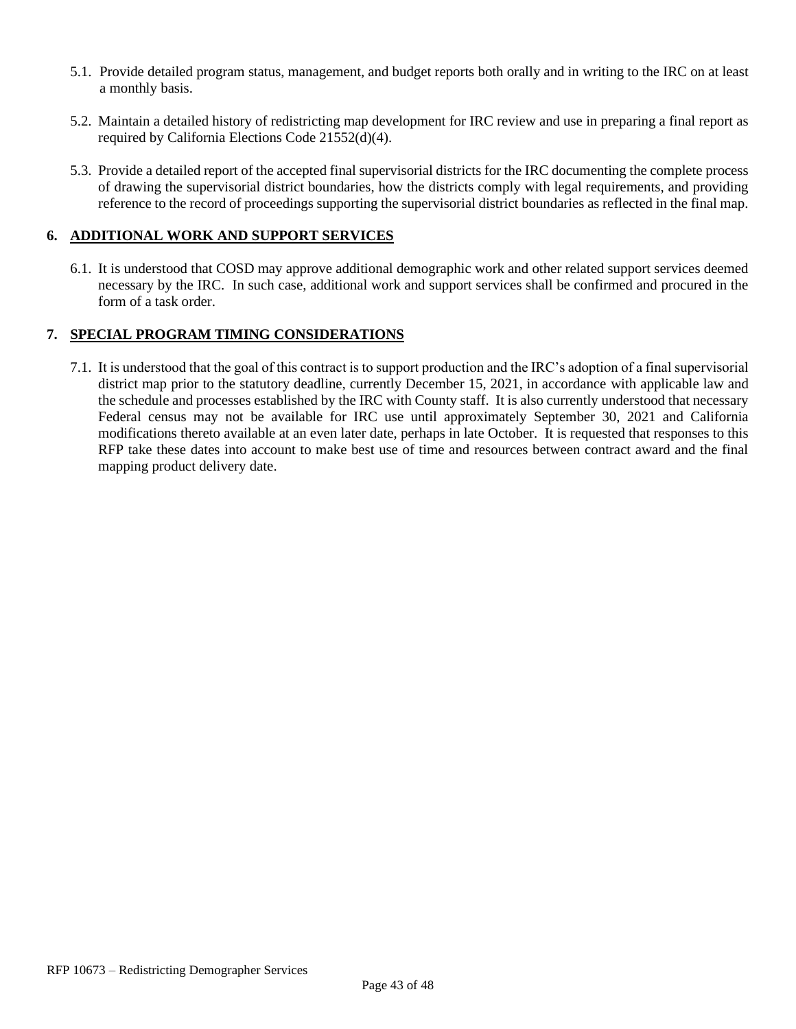- 5.1. Provide detailed program status, management, and budget reports both orally and in writing to the IRC on at least a monthly basis.
- 5.2. Maintain a detailed history of redistricting map development for IRC review and use in preparing a final report as required by California Elections Code 21552(d)(4).
- 5.3. Provide a detailed report of the accepted final supervisorial districts for the IRC documenting the complete process of drawing the supervisorial district boundaries, how the districts comply with legal requirements, and providing reference to the record of proceedings supporting the supervisorial district boundaries as reflected in the final map.

#### **6. ADDITIONAL WORK AND SUPPORT SERVICES**

6.1. It is understood that COSD may approve additional demographic work and other related support services deemed necessary by the IRC. In such case, additional work and support services shall be confirmed and procured in the form of a task order.

#### **7. SPECIAL PROGRAM TIMING CONSIDERATIONS**

7.1. It is understood that the goal of this contract is to support production and the IRC's adoption of a final supervisorial district map prior to the statutory deadline, currently December 15, 2021, in accordance with applicable law and the schedule and processes established by the IRC with County staff. It is also currently understood that necessary Federal census may not be available for IRC use until approximately September 30, 2021 and California modifications thereto available at an even later date, perhaps in late October. It is requested that responses to this RFP take these dates into account to make best use of time and resources between contract award and the final mapping product delivery date.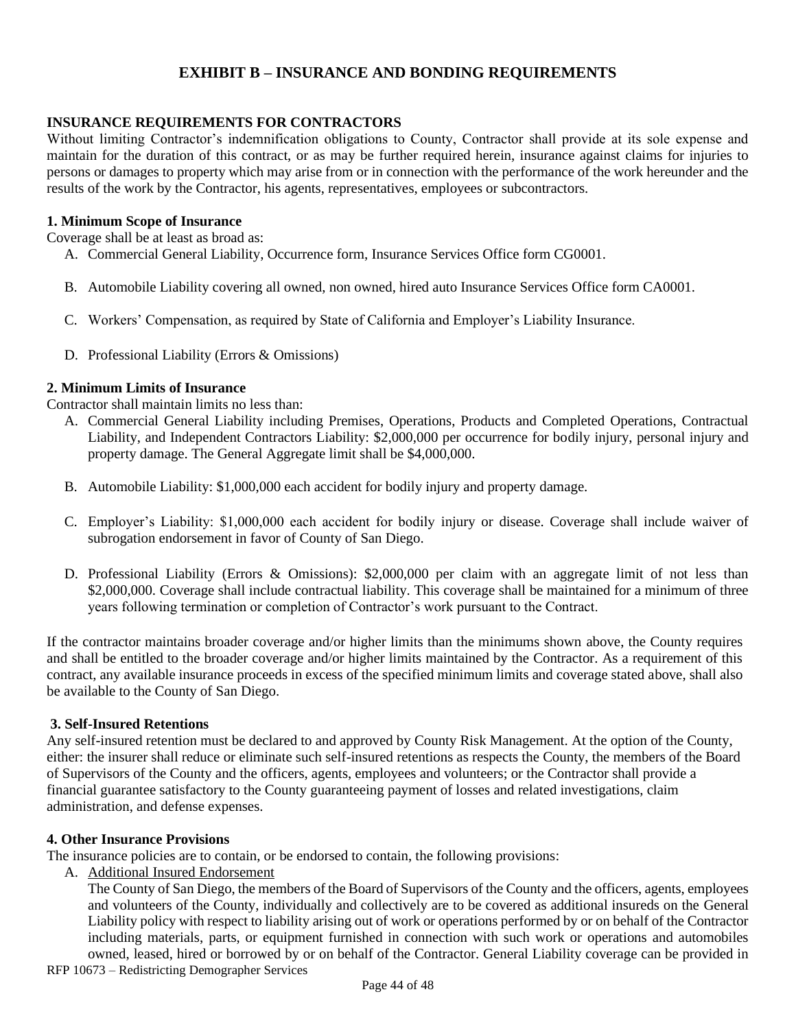#### **EXHIBIT B – INSURANCE AND BONDING REQUIREMENTS**

#### **INSURANCE REQUIREMENTS FOR CONTRACTORS**

Without limiting Contractor's indemnification obligations to County, Contractor shall provide at its sole expense and maintain for the duration of this contract, or as may be further required herein, insurance against claims for injuries to persons or damages to property which may arise from or in connection with the performance of the work hereunder and the results of the work by the Contractor, his agents, representatives, employees or subcontractors.

#### **1. Minimum Scope of Insurance**

Coverage shall be at least as broad as:

- A. Commercial General Liability, Occurrence form, Insurance Services Office form CG0001.
- B. Automobile Liability covering all owned, non owned, hired auto Insurance Services Office form CA0001.
- C. Workers' Compensation, as required by State of California and Employer's Liability Insurance.
- D. Professional Liability (Errors & Omissions)

#### **2. Minimum Limits of Insurance**

Contractor shall maintain limits no less than:

- A. Commercial General Liability including Premises, Operations, Products and Completed Operations, Contractual Liability, and Independent Contractors Liability: \$2,000,000 per occurrence for bodily injury, personal injury and property damage. The General Aggregate limit shall be \$4,000,000.
- B. Automobile Liability: \$1,000,000 each accident for bodily injury and property damage.
- C. Employer's Liability: \$1,000,000 each accident for bodily injury or disease. Coverage shall include waiver of subrogation endorsement in favor of County of San Diego.
- D. Professional Liability (Errors & Omissions): \$2,000,000 per claim with an aggregate limit of not less than \$2,000,000. Coverage shall include contractual liability. This coverage shall be maintained for a minimum of three years following termination or completion of Contractor's work pursuant to the Contract.

If the contractor maintains broader coverage and/or higher limits than the minimums shown above, the County requires and shall be entitled to the broader coverage and/or higher limits maintained by the Contractor. As a requirement of this contract, any available insurance proceeds in excess of the specified minimum limits and coverage stated above, shall also be available to the County of San Diego.

#### **3. Self-Insured Retentions**

Any self-insured retention must be declared to and approved by County Risk Management. At the option of the County, either: the insurer shall reduce or eliminate such self-insured retentions as respects the County, the members of the Board of Supervisors of the County and the officers, agents, employees and volunteers; or the Contractor shall provide a financial guarantee satisfactory to the County guaranteeing payment of losses and related investigations, claim administration, and defense expenses.

#### **4. Other Insurance Provisions**

The insurance policies are to contain, or be endorsed to contain, the following provisions:

A. Additional Insured Endorsement

RFP 10673 – Redistricting Demographer Services The County of San Diego, the members of the Board of Supervisors of the County and the officers, agents, employees and volunteers of the County, individually and collectively are to be covered as additional insureds on the General Liability policy with respect to liability arising out of work or operations performed by or on behalf of the Contractor including materials, parts, or equipment furnished in connection with such work or operations and automobiles owned, leased, hired or borrowed by or on behalf of the Contractor. General Liability coverage can be provided in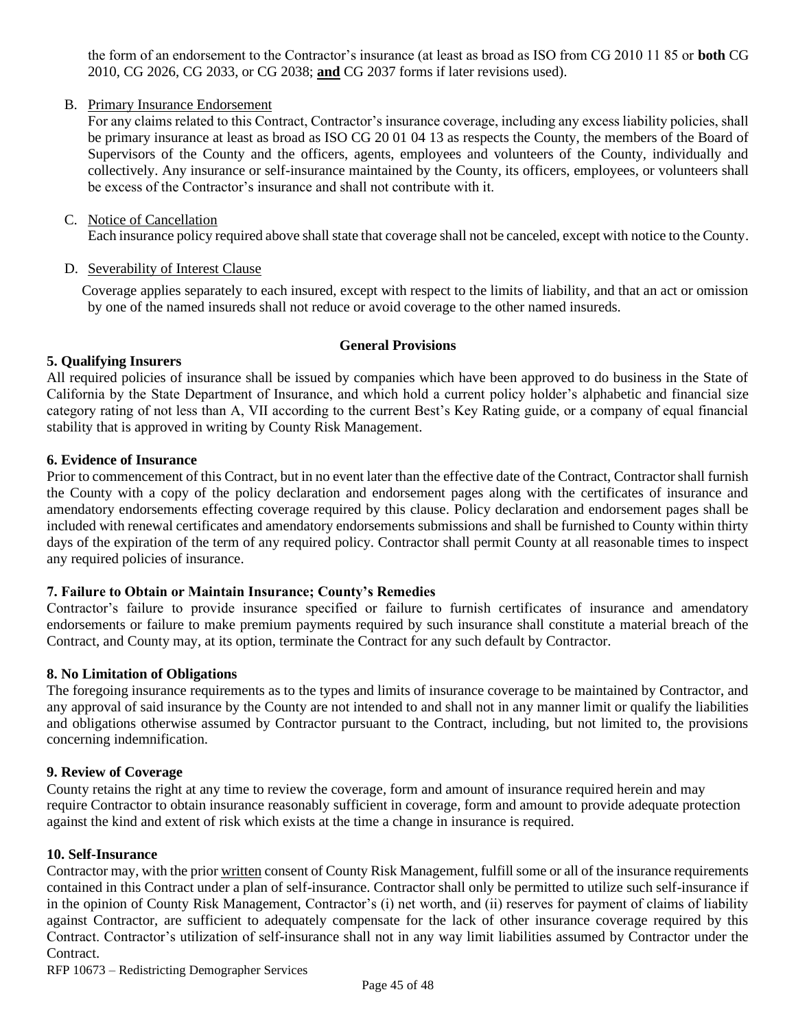the form of an endorsement to the Contractor's insurance (at least as broad as ISO from CG 2010 11 85 or **both** CG 2010, CG 2026, CG 2033, or CG 2038; **and** CG 2037 forms if later revisions used).

#### B. Primary Insurance Endorsement

For any claims related to this Contract, Contractor's insurance coverage, including any excess liability policies, shall be primary insurance at least as broad as ISO CG 20 01 04 13 as respects the County, the members of the Board of Supervisors of the County and the officers, agents, employees and volunteers of the County, individually and collectively. Any insurance or self-insurance maintained by the County, its officers, employees, or volunteers shall be excess of the Contractor's insurance and shall not contribute with it.

#### C. Notice of Cancellation

Each insurance policy required above shall state that coverage shall not be canceled, except with notice to the County.

#### D. Severability of Interest Clause

Coverage applies separately to each insured, except with respect to the limits of liability, and that an act or omission by one of the named insureds shall not reduce or avoid coverage to the other named insureds.

#### **General Provisions**

#### **5. Qualifying Insurers**

All required policies of insurance shall be issued by companies which have been approved to do business in the State of California by the State Department of Insurance, and which hold a current policy holder's alphabetic and financial size category rating of not less than A, VII according to the current Best's Key Rating guide, or a company of equal financial stability that is approved in writing by County Risk Management.

#### **6. Evidence of Insurance**

Prior to commencement of this Contract, but in no event later than the effective date of the Contract, Contractor shall furnish the County with a copy of the policy declaration and endorsement pages along with the certificates of insurance and amendatory endorsements effecting coverage required by this clause. Policy declaration and endorsement pages shall be included with renewal certificates and amendatory endorsements submissions and shall be furnished to County within thirty days of the expiration of the term of any required policy. Contractor shall permit County at all reasonable times to inspect any required policies of insurance.

#### **7. Failure to Obtain or Maintain Insurance; County's Remedies**

Contractor's failure to provide insurance specified or failure to furnish certificates of insurance and amendatory endorsements or failure to make premium payments required by such insurance shall constitute a material breach of the Contract, and County may, at its option, terminate the Contract for any such default by Contractor.

#### **8. No Limitation of Obligations**

The foregoing insurance requirements as to the types and limits of insurance coverage to be maintained by Contractor, and any approval of said insurance by the County are not intended to and shall not in any manner limit or qualify the liabilities and obligations otherwise assumed by Contractor pursuant to the Contract, including, but not limited to, the provisions concerning indemnification.

#### **9. Review of Coverage**

County retains the right at any time to review the coverage, form and amount of insurance required herein and may require Contractor to obtain insurance reasonably sufficient in coverage, form and amount to provide adequate protection against the kind and extent of risk which exists at the time a change in insurance is required.

#### **10. Self-Insurance**

Contractor may, with the prior written consent of County Risk Management, fulfill some or all of the insurance requirements contained in this Contract under a plan of self-insurance. Contractor shall only be permitted to utilize such self-insurance if in the opinion of County Risk Management, Contractor's (i) net worth, and (ii) reserves for payment of claims of liability against Contractor, are sufficient to adequately compensate for the lack of other insurance coverage required by this Contract. Contractor's utilization of self-insurance shall not in any way limit liabilities assumed by Contractor under the Contract.

RFP 10673 – Redistricting Demographer Services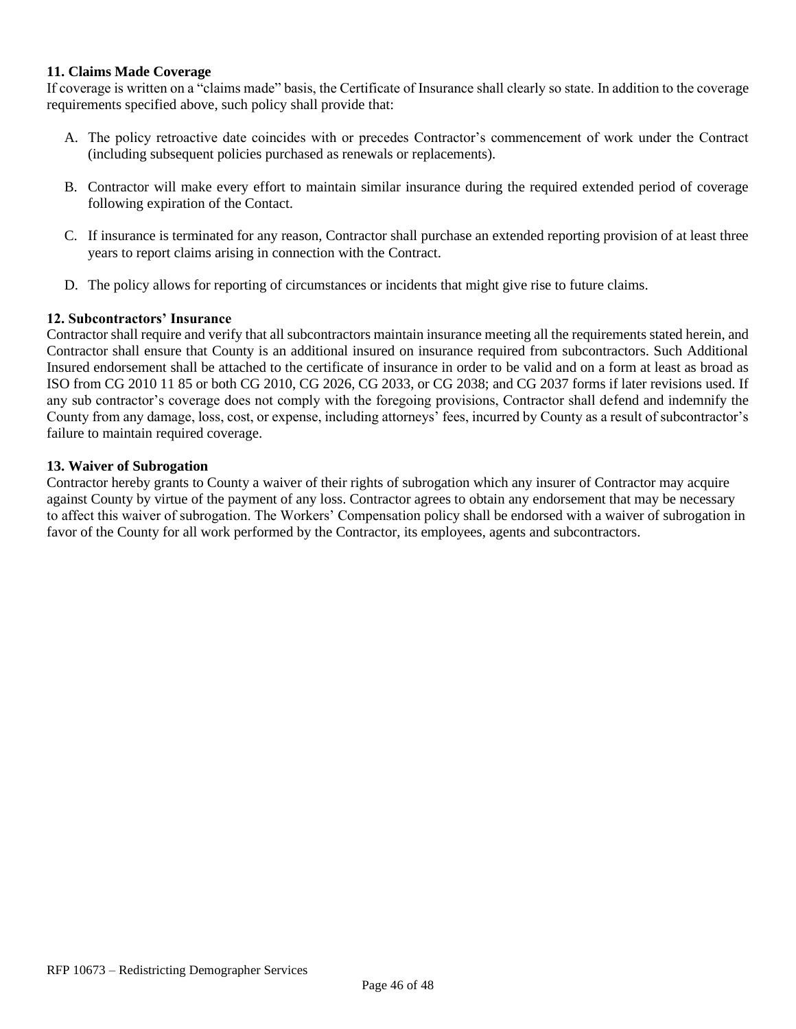#### **11. Claims Made Coverage**

If coverage is written on a "claims made" basis, the Certificate of Insurance shall clearly so state. In addition to the coverage requirements specified above, such policy shall provide that:

- A. The policy retroactive date coincides with or precedes Contractor's commencement of work under the Contract (including subsequent policies purchased as renewals or replacements).
- B. Contractor will make every effort to maintain similar insurance during the required extended period of coverage following expiration of the Contact.
- C. If insurance is terminated for any reason, Contractor shall purchase an extended reporting provision of at least three years to report claims arising in connection with the Contract.
- D. The policy allows for reporting of circumstances or incidents that might give rise to future claims.

#### **12. Subcontractors' Insurance**

Contractor shall require and verify that all subcontractors maintain insurance meeting all the requirements stated herein, and Contractor shall ensure that County is an additional insured on insurance required from subcontractors. Such Additional Insured endorsement shall be attached to the certificate of insurance in order to be valid and on a form at least as broad as ISO from CG 2010 11 85 or both CG 2010, CG 2026, CG 2033, or CG 2038; and CG 2037 forms if later revisions used. If any sub contractor's coverage does not comply with the foregoing provisions, Contractor shall defend and indemnify the County from any damage, loss, cost, or expense, including attorneys' fees, incurred by County as a result of subcontractor's failure to maintain required coverage.

#### **13. Waiver of Subrogation**

Contractor hereby grants to County a waiver of their rights of subrogation which any insurer of Contractor may acquire against County by virtue of the payment of any loss. Contractor agrees to obtain any endorsement that may be necessary to affect this waiver of subrogation. The Workers' Compensation policy shall be endorsed with a waiver of subrogation in favor of the County for all work performed by the Contractor, its employees, agents and subcontractors.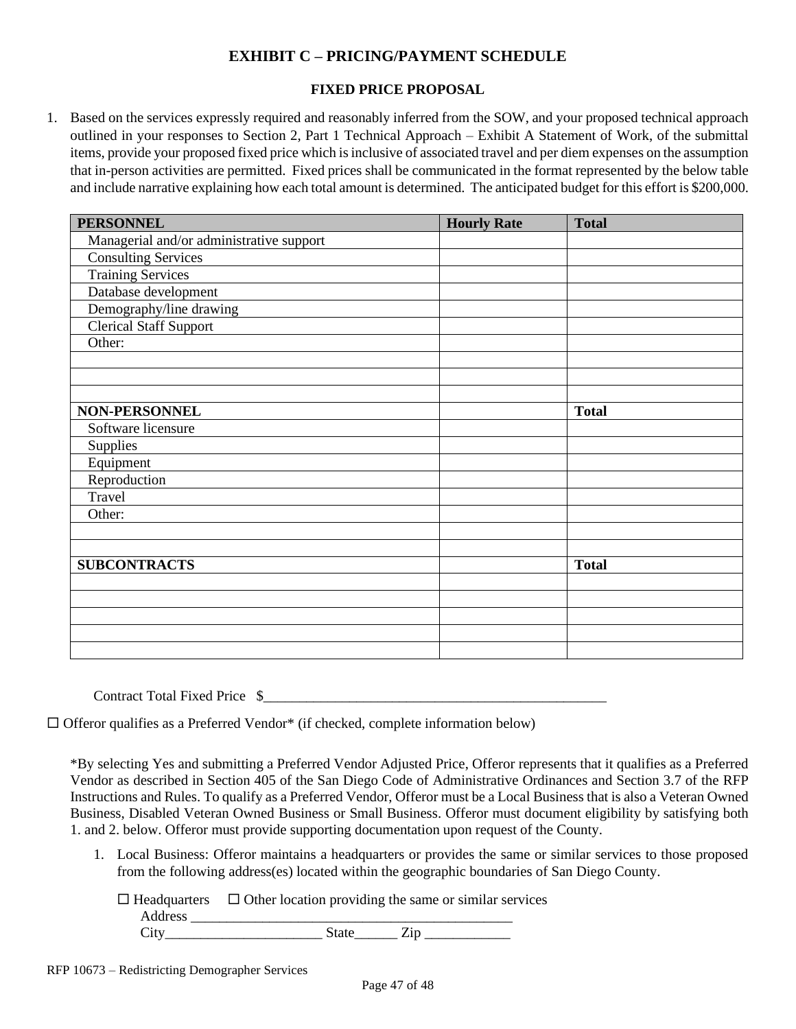# **EXHIBIT C – PRICING/PAYMENT SCHEDULE**

#### **FIXED PRICE PROPOSAL**

1. Based on the services expressly required and reasonably inferred from the SOW, and your proposed technical approach outlined in your responses to Section 2, Part 1 Technical Approach – Exhibit A Statement of Work, of the submittal items, provide your proposed fixed price which is inclusive of associated travel and per diem expenses on the assumption that in-person activities are permitted. Fixed prices shall be communicated in the format represented by the below table and include narrative explaining how each total amount is determined. The anticipated budget for this effort is \$200,000.

| <b>PERSONNEL</b>                         | <b>Hourly Rate</b> | <b>Total</b> |
|------------------------------------------|--------------------|--------------|
| Managerial and/or administrative support |                    |              |
| <b>Consulting Services</b>               |                    |              |
| <b>Training Services</b>                 |                    |              |
| Database development                     |                    |              |
| Demography/line drawing                  |                    |              |
| <b>Clerical Staff Support</b>            |                    |              |
| Other:                                   |                    |              |
|                                          |                    |              |
|                                          |                    |              |
|                                          |                    |              |
| NON-PERSONNEL                            |                    | <b>Total</b> |
| Software licensure                       |                    |              |
| Supplies                                 |                    |              |
| Equipment                                |                    |              |
| Reproduction                             |                    |              |
| Travel                                   |                    |              |
| Other:                                   |                    |              |
|                                          |                    |              |
|                                          |                    |              |
| <b>SUBCONTRACTS</b>                      |                    | <b>Total</b> |
|                                          |                    |              |
|                                          |                    |              |
|                                          |                    |              |
|                                          |                    |              |
|                                          |                    |              |

Contract Total Fixed Price \$\_\_\_\_\_\_\_\_\_\_\_\_\_\_\_\_\_\_\_\_\_\_\_\_\_\_\_\_\_\_\_\_\_\_\_\_\_\_\_\_\_\_\_\_\_\_\_\_

 $\Box$  Offeror qualifies as a Preferred Vendor\* (if checked, complete information below)

\*By selecting Yes and submitting a Preferred Vendor Adjusted Price, Offeror represents that it qualifies as a Preferred Vendor as described in Section 405 of the San Diego Code of Administrative Ordinances and Section 3.7 of the RFP Instructions and Rules. To qualify as a Preferred Vendor, Offeror must be a Local Business that is also a Veteran Owned Business, Disabled Veteran Owned Business or Small Business. Offeror must document eligibility by satisfying both 1. and 2. below. Offeror must provide supporting documentation upon request of the County.

1. Local Business: Offeror maintains a headquarters or provides the same or similar services to those proposed from the following address(es) located within the geographic boundaries of San Diego County.

 $\Box$  Headquarters  $\Box$  Other location providing the same or similar services Address **and a** City State Zip